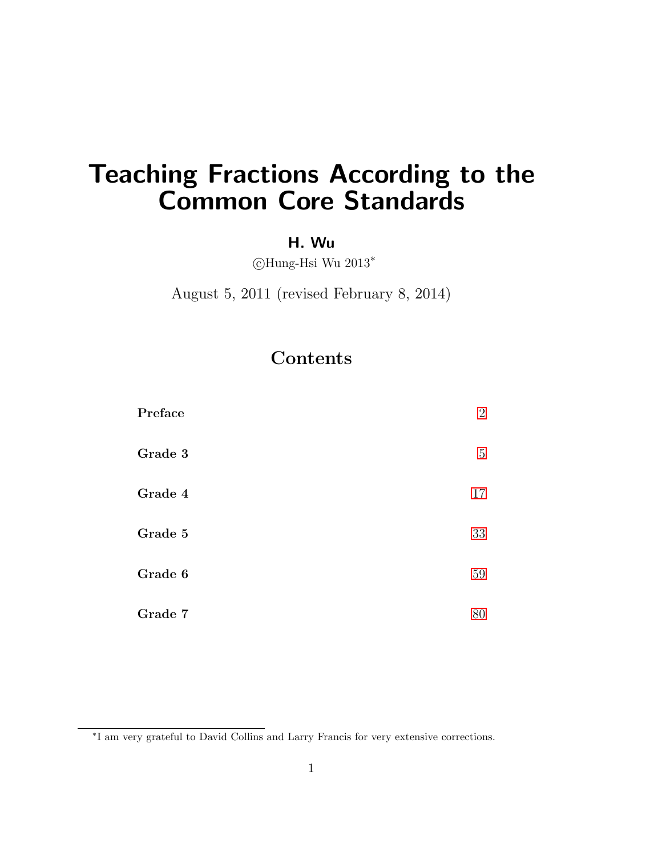# <span id="page-0-0"></span>Teaching Fractions According to the Common Core Standards

## H. Wu

c Hung-Hsi Wu 2013<sup>∗</sup>

August 5, 2011 (revised February 8, 2014)

## **Contents**

| Preface | $\overline{2}$ |
|---------|----------------|
| Grade 3 | $\mathbf 5$    |
| Grade 4 | 17             |
| Grade 5 | 33             |
| Grade 6 | 59             |
| Grade 7 | 80             |

<sup>∗</sup> I am very grateful to David Collins and Larry Francis for very extensive corrections.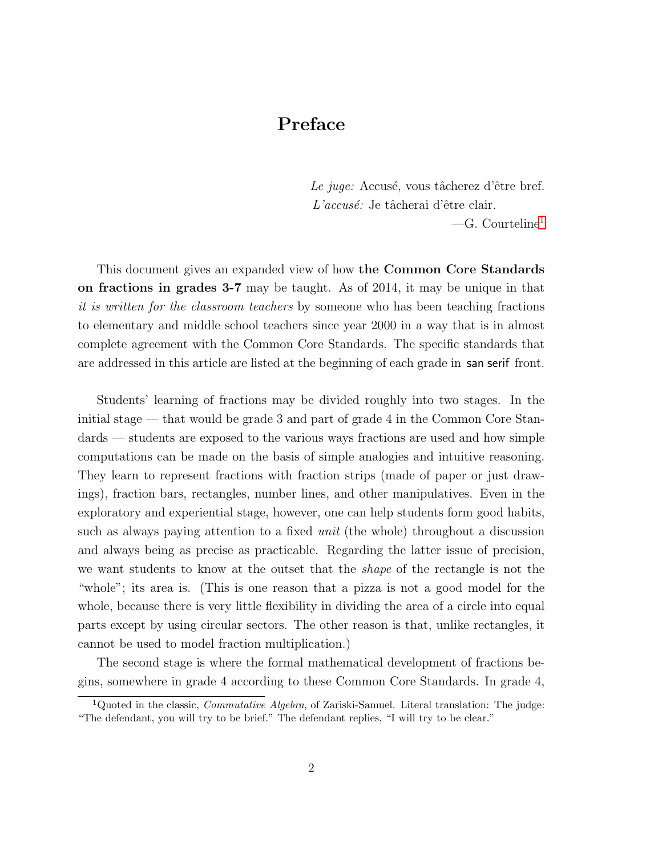## Preface

Le juge: Accusé, vous tâcherez d'être bref. L'accusé: Je tâcherai d'être clair.

 $-G.$  Courteline<sup>[1](#page-1-0)</sup>

This document gives an expanded view of how the Common Core Standards on fractions in grades 3-7 may be taught. As of 2014, it may be unique in that it is written for the classroom teachers by someone who has been teaching fractions to elementary and middle school teachers since year 2000 in a way that is in almost complete agreement with the Common Core Standards. The specific standards that are addressed in this article are listed at the beginning of each grade in san serif front.

Students' learning of fractions may be divided roughly into two stages. In the initial stage — that would be grade 3 and part of grade 4 in the Common Core Standards — students are exposed to the various ways fractions are used and how simple computations can be made on the basis of simple analogies and intuitive reasoning. They learn to represent fractions with fraction strips (made of paper or just drawings), fraction bars, rectangles, number lines, and other manipulatives. Even in the exploratory and experiential stage, however, one can help students form good habits, such as always paying attention to a fixed unit (the whole) throughout a discussion and always being as precise as practicable. Regarding the latter issue of precision, we want students to know at the outset that the *shape* of the rectangle is not the "whole"; its area is. (This is one reason that a pizza is not a good model for the whole, because there is very little flexibility in dividing the area of a circle into equal parts except by using circular sectors. The other reason is that, unlike rectangles, it cannot be used to model fraction multiplication.)

The second stage is where the formal mathematical development of fractions begins, somewhere in grade 4 according to these Common Core Standards. In grade 4,

<span id="page-1-0"></span><sup>&</sup>lt;sup>1</sup>Quoted in the classic, *Commutative Algebra*, of Zariski-Samuel. Literal translation: The judge: "The defendant, you will try to be brief." The defendant replies, "I will try to be clear."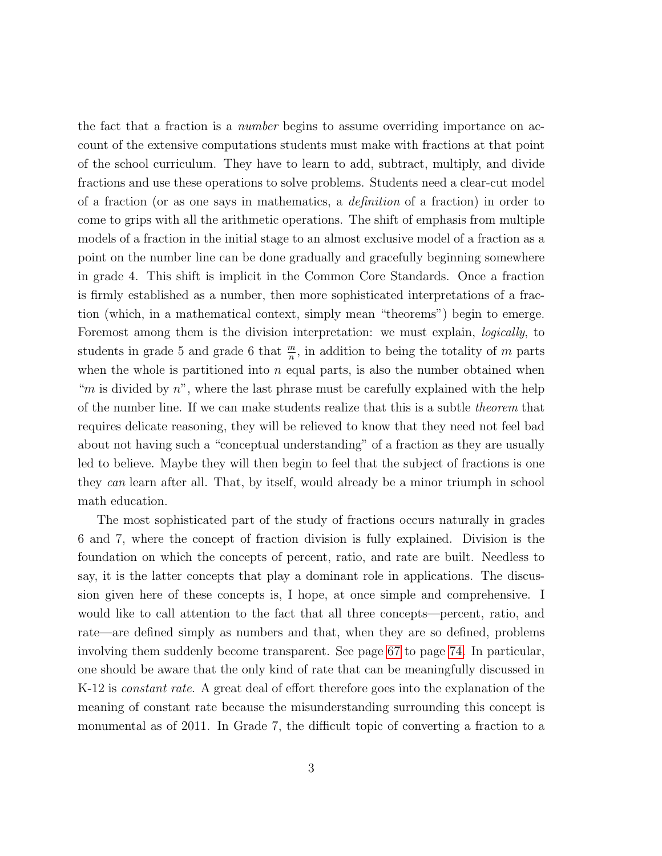the fact that a fraction is a number begins to assume overriding importance on account of the extensive computations students must make with fractions at that point of the school curriculum. They have to learn to add, subtract, multiply, and divide fractions and use these operations to solve problems. Students need a clear-cut model of a fraction (or as one says in mathematics, a definition of a fraction) in order to come to grips with all the arithmetic operations. The shift of emphasis from multiple models of a fraction in the initial stage to an almost exclusive model of a fraction as a point on the number line can be done gradually and gracefully beginning somewhere in grade 4. This shift is implicit in the Common Core Standards. Once a fraction is firmly established as a number, then more sophisticated interpretations of a fraction (which, in a mathematical context, simply mean "theorems") begin to emerge. Foremost among them is the division interpretation: we must explain, *logically*, to students in grade 5 and grade 6 that  $\frac{m}{n}$ , in addition to being the totality of m parts when the whole is partitioned into  $n$  equal parts, is also the number obtained when "m is divided by  $n$ ", where the last phrase must be carefully explained with the help of the number line. If we can make students realize that this is a subtle theorem that requires delicate reasoning, they will be relieved to know that they need not feel bad about not having such a "conceptual understanding" of a fraction as they are usually led to believe. Maybe they will then begin to feel that the subject of fractions is one they can learn after all. That, by itself, would already be a minor triumph in school math education.

The most sophisticated part of the study of fractions occurs naturally in grades 6 and 7, where the concept of fraction division is fully explained. Division is the foundation on which the concepts of percent, ratio, and rate are built. Needless to say, it is the latter concepts that play a dominant role in applications. The discussion given here of these concepts is, I hope, at once simple and comprehensive. I would like to call attention to the fact that all three concepts—percent, ratio, and rate—are defined simply as numbers and that, when they are so defined, problems involving them suddenly become transparent. See page [67](#page-64-0) to page [74.](#page-64-0) In particular, one should be aware that the only kind of rate that can be meaningfully discussed in K-12 is *constant rate*. A great deal of effort therefore goes into the explanation of the meaning of constant rate because the misunderstanding surrounding this concept is monumental as of 2011. In Grade 7, the difficult topic of converting a fraction to a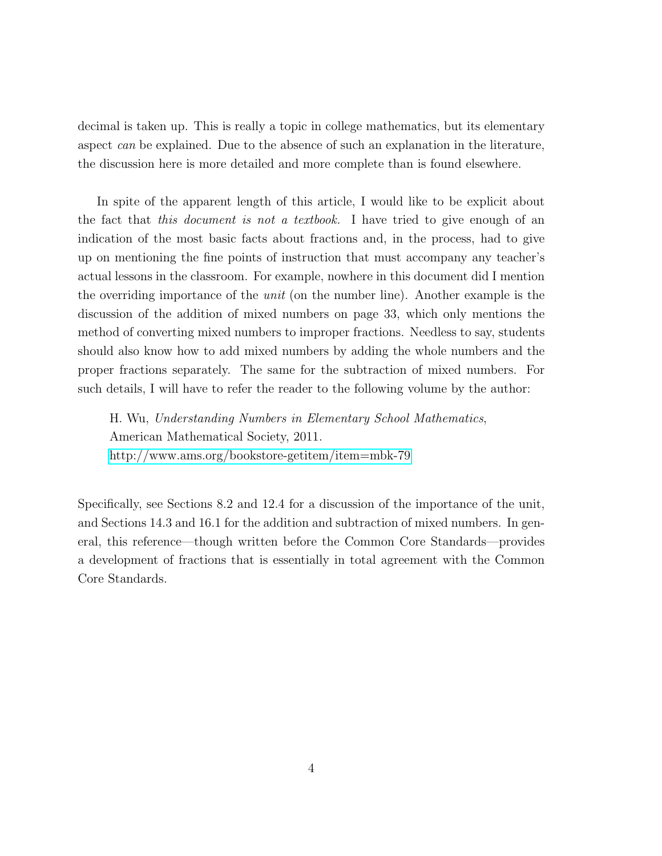decimal is taken up. This is really a topic in college mathematics, but its elementary aspect can be explained. Due to the absence of such an explanation in the literature, the discussion here is more detailed and more complete than is found elsewhere.

In spite of the apparent length of this article, I would like to be explicit about the fact that this document is not a textbook. I have tried to give enough of an indication of the most basic facts about fractions and, in the process, had to give up on mentioning the fine points of instruction that must accompany any teacher's actual lessons in the classroom. For example, nowhere in this document did I mention the overriding importance of the unit (on the number line). Another example is the discussion of the addition of mixed numbers on page 33, which only mentions the method of converting mixed numbers to improper fractions. Needless to say, students should also know how to add mixed numbers by adding the whole numbers and the proper fractions separately. The same for the subtraction of mixed numbers. For such details, I will have to refer the reader to the following volume by the author:

H. Wu, Understanding Numbers in Elementary School Mathematics, American Mathematical Society, 2011. <http://www.ams.org/bookstore-getitem/item=mbk-79>

Specifically, see Sections 8.2 and 12.4 for a discussion of the importance of the unit, and Sections 14.3 and 16.1 for the addition and subtraction of mixed numbers. In general, this reference—though written before the Common Core Standards—provides a development of fractions that is essentially in total agreement with the Common Core Standards.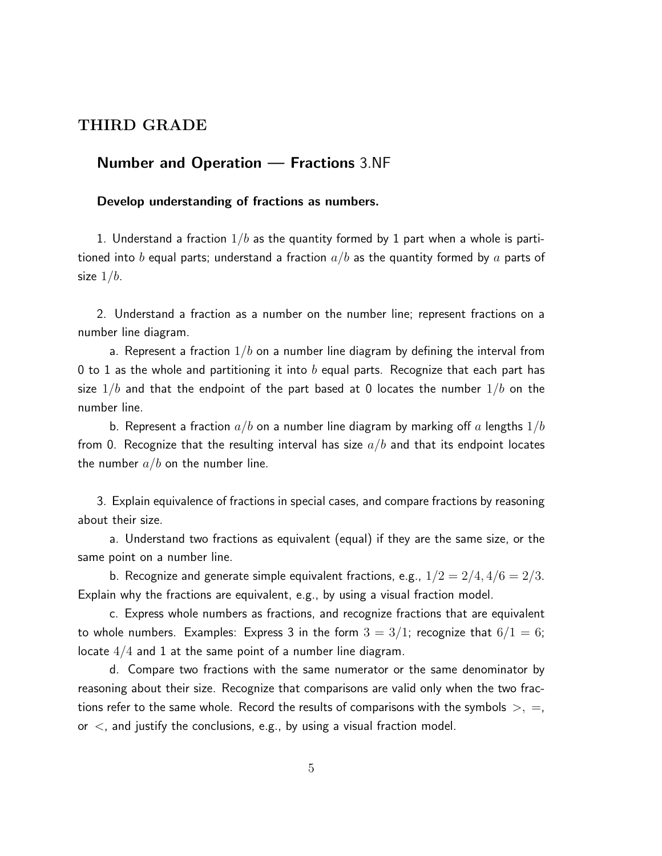## THIRD GRADE

## Number and Operation — Fractions 3.NF

### Develop understanding of fractions as numbers.

1. Understand a fraction  $1/b$  as the quantity formed by 1 part when a whole is partitioned into b equal parts; understand a fraction  $a/b$  as the quantity formed by a parts of size  $1/b$ .

2. Understand a fraction as a number on the number line; represent fractions on a number line diagram.

a. Represent a fraction  $1/b$  on a number line diagram by defining the interval from 0 to 1 as the whole and partitioning it into b equal parts. Recognize that each part has size  $1/b$  and that the endpoint of the part based at 0 locates the number  $1/b$  on the number line.

b. Represent a fraction  $a/b$  on a number line diagram by marking off a lengths  $1/b$ from 0. Recognize that the resulting interval has size  $a/b$  and that its endpoint locates the number  $a/b$  on the number line.

3. Explain equivalence of fractions in special cases, and compare fractions by reasoning about their size.

a. Understand two fractions as equivalent (equal) if they are the same size, or the same point on a number line.

b. Recognize and generate simple equivalent fractions, e.g.,  $1/2 = 2/4$ ,  $4/6 = 2/3$ . Explain why the fractions are equivalent, e.g., by using a visual fraction model.

c. Express whole numbers as fractions, and recognize fractions that are equivalent to whole numbers. Examples: Express 3 in the form  $3 = 3/1$ ; recognize that  $6/1 = 6$ ; locate  $4/4$  and 1 at the same point of a number line diagram.

d. Compare two fractions with the same numerator or the same denominator by reasoning about their size. Recognize that comparisons are valid only when the two fractions refer to the same whole. Record the results of comparisons with the symbols  $>$ ,  $=$ , or  $\lt$ , and justify the conclusions, e.g., by using a visual fraction model.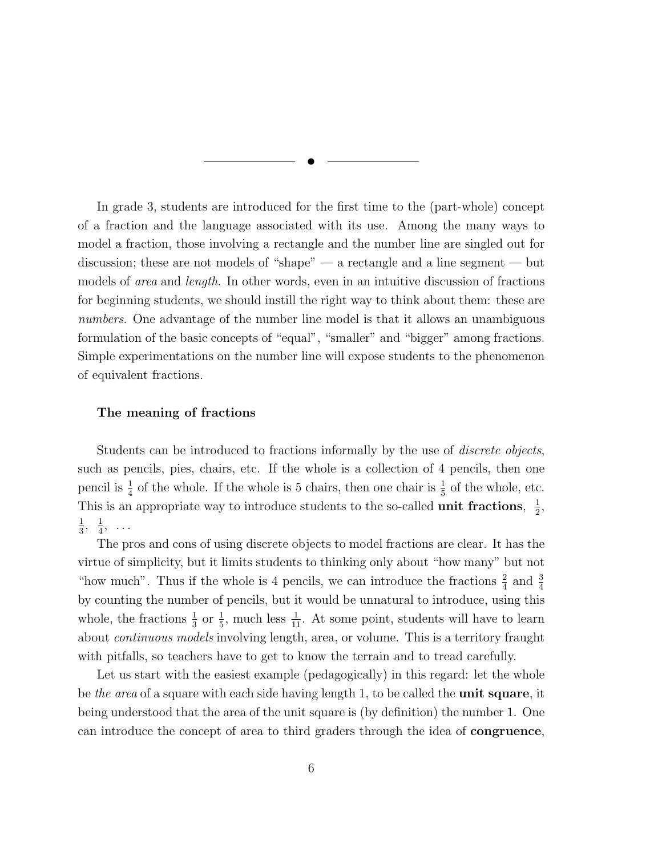✉

In grade 3, students are introduced for the first time to the (part-whole) concept of a fraction and the language associated with its use. Among the many ways to model a fraction, those involving a rectangle and the number line are singled out for discussion; these are not models of "shape" — a rectangle and a line segment — but models of *area* and *length*. In other words, even in an intuitive discussion of fractions for beginning students, we should instill the right way to think about them: these are numbers. One advantage of the number line model is that it allows an unambiguous formulation of the basic concepts of "equal", "smaller" and "bigger" among fractions. Simple experimentations on the number line will expose students to the phenomenon of equivalent fractions.

#### The meaning of fractions

Students can be introduced to fractions informally by the use of *discrete objects*, such as pencils, pies, chairs, etc. If the whole is a collection of 4 pencils, then one pencil is  $\frac{1}{4}$  of the whole. If the whole is 5 chairs, then one chair is  $\frac{1}{5}$  of the whole, etc. This is an appropriate way to introduce students to the so-called **unit fractions**,  $\frac{1}{2}$  $\frac{1}{2}$ , 1  $\frac{1}{3}, \frac{1}{4}$  $\frac{1}{4}$ , ...

The pros and cons of using discrete objects to model fractions are clear. It has the virtue of simplicity, but it limits students to thinking only about "how many" but not "how much". Thus if the whole is 4 pencils, we can introduce the fractions  $\frac{2}{4}$  and  $\frac{3}{4}$ by counting the number of pencils, but it would be unnatural to introduce, using this whole, the fractions  $\frac{1}{3}$  or  $\frac{1}{5}$ , much less  $\frac{1}{11}$ . At some point, students will have to learn about *continuous models* involving length, area, or volume. This is a territory fraught with pitfalls, so teachers have to get to know the terrain and to tread carefully.

Let us start with the easiest example (pedagogically) in this regard: let the whole be the area of a square with each side having length 1, to be called the **unit square**, it being understood that the area of the unit square is (by definition) the number 1. One can introduce the concept of area to third graders through the idea of congruence,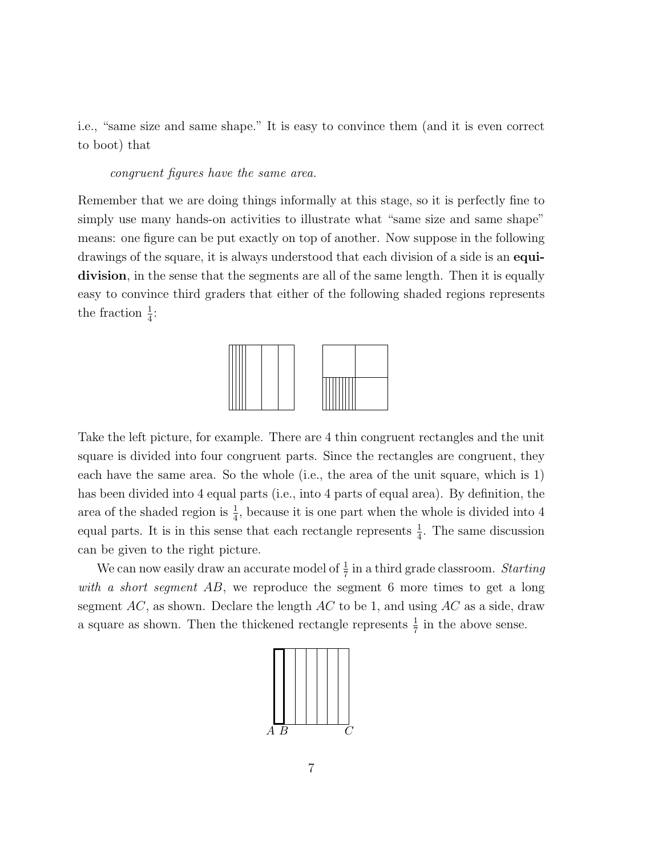i.e., "same size and same shape." It is easy to convince them (and it is even correct to boot) that

congruent figures have the same area.

Remember that we are doing things informally at this stage, so it is perfectly fine to simply use many hands-on activities to illustrate what "same size and same shape" means: one figure can be put exactly on top of another. Now suppose in the following drawings of the square, it is always understood that each division of a side is an **equi**division, in the sense that the segments are all of the same length. Then it is equally easy to convince third graders that either of the following shaded regions represents the fraction  $\frac{1}{4}$ :



Take the left picture, for example. There are 4 thin congruent rectangles and the unit square is divided into four congruent parts. Since the rectangles are congruent, they each have the same area. So the whole (i.e., the area of the unit square, which is 1) has been divided into 4 equal parts (i.e., into 4 parts of equal area). By definition, the area of the shaded region is  $\frac{1}{4}$ , because it is one part when the whole is divided into 4 equal parts. It is in this sense that each rectangle represents  $\frac{1}{4}$ . The same discussion can be given to the right picture.

We can now easily draw an accurate model of  $\frac{1}{7}$  in a third grade classroom. Starting with a short segment AB, we reproduce the segment 6 more times to get a long segment  $AC$ , as shown. Declare the length  $AC$  to be 1, and using  $AC$  as a side, draw a square as shown. Then the thickened rectangle represents  $\frac{1}{7}$  in the above sense.

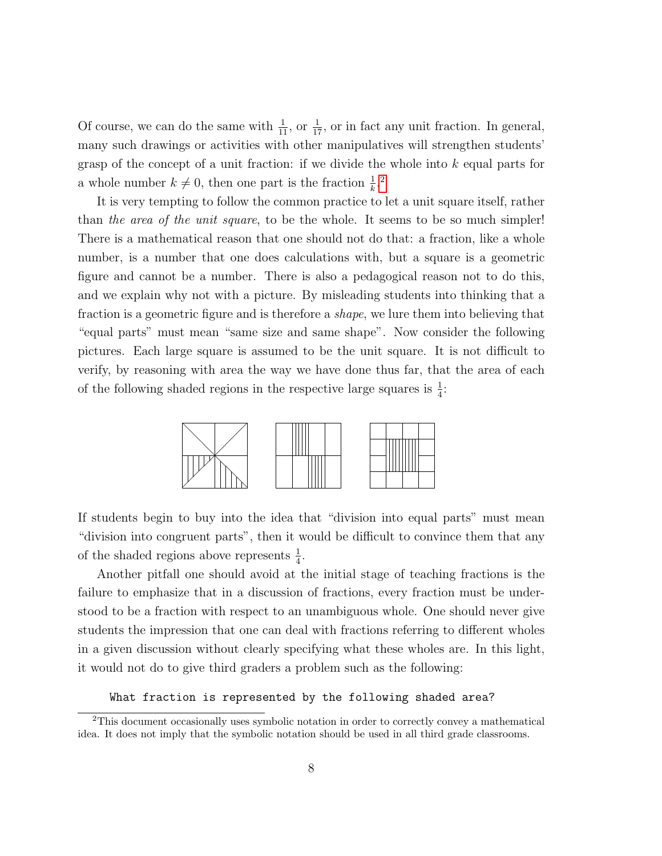Of course, we can do the same with  $\frac{1}{11}$ , or  $\frac{1}{17}$ , or in fact any unit fraction. In general, many such drawings or activities with other manipulatives will strengthen students' grasp of the concept of a unit fraction: if we divide the whole into  $k$  equal parts for a whole number  $k \neq 0$ , then one part is the fraction  $\frac{1}{k}$ <sup>[2](#page-7-0)</sup>

It is very tempting to follow the common practice to let a unit square itself, rather than the area of the unit square, to be the whole. It seems to be so much simpler! There is a mathematical reason that one should not do that: a fraction, like a whole number, is a number that one does calculations with, but a square is a geometric figure and cannot be a number. There is also a pedagogical reason not to do this, and we explain why not with a picture. By misleading students into thinking that a fraction is a geometric figure and is therefore a shape, we lure them into believing that "equal parts" must mean "same size and same shape". Now consider the following pictures. Each large square is assumed to be the unit square. It is not difficult to verify, by reasoning with area the way we have done thus far, that the area of each of the following shaded regions in the respective large squares is  $\frac{1}{4}$ :



If students begin to buy into the idea that "division into equal parts" must mean "division into congruent parts", then it would be difficult to convince them that any of the shaded regions above represents  $\frac{1}{4}$ .

Another pitfall one should avoid at the initial stage of teaching fractions is the failure to emphasize that in a discussion of fractions, every fraction must be understood to be a fraction with respect to an unambiguous whole. One should never give students the impression that one can deal with fractions referring to different wholes in a given discussion without clearly specifying what these wholes are. In this light, it would not do to give third graders a problem such as the following:

What fraction is represented by the following shaded area?

<span id="page-7-0"></span><sup>2</sup>This document occasionally uses symbolic notation in order to correctly convey a mathematical idea. It does not imply that the symbolic notation should be used in all third grade classrooms.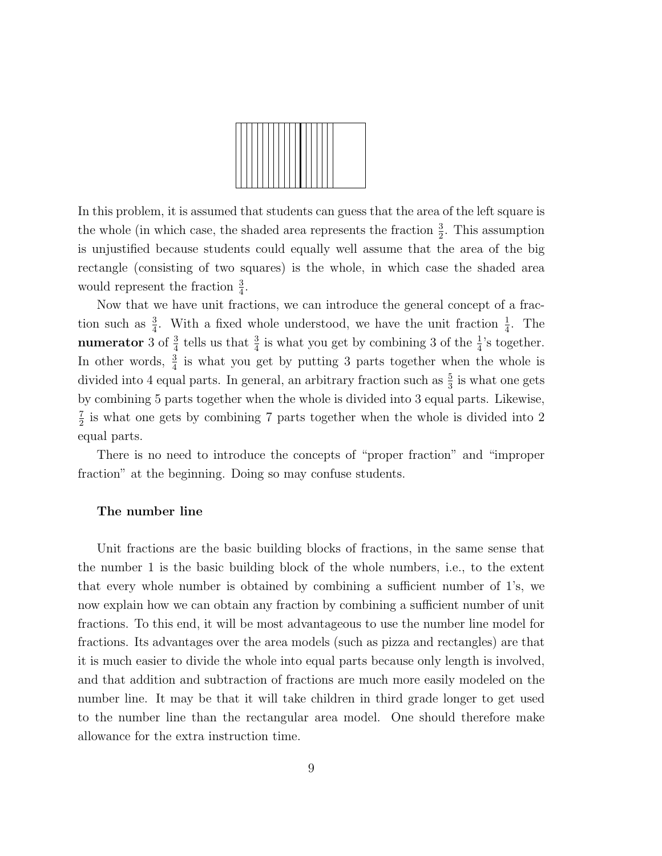

In this problem, it is assumed that students can guess that the area of the left square is the whole (in which case, the shaded area represents the fraction  $\frac{3}{2}$ . This assumption is unjustified because students could equally well assume that the area of the big rectangle (consisting of two squares) is the whole, in which case the shaded area would represent the fraction  $\frac{3}{4}$ .

Now that we have unit fractions, we can introduce the general concept of a fraction such as  $\frac{3}{4}$ . With a fixed whole understood, we have the unit fraction  $\frac{1}{4}$ . The **numerator** 3 of  $\frac{3}{4}$  tells us that  $\frac{3}{4}$  is what you get by combining 3 of the  $\frac{1}{4}$ 's together. In other words,  $\frac{3}{4}$  is what you get by putting 3 parts together when the whole is divided into 4 equal parts. In general, an arbitrary fraction such as  $\frac{5}{3}$  is what one gets by combining 5 parts together when the whole is divided into 3 equal parts. Likewise, 7  $\frac{7}{2}$  is what one gets by combining 7 parts together when the whole is divided into 2 equal parts.

There is no need to introduce the concepts of "proper fraction" and "improper fraction" at the beginning. Doing so may confuse students.

#### The number line

Unit fractions are the basic building blocks of fractions, in the same sense that the number 1 is the basic building block of the whole numbers, i.e., to the extent that every whole number is obtained by combining a sufficient number of 1's, we now explain how we can obtain any fraction by combining a sufficient number of unit fractions. To this end, it will be most advantageous to use the number line model for fractions. Its advantages over the area models (such as pizza and rectangles) are that it is much easier to divide the whole into equal parts because only length is involved, and that addition and subtraction of fractions are much more easily modeled on the number line. It may be that it will take children in third grade longer to get used to the number line than the rectangular area model. One should therefore make allowance for the extra instruction time.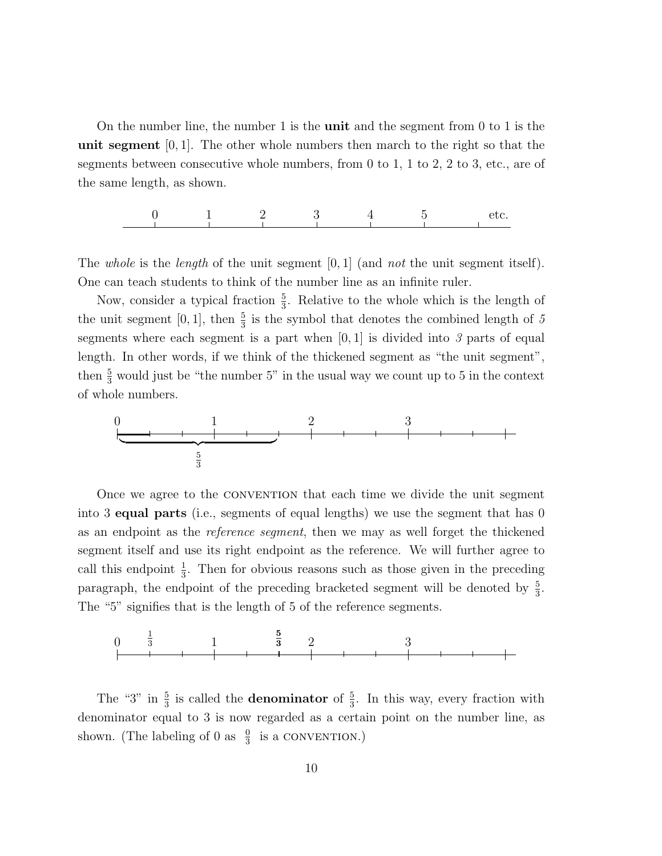On the number line, the number 1 is the **unit** and the segment from 0 to 1 is the unit segment  $[0, 1]$ . The other whole numbers then march to the right so that the segments between consecutive whole numbers, from 0 to 1, 1 to 2, 2 to 3, etc., are of the same length, as shown.

$$
\begin{array}{cccccccc}\n0 & 1 & 2 & 3 & 4 & 5 & \text{etc.} \\
\hline\n-\end{array}
$$

The whole is the length of the unit segment  $[0, 1]$  (and not the unit segment itself). One can teach students to think of the number line as an infinite ruler.

Now, consider a typical fraction  $\frac{5}{3}$ . Relative to the whole which is the length of the unit segment [0, 1], then  $\frac{5}{3}$  is the symbol that denotes the combined length of 5 segments where each segment is a part when  $[0, 1]$  is divided into 3 parts of equal length. In other words, if we think of the thickened segment as "the unit segment", then  $\frac{5}{3}$  would just be "the number 5" in the usual way we count up to 5 in the context of whole numbers.



Once we agree to the convention that each time we divide the unit segment into 3 equal parts (i.e., segments of equal lengths) we use the segment that has 0 as an endpoint as the reference segment, then we may as well forget the thickened segment itself and use its right endpoint as the reference. We will further agree to call this endpoint  $\frac{1}{3}$ . Then for obvious reasons such as those given in the preceding paragraph, the endpoint of the preceding bracketed segment will be denoted by  $\frac{5}{3}$ . The "5" signifies that is the length of 5 of the reference segments.



The "3" in  $\frac{5}{3}$  is called the **denominator** of  $\frac{5}{3}$ . In this way, every fraction with denominator equal to 3 is now regarded as a certain point on the number line, as shown. (The labeling of 0 as  $\frac{0}{3}$  is a CONVENTION.)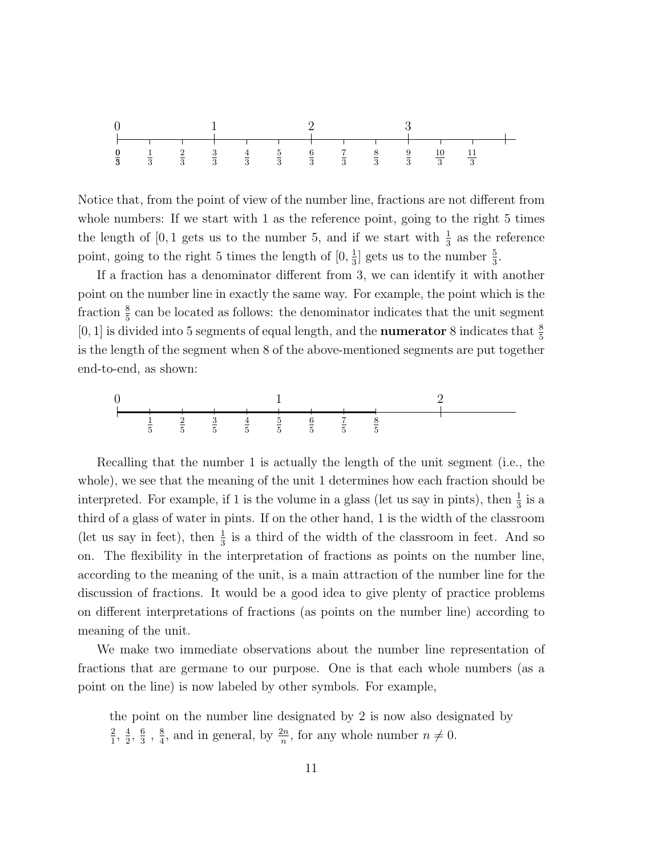

Notice that, from the point of view of the number line, fractions are not different from whole numbers: If we start with 1 as the reference point, going to the right 5 times the length of [0, 1 gets us to the number 5, and if we start with  $\frac{1}{3}$  as the reference point, going to the right 5 times the length of  $[0, \frac{1}{3}]$  $\frac{1}{3}$ ] gets us to the number  $\frac{5}{3}$ .

If a fraction has a denominator different from 3, we can identify it with another point on the number line in exactly the same way. For example, the point which is the fraction  $\frac{8}{5}$  can be located as follows: the denominator indicates that the unit segment [0, 1] is divided into 5 segments of equal length, and the **numerator** 8 indicates that  $\frac{8}{5}$ is the length of the segment when 8 of the above-mentioned segments are put together end-to-end, as shown:



Recalling that the number 1 is actually the length of the unit segment (i.e., the whole), we see that the meaning of the unit 1 determines how each fraction should be interpreted. For example, if 1 is the volume in a glass (let us say in pints), then  $\frac{1}{3}$  is a third of a glass of water in pints. If on the other hand, 1 is the width of the classroom (let us say in feet), then  $\frac{1}{3}$  is a third of the width of the classroom in feet. And so on. The flexibility in the interpretation of fractions as points on the number line, according to the meaning of the unit, is a main attraction of the number line for the discussion of fractions. It would be a good idea to give plenty of practice problems on different interpretations of fractions (as points on the number line) according to meaning of the unit.

We make two immediate observations about the number line representation of fractions that are germane to our purpose. One is that each whole numbers (as a point on the line) is now labeled by other symbols. For example,

the point on the number line designated by 2 is now also designated by  $\frac{2}{1}, \frac{4}{2}$  $\frac{4}{2}, \frac{6}{3}$  $\frac{6}{3}$ ,  $\frac{8}{4}$  $\frac{8}{4}$ , and in general, by  $\frac{2n}{n}$ , for any whole number  $n \neq 0$ .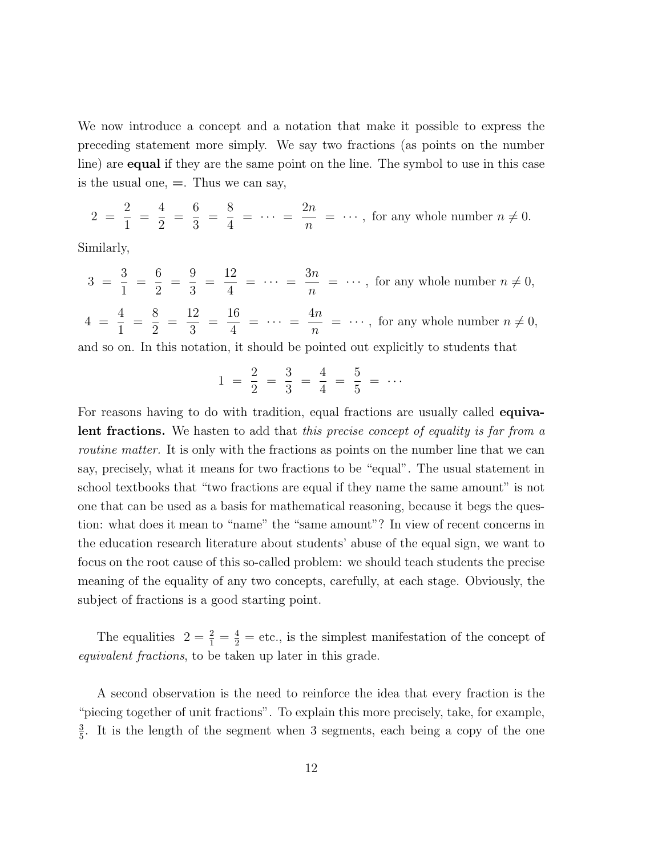We now introduce a concept and a notation that make it possible to express the preceding statement more simply. We say two fractions (as points on the number line) are equal if they are the same point on the line. The symbol to use in this case is the usual one,  $=$ . Thus we can say,

$$
2 = \frac{2}{1} = \frac{4}{2} = \frac{6}{3} = \frac{8}{4} = \cdots = \frac{2n}{n} = \cdots
$$
, for any whole number  $n \neq 0$ .

Similarly,

 $3 =$ 3 1 = 6 2 = 9 3 = 12 4  $= \cdots = \frac{3n}{n}$ n  $= \cdots$ , for any whole number  $n \neq 0$ , 4 = 4 1 = 8 2 = 12 3 = 16 4  $= \cdots = \frac{4n}{n}$  $\overline{n}$  $= \cdots$ , for any whole number  $n \neq 0$ ,

and so on. In this notation, it should be pointed out explicitly to students that

$$
1 = \frac{2}{2} = \frac{3}{3} = \frac{4}{4} = \frac{5}{5} = \cdots
$$

For reasons having to do with tradition, equal fractions are usually called **equiva**lent fractions. We hasten to add that this precise concept of equality is far from a routine matter. It is only with the fractions as points on the number line that we can say, precisely, what it means for two fractions to be "equal". The usual statement in school textbooks that "two fractions are equal if they name the same amount" is not one that can be used as a basis for mathematical reasoning, because it begs the question: what does it mean to "name" the "same amount"? In view of recent concerns in the education research literature about students' abuse of the equal sign, we want to focus on the root cause of this so-called problem: we should teach students the precise meaning of the equality of any two concepts, carefully, at each stage. Obviously, the subject of fractions is a good starting point.

The equalities  $2 = \frac{2}{1} = \frac{4}{2} =$  etc., is the simplest manifestation of the concept of equivalent fractions, to be taken up later in this grade.

A second observation is the need to reinforce the idea that every fraction is the "piecing together of unit fractions". To explain this more precisely, take, for example, 3  $\frac{3}{5}$ . It is the length of the segment when 3 segments, each being a copy of the one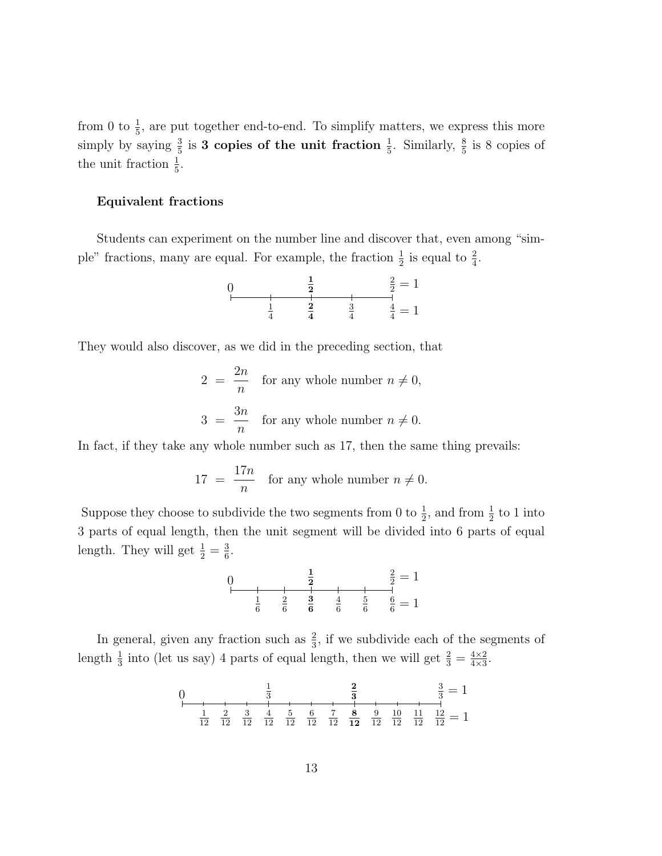from 0 to  $\frac{1}{5}$ , are put together end-to-end. To simplify matters, we express this more simply by saying  $\frac{3}{5}$  is **3 copies of the unit fraction**  $\frac{1}{5}$ . Similarly,  $\frac{8}{5}$  is 8 copies of the unit fraction  $\frac{1}{5}$ .

## Equivalent fractions

Students can experiment on the number line and discover that, even among "simple" fractions, many are equal. For example, the fraction  $\frac{1}{2}$  is equal to  $\frac{2}{4}$ .



They would also discover, as we did in the preceding section, that

$$
2 = \frac{2n}{n}
$$
 for any whole number  $n \neq 0$ ,  

$$
3 = \frac{3n}{n}
$$
 for any whole number  $n \neq 0$ .

In fact, if they take any whole number such as 17, then the same thing prevails:

$$
17 = \frac{17n}{n}
$$
 for any whole number  $n \neq 0$ .

Suppose they choose to subdivide the two segments from 0 to  $\frac{1}{2}$ , and from  $\frac{1}{2}$  to 1 into 3 parts of equal length, then the unit segment will be divided into 6 parts of equal length. They will get  $\frac{1}{2} = \frac{3}{6}$  $\frac{3}{6}$ .



In general, given any fraction such as  $\frac{2}{3}$ , if we subdivide each of the segments of length  $\frac{1}{3}$  into (let us say) 4 parts of equal length, then we will get  $\frac{2}{3} = \frac{4 \times 2}{4 \times 3}$  $\frac{4\times2}{4\times3}$ .

0 
$$
\frac{1}{3}
$$
  $\frac{2}{3}$   $\frac{3}{3} = 1$   
\n $\frac{1}{12}$   $\frac{2}{12}$   $\frac{3}{12}$   $\frac{4}{12}$   $\frac{5}{12}$   $\frac{6}{12}$   $\frac{7}{12}$   $\frac{8}{12}$   $\frac{9}{12}$   $\frac{10}{12}$   $\frac{11}{12}$   $\frac{12}{12} = 1$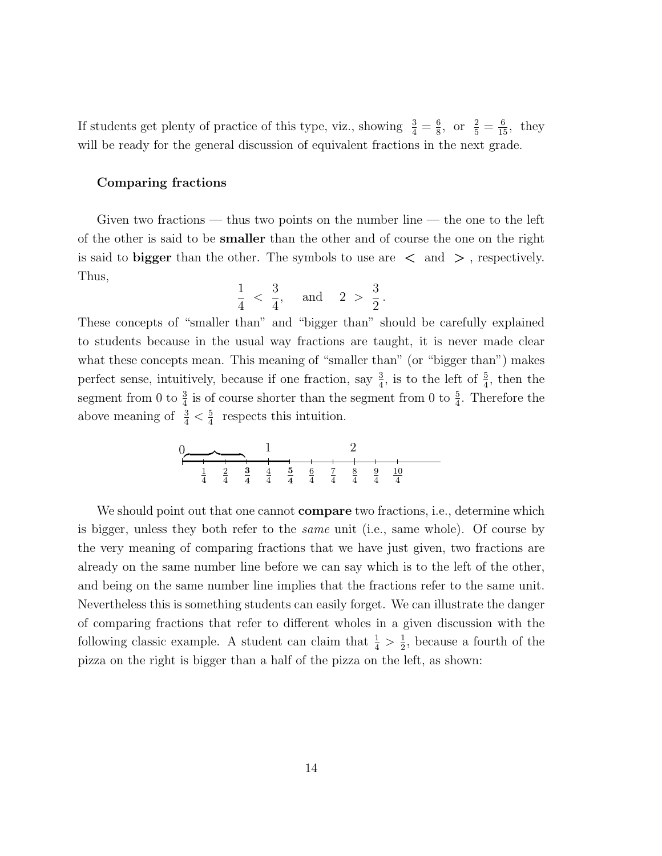If students get plenty of practice of this type, viz., showing  $\frac{3}{4} = \frac{6}{8}$  $\frac{6}{8}$ , or  $\frac{2}{5} = \frac{6}{15}$ , they will be ready for the general discussion of equivalent fractions in the next grade.

#### Comparing fractions

Given two fractions — thus two points on the number line — the one to the left of the other is said to be smaller than the other and of course the one on the right is said to bigger than the other. The symbols to use are  $\langle$  and  $\rangle$ , respectively. Thus,

$$
\frac{1}{4} < \frac{3}{4}, \quad \text{and} \quad 2 > \frac{3}{2}
$$

.

These concepts of "smaller than" and "bigger than" should be carefully explained to students because in the usual way fractions are taught, it is never made clear what these concepts mean. This meaning of "smaller than" (or "bigger than") makes perfect sense, intuitively, because if one fraction, say  $\frac{3}{4}$ , is to the left of  $\frac{5}{4}$ , then the segment from 0 to  $\frac{3}{4}$  is of course shorter than the segment from 0 to  $\frac{5}{4}$ . Therefore the above meaning of  $\frac{3}{4} < \frac{5}{4}$  $\frac{5}{4}$  respects this intuition.

0 1 2 1 4 2 4 3 4 4 4 5 4 6 4 7 4 8 4 9 4 10 4 z }| {

We should point out that one cannot **compare** two fractions, i.e., determine which is bigger, unless they both refer to the same unit (i.e., same whole). Of course by the very meaning of comparing fractions that we have just given, two fractions are already on the same number line before we can say which is to the left of the other, and being on the same number line implies that the fractions refer to the same unit. Nevertheless this is something students can easily forget. We can illustrate the danger of comparing fractions that refer to different wholes in a given discussion with the following classic example. A student can claim that  $\frac{1}{4} > \frac{1}{2}$  $\frac{1}{2}$ , because a fourth of the pizza on the right is bigger than a half of the pizza on the left, as shown: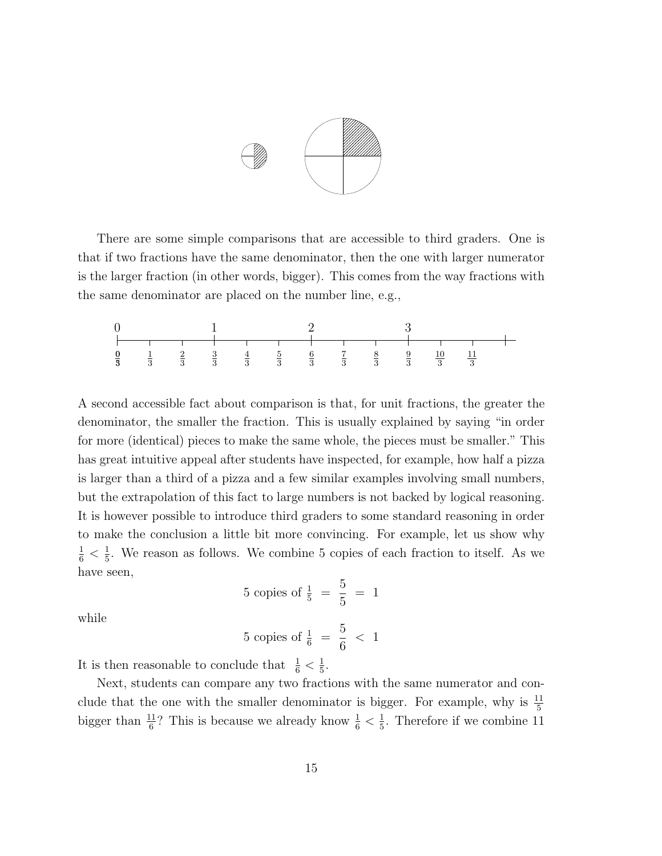

There are some simple comparisons that are accessible to third graders. One is that if two fractions have the same denominator, then the one with larger numerator is the larger fraction (in other words, bigger). This comes from the way fractions with the same denominator are placed on the number line, e.g.,



A second accessible fact about comparison is that, for unit fractions, the greater the denominator, the smaller the fraction. This is usually explained by saying "in order for more (identical) pieces to make the same whole, the pieces must be smaller." This has great intuitive appeal after students have inspected, for example, how half a pizza is larger than a third of a pizza and a few similar examples involving small numbers, but the extrapolation of this fact to large numbers is not backed by logical reasoning. It is however possible to introduce third graders to some standard reasoning in order to make the conclusion a little bit more convincing. For example, let us show why  $\frac{1}{6} < \frac{1}{5}$  $\frac{1}{5}$ . We reason as follows. We combine 5 copies of each fraction to itself. As we have seen,

5 copies of 
$$
\frac{1}{5} = \frac{5}{5} = 1
$$

while

5 copies of 
$$
\frac{1}{6} = \frac{5}{6} < 1
$$

It is then reasonable to conclude that  $\frac{1}{6} < \frac{1}{5}$  $\frac{1}{5}$ .

Next, students can compare any two fractions with the same numerator and conclude that the one with the smaller denominator is bigger. For example, why is  $\frac{11}{5}$ bigger than  $\frac{11}{6}$ ? This is because we already know  $\frac{1}{6} < \frac{1}{5}$  $\frac{1}{5}$ . Therefore if we combine 11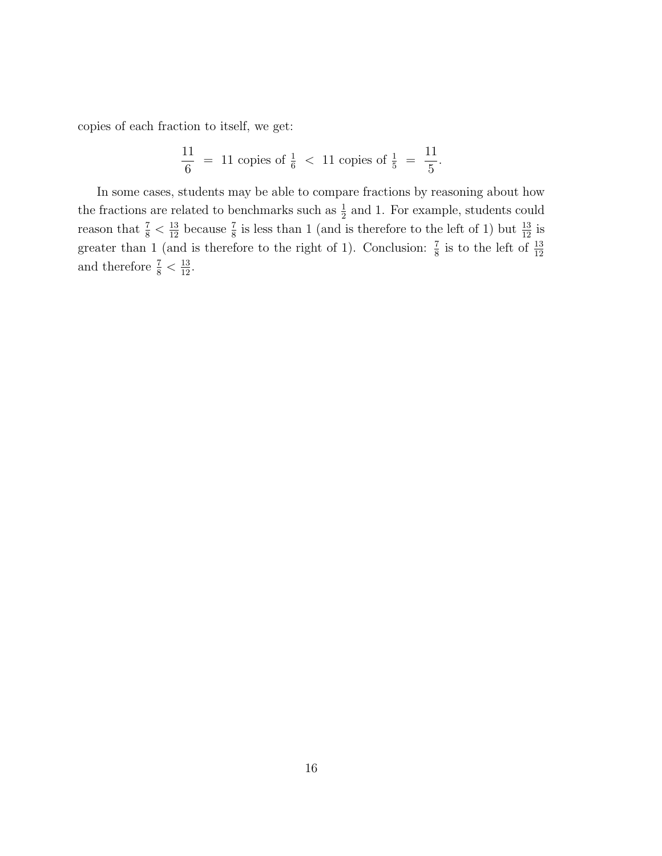copies of each fraction to itself, we get:

$$
\frac{11}{6} = 11 \text{ copies of } \frac{1}{6} < 11 \text{ copies of } \frac{1}{5} = \frac{11}{5}.
$$

In some cases, students may be able to compare fractions by reasoning about how the fractions are related to benchmarks such as  $\frac{1}{2}$  and 1. For example, students could reason that  $\frac{7}{8} < \frac{13}{12}$  because  $\frac{7}{8}$  is less than 1 (and is therefore to the left of 1) but  $\frac{13}{12}$  is greater than 1 (and is therefore to the right of 1). Conclusion:  $\frac{7}{8}$  is to the left of  $\frac{13}{12}$ and therefore  $\frac{7}{8} < \frac{13}{12}$ .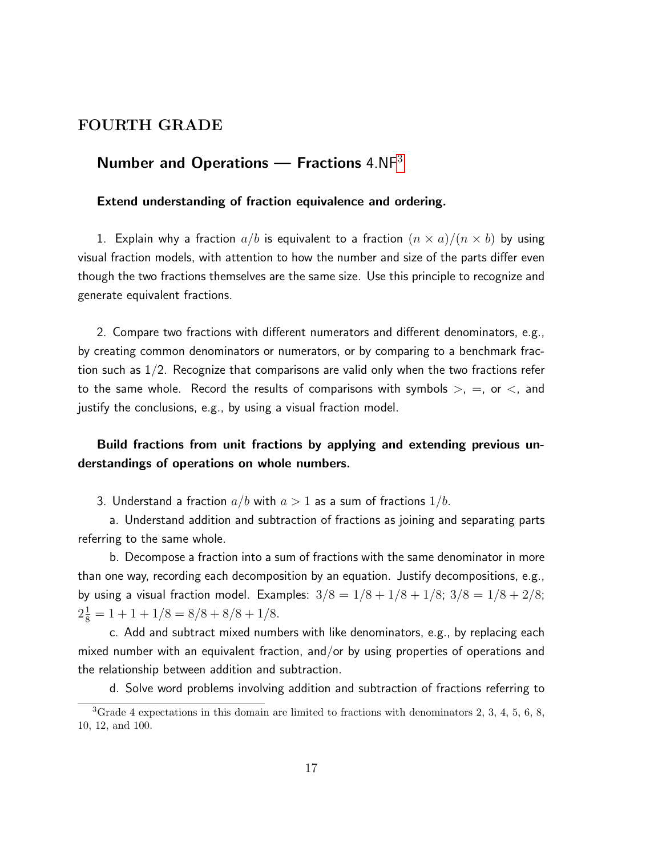## FOURTH GRADE

## Number and Operations  $-$  Fractions 4.NF<sup>[3](#page-16-0)</sup>

#### Extend understanding of fraction equivalence and ordering.

1. Explain why a fraction  $a/b$  is equivalent to a fraction  $(n \times a)/(n \times b)$  by using visual fraction models, with attention to how the number and size of the parts differ even though the two fractions themselves are the same size. Use this principle to recognize and generate equivalent fractions.

2. Compare two fractions with different numerators and different denominators, e.g., by creating common denominators or numerators, or by comparing to a benchmark fraction such as 1/2. Recognize that comparisons are valid only when the two fractions refer to the same whole. Record the results of comparisons with symbols  $>$ ,  $=$ , or  $\lt$ , and justify the conclusions, e.g., by using a visual fraction model.

## Build fractions from unit fractions by applying and extending previous understandings of operations on whole numbers.

3. Understand a fraction  $a/b$  with  $a>1$  as a sum of fractions  $1/b$ .

a. Understand addition and subtraction of fractions as joining and separating parts referring to the same whole.

b. Decompose a fraction into a sum of fractions with the same denominator in more than one way, recording each decomposition by an equation. Justify decompositions, e.g., by using a visual fraction model. Examples:  $3/8 = 1/8 + 1/8 + 1/8$ ;  $3/8 = 1/8 + 2/8$ ;  $2\frac{1}{8} = 1 + 1 + 1/8 = 8/8 + 8/8 + 1/8.$ 

c. Add and subtract mixed numbers with like denominators, e.g., by replacing each mixed number with an equivalent fraction, and/or by using properties of operations and the relationship between addition and subtraction.

d. Solve word problems involving addition and subtraction of fractions referring to

<span id="page-16-0"></span><sup>3</sup>Grade 4 expectations in this domain are limited to fractions with denominators 2, 3, 4, 5, 6, 8, 10, 12, and 100.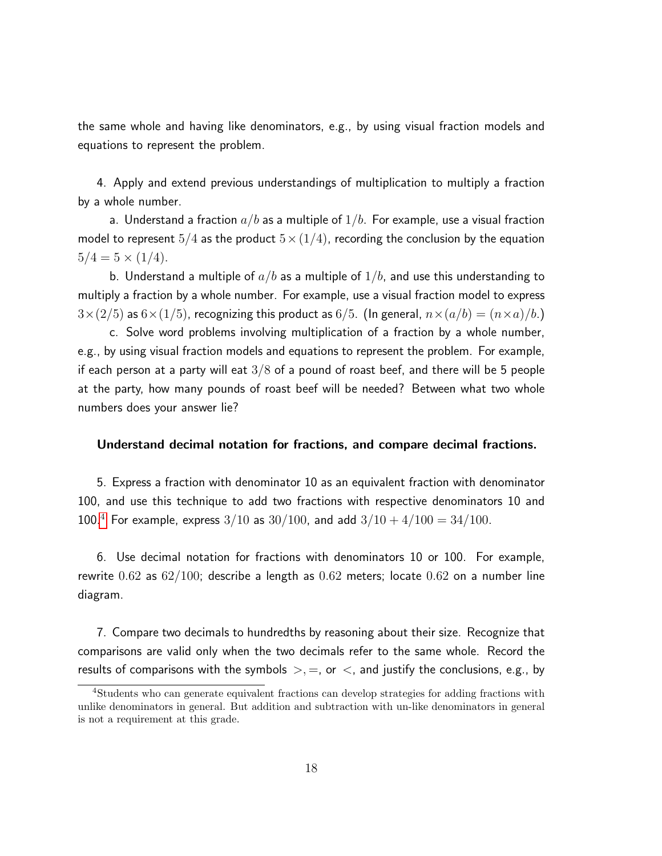the same whole and having like denominators, e.g., by using visual fraction models and equations to represent the problem.

4. Apply and extend previous understandings of multiplication to multiply a fraction by a whole number.

a. Understand a fraction  $a/b$  as a multiple of  $1/b$ . For example, use a visual fraction model to represent  $5/4$  as the product  $5 \times (1/4)$ , recording the conclusion by the equation  $5/4 = 5 \times (1/4)$ .

b. Understand a multiple of  $a/b$  as a multiple of  $1/b$ , and use this understanding to multiply a fraction by a whole number. For example, use a visual fraction model to express  $3\times(2/5)$  as  $6\times(1/5)$ , recognizing this product as  $6/5$ . (In general,  $n\times(a/b) = (n\times a)/b$ .)

c. Solve word problems involving multiplication of a fraction by a whole number, e.g., by using visual fraction models and equations to represent the problem. For example, if each person at a party will eat  $3/8$  of a pound of roast beef, and there will be 5 people at the party, how many pounds of roast beef will be needed? Between what two whole numbers does your answer lie?

### Understand decimal notation for fractions, and compare decimal fractions.

5. Express a fraction with denominator 10 as an equivalent fraction with denominator 100, and use this technique to add two fractions with respective denominators 10 and 100.<sup>[4](#page-17-0)</sup> For example, express  $3/10$  as  $30/100$ , and add  $3/10 + 4/100 = 34/100$ .

6. Use decimal notation for fractions with denominators 10 or 100. For example, rewrite  $0.62$  as  $62/100$ ; describe a length as  $0.62$  meters; locate  $0.62$  on a number line diagram.

7. Compare two decimals to hundredths by reasoning about their size. Recognize that comparisons are valid only when the two decimals refer to the same whole. Record the results of comparisons with the symbols  $\geq, =,$  or  $\lt$ , and justify the conclusions, e.g., by

<span id="page-17-0"></span><sup>4</sup>Students who can generate equivalent fractions can develop strategies for adding fractions with unlike denominators in general. But addition and subtraction with un-like denominators in general is not a requirement at this grade.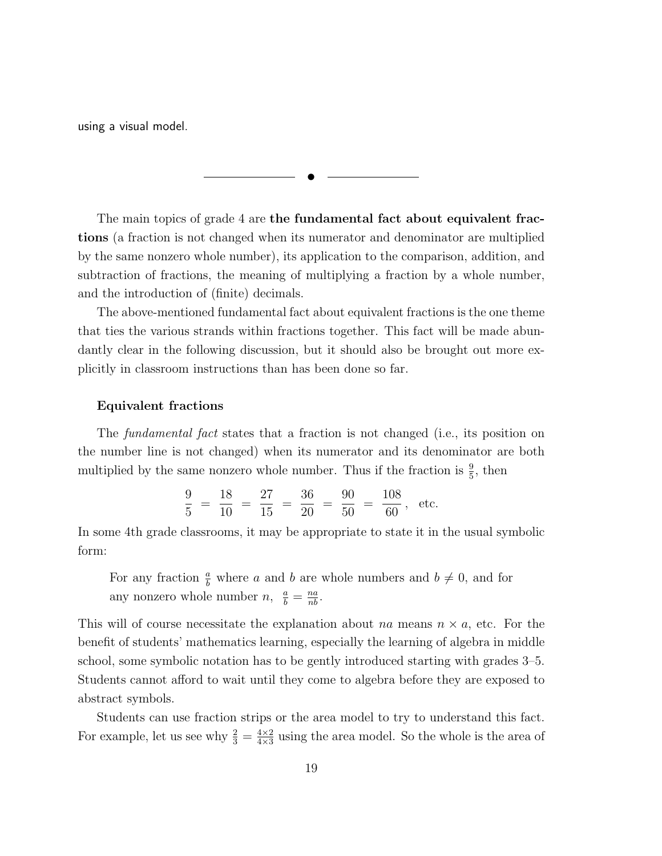using a visual model.

The main topics of grade 4 are the fundamental fact about equivalent fractions (a fraction is not changed when its numerator and denominator are multiplied by the same nonzero whole number), its application to the comparison, addition, and subtraction of fractions, the meaning of multiplying a fraction by a whole number, and the introduction of (finite) decimals.

✉

The above-mentioned fundamental fact about equivalent fractions is the one theme that ties the various strands within fractions together. This fact will be made abundantly clear in the following discussion, but it should also be brought out more explicitly in classroom instructions than has been done so far.

#### Equivalent fractions

The *fundamental fact* states that a fraction is not changed (i.e., its position on the number line is not changed) when its numerator and its denominator are both multiplied by the same nonzero whole number. Thus if the fraction is  $\frac{9}{5}$ , then

$$
\frac{9}{5} = \frac{18}{10} = \frac{27}{15} = \frac{36}{20} = \frac{90}{50} = \frac{108}{60}, \text{ etc.}
$$

In some 4th grade classrooms, it may be appropriate to state it in the usual symbolic form:

For any fraction  $\frac{a}{b}$  where a and b are whole numbers and  $b \neq 0$ , and for any nonzero whole number  $n, \frac{a}{b} = \frac{na}{nb}$ .

This will of course necessitate the explanation about na means  $n \times a$ , etc. For the benefit of students' mathematics learning, especially the learning of algebra in middle school, some symbolic notation has to be gently introduced starting with grades 3–5. Students cannot afford to wait until they come to algebra before they are exposed to abstract symbols.

Students can use fraction strips or the area model to try to understand this fact. For example, let us see why  $\frac{2}{3} = \frac{4 \times 2}{4 \times 3}$  $\frac{4\times2}{4\times3}$  using the area model. So the whole is the area of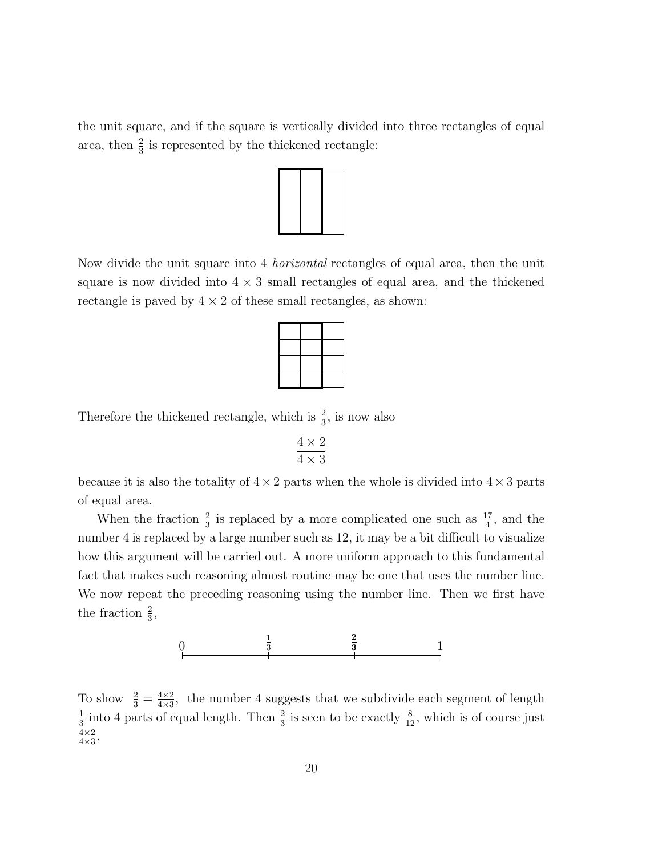the unit square, and if the square is vertically divided into three rectangles of equal area, then  $\frac{2}{3}$  is represented by the thickened rectangle:



Now divide the unit square into 4 horizontal rectangles of equal area, then the unit square is now divided into  $4 \times 3$  small rectangles of equal area, and the thickened rectangle is paved by  $4 \times 2$  of these small rectangles, as shown:

Therefore the thickened rectangle, which is  $\frac{2}{3}$ , is now also

$$
\frac{4\times 2}{4\times 3}
$$

because it is also the totality of  $4 \times 2$  parts when the whole is divided into  $4 \times 3$  parts of equal area.

When the fraction  $\frac{2}{3}$  is replaced by a more complicated one such as  $\frac{17}{4}$ , and the number 4 is replaced by a large number such as 12, it may be a bit difficult to visualize how this argument will be carried out. A more uniform approach to this fundamental fact that makes such reasoning almost routine may be one that uses the number line. We now repeat the preceding reasoning using the number line. Then we first have the fraction  $\frac{2}{3}$ ,



To show  $\frac{2}{3} = \frac{4 \times 2}{4 \times 3}$  $\frac{4\times2}{4\times3}$ , the number 4 suggests that we subdivide each segment of length 1  $\frac{1}{3}$  into 4 parts of equal length. Then  $\frac{2}{3}$  is seen to be exactly  $\frac{8}{12}$ , which is of course just  $4\times2$  $\frac{4\times2}{4\times3}$ .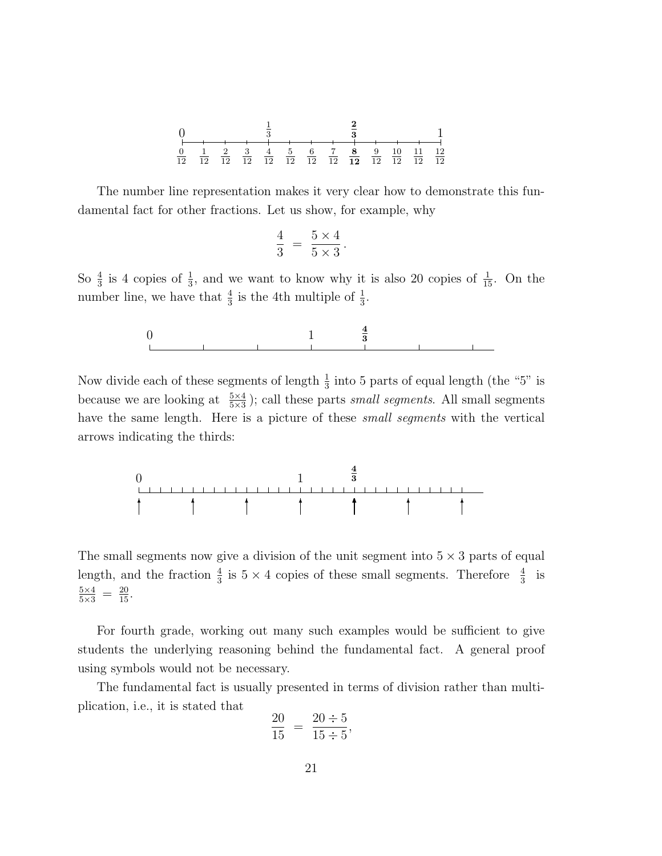| 0 | $\frac{1}{3}$  | $\frac{2}{3}$  | 1              |                |                |                |                |                |                |                 |                 |                 |
|---|----------------|----------------|----------------|----------------|----------------|----------------|----------------|----------------|----------------|-----------------|-----------------|-----------------|
| 0 | $\frac{1}{3}$  | $\frac{2}{3}$  | 1              |                |                |                |                |                |                |                 |                 |                 |
| 0 | $\frac{1}{12}$ | $\frac{2}{12}$ | $\frac{3}{12}$ | $\frac{4}{12}$ | $\frac{5}{12}$ | $\frac{6}{12}$ | $\frac{7}{12}$ | $\frac{8}{12}$ | $\frac{9}{12}$ | $\frac{10}{12}$ | $\frac{11}{12}$ | $\frac{12}{12}$ |

The number line representation makes it very clear how to demonstrate this fundamental fact for other fractions. Let us show, for example, why

$$
\frac{4}{3} = \frac{5 \times 4}{5 \times 3}.
$$

So  $\frac{4}{3}$  is 4 copies of  $\frac{1}{3}$ , and we want to know why it is also 20 copies of  $\frac{1}{15}$ . On the number line, we have that  $\frac{4}{3}$  is the 4th multiple of  $\frac{1}{3}$ .

$$
\begin{array}{c|cccc}\n0 & & & & 1 & & \frac{4}{3} \\
\hline\n\end{array}
$$

Now divide each of these segments of length  $\frac{1}{3}$  into 5 parts of equal length (the "5" is because we are looking at  $\frac{5\times4}{5\times3}$ ; call these parts *small segments*. All small segments have the same length. Here is a picture of these *small segments* with the vertical arrows indicating the thirds:



The small segments now give a division of the unit segment into  $5 \times 3$  parts of equal length, and the fraction  $\frac{4}{3}$  is  $5 \times 4$  copies of these small segments. Therefore  $\frac{4}{3}$  is  $\frac{5\times4}{5\times3} = \frac{20}{15}.$ 

For fourth grade, working out many such examples would be sufficient to give students the underlying reasoning behind the fundamental fact. A general proof using symbols would not be necessary.

The fundamental fact is usually presented in terms of division rather than multiplication, i.e., it is stated that

$$
\frac{20}{15} = \frac{20 \div 5}{15 \div 5},
$$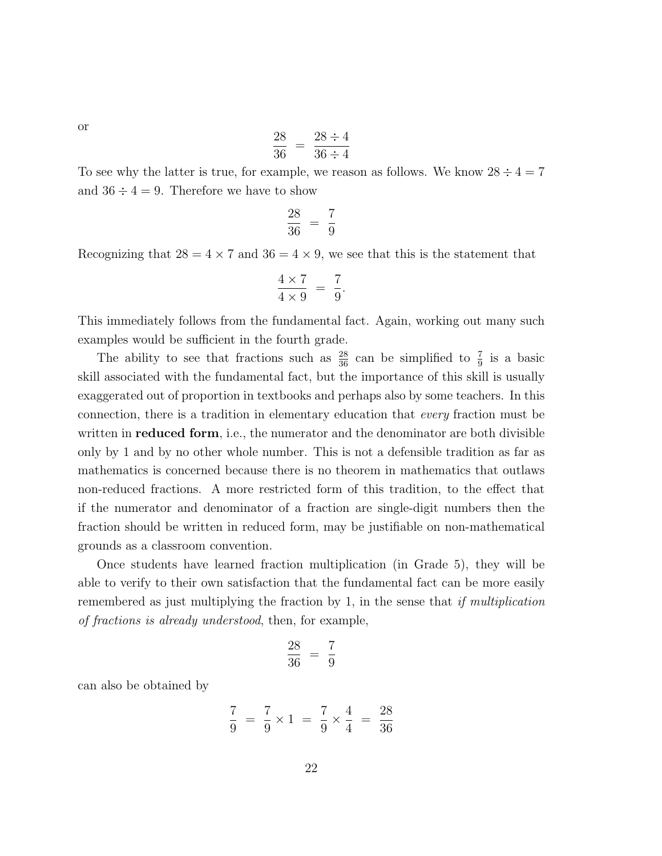$$
\frac{28}{36} = \frac{28 \div 4}{36 \div 4}
$$

To see why the latter is true, for example, we reason as follows. We know  $28 \div 4 = 7$ and  $36 \div 4 = 9$ . Therefore we have to show

$$
\frac{28}{36} = \frac{7}{9}
$$

Recognizing that  $28 = 4 \times 7$  and  $36 = 4 \times 9$ , we see that this is the statement that

$$
\frac{4 \times 7}{4 \times 9} = \frac{7}{9}.
$$

This immediately follows from the fundamental fact. Again, working out many such examples would be sufficient in the fourth grade.

The ability to see that fractions such as  $\frac{28}{36}$  can be simplified to  $\frac{7}{9}$  is a basic skill associated with the fundamental fact, but the importance of this skill is usually exaggerated out of proportion in textbooks and perhaps also by some teachers. In this connection, there is a tradition in elementary education that every fraction must be written in **reduced form**, i.e., the numerator and the denominator are both divisible only by 1 and by no other whole number. This is not a defensible tradition as far as mathematics is concerned because there is no theorem in mathematics that outlaws non-reduced fractions. A more restricted form of this tradition, to the effect that if the numerator and denominator of a fraction are single-digit numbers then the fraction should be written in reduced form, may be justifiable on non-mathematical grounds as a classroom convention.

Once students have learned fraction multiplication (in Grade 5), they will be able to verify to their own satisfaction that the fundamental fact can be more easily remembered as just multiplying the fraction by 1, in the sense that *if multiplication* of fractions is already understood, then, for example,

$$
\frac{28}{36} = \frac{7}{9}
$$

can also be obtained by

$$
\frac{7}{9} = \frac{7}{9} \times 1 = \frac{7}{9} \times \frac{4}{4} = \frac{28}{36}
$$

or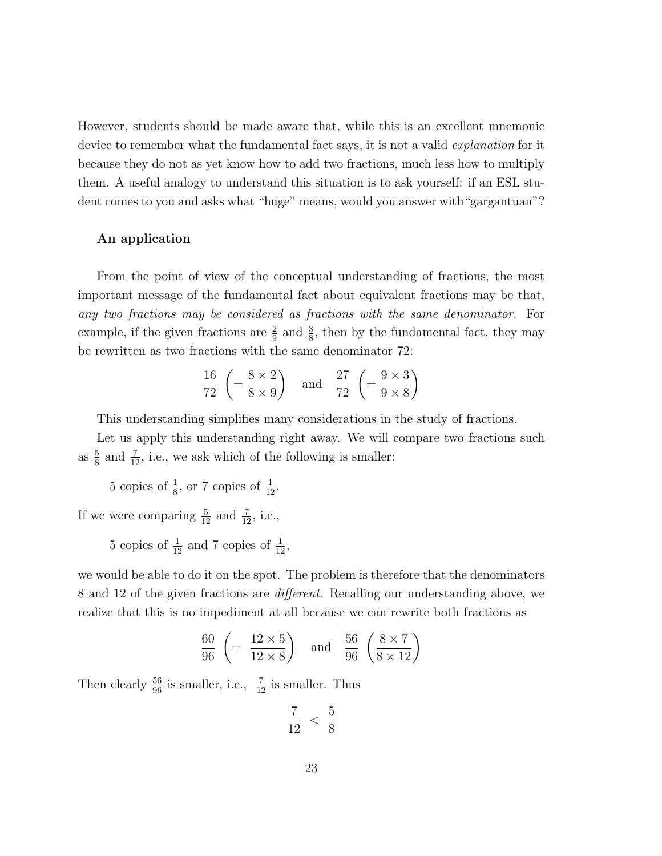However, students should be made aware that, while this is an excellent mnemonic device to remember what the fundamental fact says, it is not a valid *explanation* for it because they do not as yet know how to add two fractions, much less how to multiply them. A useful analogy to understand this situation is to ask yourself: if an ESL student comes to you and asks what "huge" means, would you answer with "gargantuan"?

#### An application

From the point of view of the conceptual understanding of fractions, the most important message of the fundamental fact about equivalent fractions may be that, any two fractions may be considered as fractions with the same denominator. For example, if the given fractions are  $\frac{2}{9}$  and  $\frac{3}{8}$ , then by the fundamental fact, they may be rewritten as two fractions with the same denominator 72:

$$
\frac{16}{72} \left( = \frac{8 \times 2}{8 \times 9} \right) \quad \text{and} \quad \frac{27}{72} \left( = \frac{9 \times 3}{9 \times 8} \right)
$$

This understanding simplifies many considerations in the study of fractions.

Let us apply this understanding right away. We will compare two fractions such as  $\frac{5}{8}$  and  $\frac{7}{12}$ , i.e., we ask which of the following is smaller:

5 copies of  $\frac{1}{8}$ , or 7 copies of  $\frac{1}{12}$ .

If we were comparing  $\frac{5}{12}$  and  $\frac{7}{12}$ , i.e.,

5 copies of  $\frac{1}{12}$  and 7 copies of  $\frac{1}{12}$ ,

we would be able to do it on the spot. The problem is therefore that the denominators 8 and 12 of the given fractions are different. Recalling our understanding above, we realize that this is no impediment at all because we can rewrite both fractions as

$$
\frac{60}{96} \left( = \frac{12 \times 5}{12 \times 8} \right) \quad \text{and} \quad \frac{56}{96} \left( \frac{8 \times 7}{8 \times 12} \right)
$$

Then clearly  $\frac{56}{96}$  is smaller, i.e.,  $\frac{7}{12}$  is smaller. Thus

$$
\frac{7}{12} < \frac{5}{8}
$$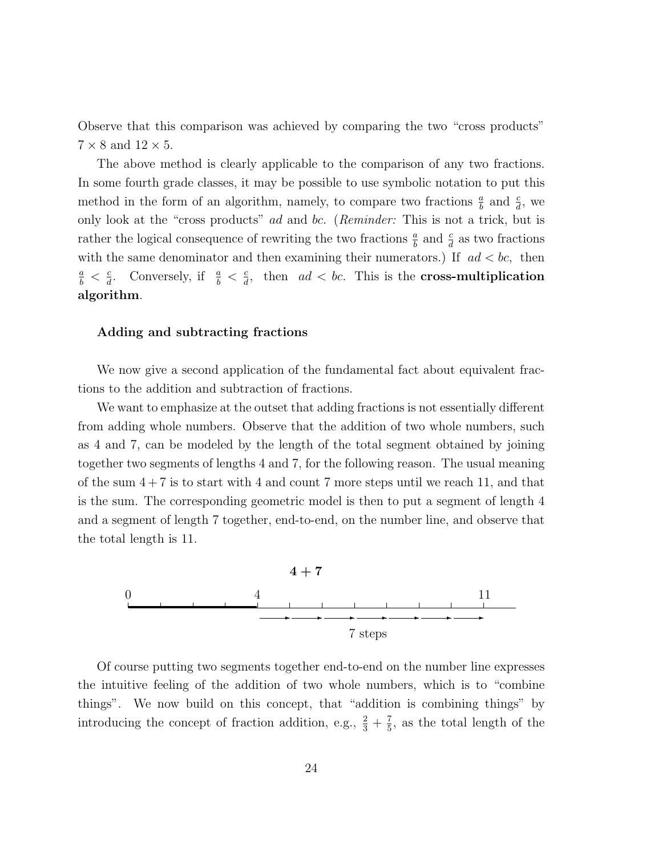Observe that this comparison was achieved by comparing the two "cross products"  $7 \times 8$  and  $12 \times 5$ .

The above method is clearly applicable to the comparison of any two fractions. In some fourth grade classes, it may be possible to use symbolic notation to put this method in the form of an algorithm, namely, to compare two fractions  $\frac{a}{b}$  and  $\frac{c}{d}$ , we only look at the "cross products" ad and bc. (Reminder: This is not a trick, but is rather the logical consequence of rewriting the two fractions  $\frac{a}{b}$  and  $\frac{c}{d}$  as two fractions with the same denominator and then examining their numerators.) If  $ad < bc$ , then  $\frac{a}{b} < \frac{c}{d}$  $\frac{c}{d}$ . Conversely, if  $\frac{a}{b} < \frac{c}{d}$  $\frac{c}{d}$ , then  $ad < bc$ . This is the **cross-multiplication** algorithm.

## Adding and subtracting fractions

We now give a second application of the fundamental fact about equivalent fractions to the addition and subtraction of fractions.

We want to emphasize at the outset that adding fractions is not essentially different from adding whole numbers. Observe that the addition of two whole numbers, such as 4 and 7, can be modeled by the length of the total segment obtained by joining together two segments of lengths 4 and 7, for the following reason. The usual meaning of the sum  $4 + 7$  is to start with 4 and count 7 more steps until we reach 11, and that is the sum. The corresponding geometric model is then to put a segment of length 4 and a segment of length 7 together, end-to-end, on the number line, and observe that the total length is 11.



Of course putting two segments together end-to-end on the number line expresses the intuitive feeling of the addition of two whole numbers, which is to "combine things". We now build on this concept, that "addition is combining things" by introducing the concept of fraction addition, e.g.,  $\frac{2}{3} + \frac{7}{5}$  $\frac{7}{5}$ , as the total length of the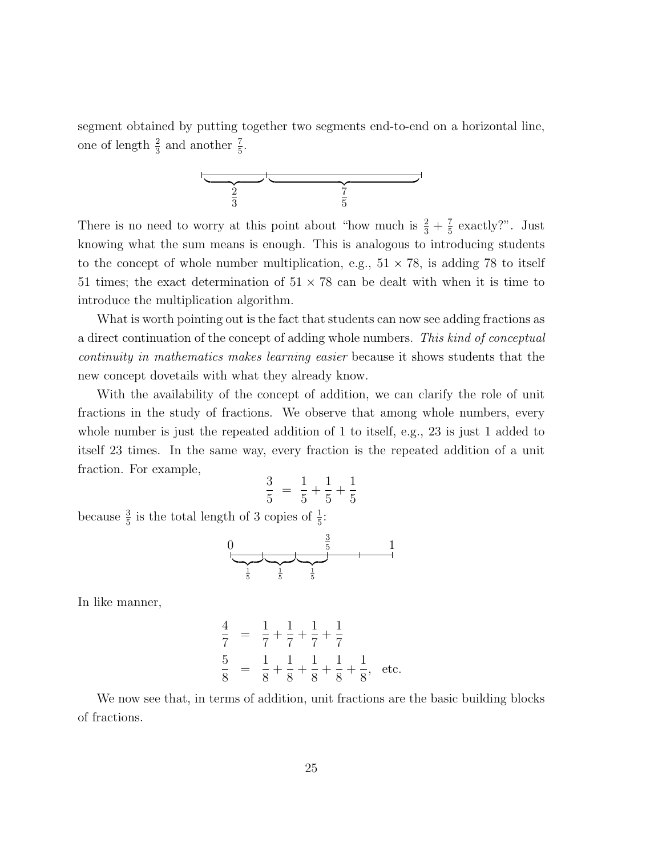segment obtained by putting together two segments end-to-end on a horizontal line, one of length  $\frac{2}{3}$  and another  $\frac{7}{5}$ .



There is no need to worry at this point about "how much is  $\frac{2}{3} + \frac{7}{5}$  $\frac{7}{5}$  exactly?". Just knowing what the sum means is enough. This is analogous to introducing students to the concept of whole number multiplication, e.g.,  $51 \times 78$ , is adding 78 to itself 51 times; the exact determination of  $51 \times 78$  can be dealt with when it is time to introduce the multiplication algorithm.

What is worth pointing out is the fact that students can now see adding fractions as a direct continuation of the concept of adding whole numbers. This kind of conceptual continuity in mathematics makes learning easier because it shows students that the new concept dovetails with what they already know.

With the availability of the concept of addition, we can clarify the role of unit fractions in the study of fractions. We observe that among whole numbers, every whole number is just the repeated addition of 1 to itself, e.g., 23 is just 1 added to itself 23 times. In the same way, every fraction is the repeated addition of a unit fraction. For example,

$$
\frac{3}{5} = \frac{1}{5} + \frac{1}{5} + \frac{1}{5}
$$

because  $\frac{3}{5}$  is the total length of 3 copies of  $\frac{1}{5}$ :

$$
\begin{array}{c|c}\n0 & \frac{3}{5} & 1 \\
\hline\n\frac{1}{5} & \frac{1}{5} & \frac{1}{5}\n\end{array}
$$

In like manner,

$$
\frac{4}{7} = \frac{1}{7} + \frac{1}{7} + \frac{1}{7} + \frac{1}{7}
$$
  
\n
$$
\frac{5}{8} = \frac{1}{8} + \frac{1}{8} + \frac{1}{8} + \frac{1}{8} + \frac{1}{8}, \text{ etc.}
$$

We now see that, in terms of addition, unit fractions are the basic building blocks of fractions.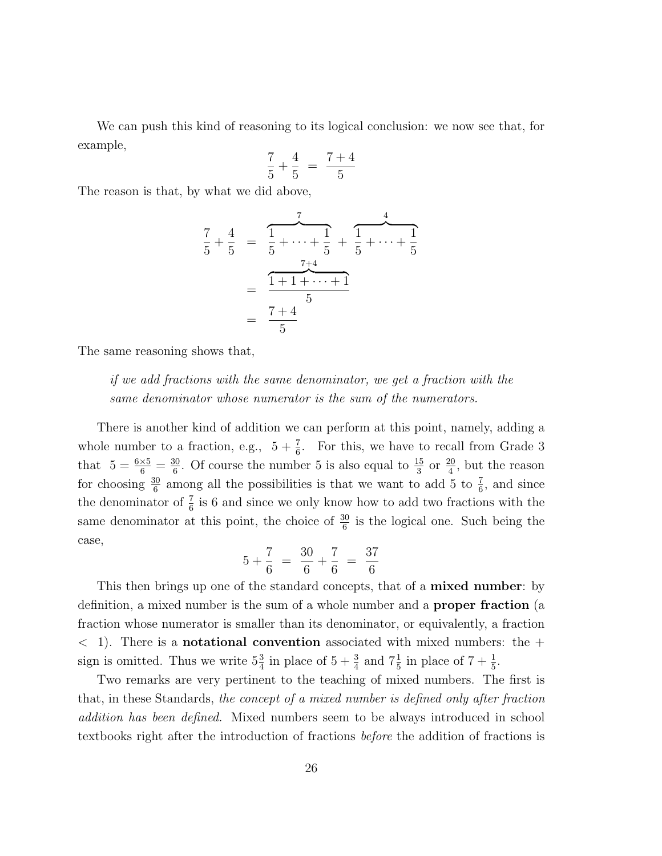We can push this kind of reasoning to its logical conclusion: we now see that, for example,

$$
\frac{7}{5} + \frac{4}{5} = \frac{7+4}{5}
$$

The reason is that, by what we did above,

$$
\frac{7}{5} + \frac{4}{5} = \frac{1}{5} + \dots + \frac{1}{5} + \frac{1}{5} + \dots + \frac{1}{5}
$$
\n
$$
= \frac{1 + 1 + \dots + 1}{5}
$$
\n
$$
= \frac{7 + 4}{5}
$$

The same reasoning shows that,

if we add fractions with the same denominator, we get a fraction with the same denominator whose numerator is the sum of the numerators.

There is another kind of addition we can perform at this point, namely, adding a whole number to a fraction, e.g.,  $5 + \frac{7}{6}$ . For this, we have to recall from Grade 3 that  $5 = \frac{6 \times 5}{6} = \frac{30}{6}$  $\frac{30}{6}$ . Of course the number 5 is also equal to  $\frac{15}{3}$  or  $\frac{20}{4}$ , but the reason for choosing  $\frac{30}{6}$  among all the possibilities is that we want to add 5 to  $\frac{7}{6}$ , and since the denominator of  $\frac{7}{6}$  is 6 and since we only know how to add two fractions with the same denominator at this point, the choice of  $\frac{30}{6}$  is the logical one. Such being the case,

$$
5 + \frac{7}{6} = \frac{30}{6} + \frac{7}{6} = \frac{37}{6}
$$

This then brings up one of the standard concepts, that of a **mixed number**: by definition, a mixed number is the sum of a whole number and a proper fraction (a fraction whose numerator is smaller than its denominator, or equivalently, a fraction  $\langle 1 \rangle$ . There is a **notational convention** associated with mixed numbers: the  $+$ sign is omitted. Thus we write  $5\frac{3}{4}$  in place of  $5 + \frac{3}{4}$  and  $7\frac{1}{5}$  in place of  $7 + \frac{1}{5}$ .

Two remarks are very pertinent to the teaching of mixed numbers. The first is that, in these Standards, the concept of a mixed number is defined only after fraction addition has been defined. Mixed numbers seem to be always introduced in school textbooks right after the introduction of fractions before the addition of fractions is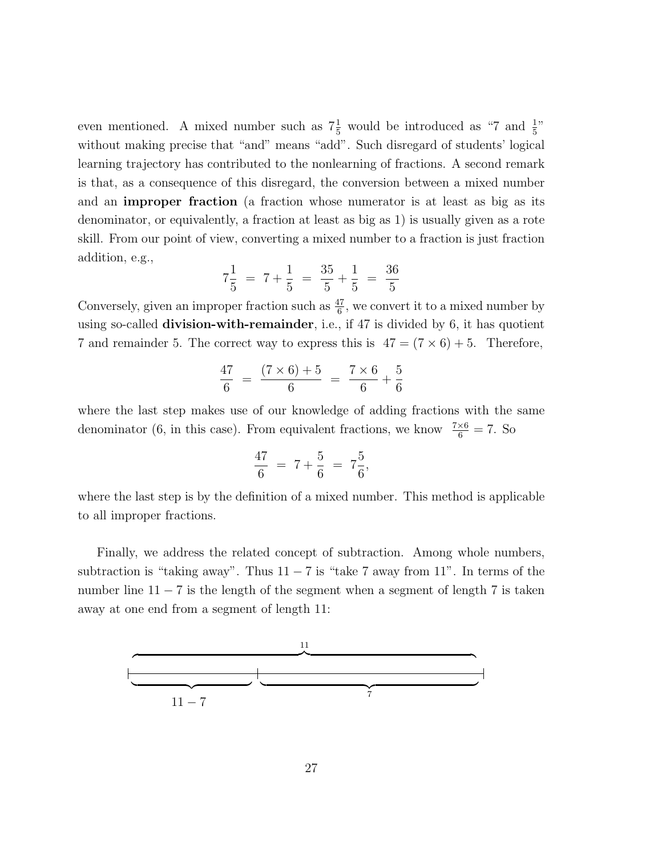even mentioned. A mixed number such as  $7\frac{1}{5}$  would be introduced as "7 and  $\frac{1}{5}$ " without making precise that "and" means "add". Such disregard of students' logical learning trajectory has contributed to the nonlearning of fractions. A second remark is that, as a consequence of this disregard, the conversion between a mixed number and an improper fraction (a fraction whose numerator is at least as big as its denominator, or equivalently, a fraction at least as big as 1) is usually given as a rote skill. From our point of view, converting a mixed number to a fraction is just fraction addition, e.g.,

$$
7\frac{1}{5} = 7 + \frac{1}{5} = \frac{35}{5} + \frac{1}{5} = \frac{36}{5}
$$

Conversely, given an improper fraction such as  $\frac{47}{6}$ , we convert it to a mixed number by using so-called division-with-remainder, i.e., if 47 is divided by 6, it has quotient 7 and remainder 5. The correct way to express this is  $47 = (7 \times 6) + 5$ . Therefore,

$$
\frac{47}{6} = \frac{(7 \times 6) + 5}{6} = \frac{7 \times 6}{6} + \frac{5}{6}
$$

where the last step makes use of our knowledge of adding fractions with the same denominator (6, in this case). From equivalent fractions, we know  $\frac{7\times6}{6} = 7$ . So

$$
\frac{47}{6} = 7 + \frac{5}{6} = 7\frac{5}{6},
$$

where the last step is by the definition of a mixed number. This method is applicable to all improper fractions.

Finally, we address the related concept of subtraction. Among whole numbers, subtraction is "taking away". Thus  $11 - 7$  is "take 7 away from  $11$ ". In terms of the number line  $11 - 7$  is the length of the segment when a segment of length 7 is taken away at one end from a segment of length 11:

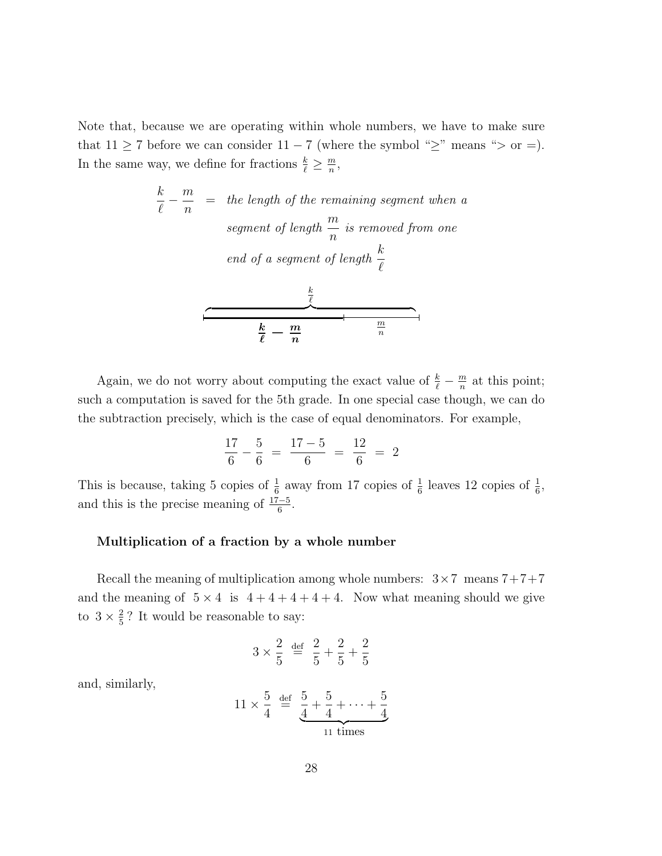Note that, because we are operating within whole numbers, we have to make sure that  $11 \ge 7$  before we can consider  $11 - 7$  (where the symbol " $\ge$ " means "> or =). In the same way, we define for fractions  $\frac{k}{\ell} \geq \frac{m}{n}$  $\frac{m}{n}$ ,

$$
\frac{k}{\ell} - \frac{m}{n} =
$$
 the length of the remaining segment when a  
segment of length  $\frac{m}{n}$  is removed from one  
end of a segment of length  $\frac{k}{\ell}$   

$$
\frac{\frac{k}{\ell}}{\frac{k}{\ell}} - \frac{m}{n}
$$

Again, we do not worry about computing the exact value of  $\frac{k}{\ell} - \frac{m}{n}$  $\frac{m}{n}$  at this point; such a computation is saved for the 5th grade. In one special case though, we can do the subtraction precisely, which is the case of equal denominators. For example,

$$
\frac{17}{6} - \frac{5}{6} = \frac{17 - 5}{6} = \frac{12}{6} = 2
$$

This is because, taking 5 copies of  $\frac{1}{6}$  away from 17 copies of  $\frac{1}{6}$  leaves 12 copies of  $\frac{1}{6}$ , and this is the precise meaning of  $\frac{17-5}{6}$ .

### Multiplication of a fraction by a whole number

Recall the meaning of multiplication among whole numbers:  $3 \times 7$  means  $7+7+7$ and the meaning of  $5 \times 4$  is  $4 + 4 + 4 + 4 + 4$ . Now what meaning should we give to  $3 \times \frac{2}{5}$  $\frac{2}{5}$ ? It would be reasonable to say:

$$
3 \times \frac{2}{5} \stackrel{\text{def}}{=} \frac{2}{5} + \frac{2}{5} + \frac{2}{5}
$$

and, similarly,

$$
11 \times \frac{5}{4} \stackrel{\text{def}}{=} \underbrace{\frac{5}{4} + \frac{5}{4} + \dots + \frac{5}{4}}_{11 \text{ times}}
$$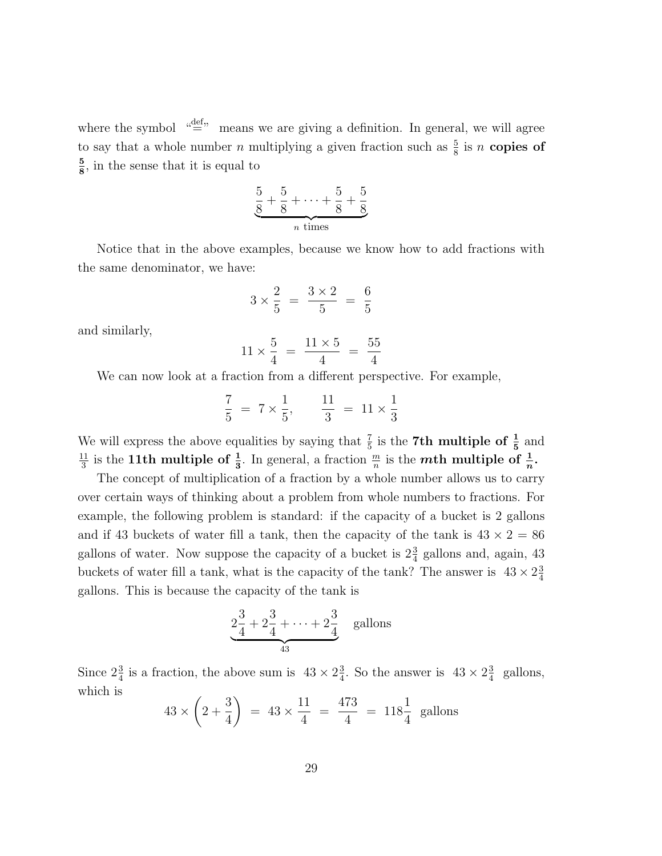where the symbol  $\mathcal{L}^{\text{def}}$  means we are giving a definition. In general, we will agree to say that a whole number n multiplying a given fraction such as  $\frac{5}{8}$  is n copies of 5  $\frac{5}{8}$ , in the sense that it is equal to

$$
\underbrace{\frac{5}{8} + \frac{5}{8} + \dots + \frac{5}{8} + \frac{5}{8}}_{n \text{ times}}
$$

Notice that in the above examples, because we know how to add fractions with the same denominator, we have:

$$
3 \times \frac{2}{5} = \frac{3 \times 2}{5} = \frac{6}{5}
$$

and similarly,

$$
11 \times \frac{5}{4} = \frac{11 \times 5}{4} = \frac{55}{4}
$$

We can now look at a fraction from a different perspective. For example,

$$
\frac{7}{5} = 7 \times \frac{1}{5}, \qquad \frac{11}{3} = 11 \times \frac{1}{3}
$$

We will express the above equalities by saying that  $\frac{7}{5}$  is the 7<sup>th</sup> multiple of  $\frac{1}{5}$  and 11  $\frac{11}{3}$  is the 11th multiple of  $\frac{1}{3}$ . In general, a fraction  $\frac{m}{n}$  is the *mth* multiple of  $\frac{1}{n}$ .

The concept of multiplication of a fraction by a whole number allows us to carry over certain ways of thinking about a problem from whole numbers to fractions. For example, the following problem is standard: if the capacity of a bucket is 2 gallons and if 43 buckets of water fill a tank, then the capacity of the tank is  $43 \times 2 = 86$ gallons of water. Now suppose the capacity of a bucket is  $2\frac{3}{4}$  gallons and, again, 43 buckets of water fill a tank, what is the capacity of the tank? The answer is  $43 \times 2\frac{3}{4}$ 4 gallons. This is because the capacity of the tank is

$$
2\frac{3}{4} + 2\frac{3}{4} + \dots + 2\frac{3}{4}
$$
 gallons

Since  $2\frac{3}{4}$  is a fraction, the above sum is  $43 \times 2\frac{3}{4}$  $\frac{3}{4}$ . So the answer is  $43 \times 2\frac{3}{4}$  $rac{3}{4}$  gallons, which is

$$
43 \times \left(2 + \frac{3}{4}\right) = 43 \times \frac{11}{4} = \frac{473}{4} = 118\frac{1}{4}
$$
 gallons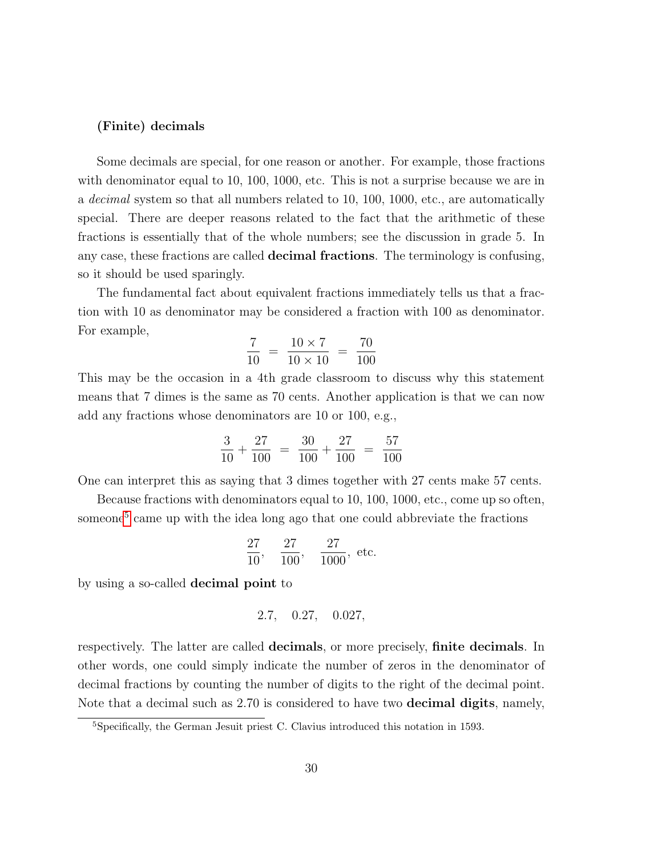#### (Finite) decimals

Some decimals are special, for one reason or another. For example, those fractions with denominator equal to 10, 100, 1000, etc. This is not a surprise because we are in a decimal system so that all numbers related to 10, 100, 1000, etc., are automatically special. There are deeper reasons related to the fact that the arithmetic of these fractions is essentially that of the whole numbers; see the discussion in grade 5. In any case, these fractions are called decimal fractions. The terminology is confusing, so it should be used sparingly.

The fundamental fact about equivalent fractions immediately tells us that a fraction with 10 as denominator may be considered a fraction with 100 as denominator. For example,

$$
\frac{7}{10} = \frac{10 \times 7}{10 \times 10} = \frac{70}{100}
$$

This may be the occasion in a 4th grade classroom to discuss why this statement means that 7 dimes is the same as 70 cents. Another application is that we can now add any fractions whose denominators are 10 or 100, e.g.,

$$
\frac{3}{10} + \frac{27}{100} = \frac{30}{100} + \frac{27}{100} = \frac{57}{100}
$$

One can interpret this as saying that 3 dimes together with 27 cents make 57 cents.

Because fractions with denominators equal to 10, 100, 1000, etc., come up so often, someone<sup>[5](#page-29-0)</sup> came up with the idea long ago that one could abbreviate the fractions

$$
\frac{27}{10}
$$
,  $\frac{27}{100}$ ,  $\frac{27}{1000}$ , etc.

by using a so-called decimal point to

$$
2.7, \quad 0.27, \quad 0.027,
$$

respectively. The latter are called decimals, or more precisely, finite decimals. In other words, one could simply indicate the number of zeros in the denominator of decimal fractions by counting the number of digits to the right of the decimal point. Note that a decimal such as 2.70 is considered to have two decimal digits, namely,

<span id="page-29-0"></span><sup>5</sup>Specifically, the German Jesuit priest C. Clavius introduced this notation in 1593.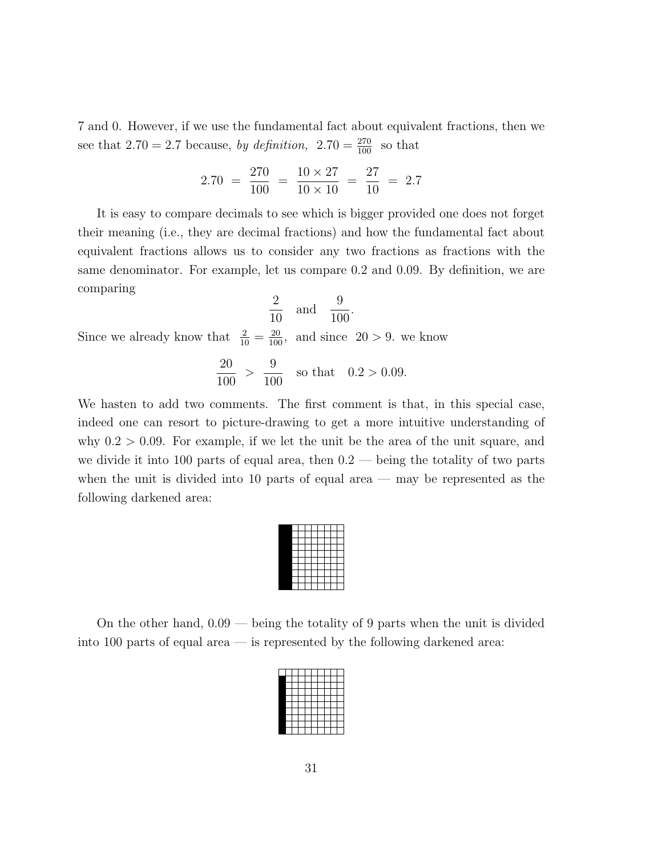7 and 0. However, if we use the fundamental fact about equivalent fractions, then we see that 2.70 = 2.7 because, by definition,  $2.70 = \frac{270}{100}$  so that

$$
2.70 = \frac{270}{100} = \frac{10 \times 27}{10 \times 10} = \frac{27}{10} = 2.7
$$

It is easy to compare decimals to see which is bigger provided one does not forget their meaning (i.e., they are decimal fractions) and how the fundamental fact about equivalent fractions allows us to consider any two fractions as fractions with the same denominator. For example, let us compare 0.2 and 0.09. By definition, we are comparing

$$
\frac{2}{10} \quad \text{and} \quad \frac{9}{100}.
$$

Since we already know that  $\frac{2}{10} = \frac{20}{100}$ , and since  $20 > 9$ . we know

$$
\frac{20}{100} > \frac{9}{100}
$$
 so that  $0.2 > 0.09$ .

We hasten to add two comments. The first comment is that, in this special case, indeed one can resort to picture-drawing to get a more intuitive understanding of why  $0.2 > 0.09$ . For example, if we let the unit be the area of the unit square, and we divide it into 100 parts of equal area, then  $0.2$  — being the totality of two parts when the unit is divided into 10 parts of equal area — may be represented as the following darkened area:

On the other hand, 0.09 — being the totality of 9 parts when the unit is divided into 100 parts of equal area — is represented by the following darkened area: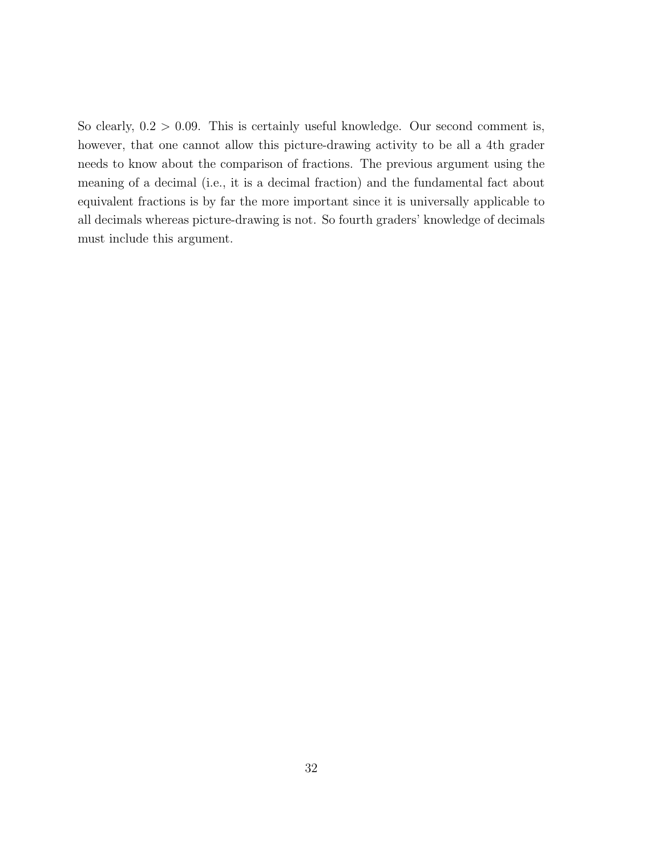So clearly,  $0.2 > 0.09$ . This is certainly useful knowledge. Our second comment is, however, that one cannot allow this picture-drawing activity to be all a 4th grader needs to know about the comparison of fractions. The previous argument using the meaning of a decimal (i.e., it is a decimal fraction) and the fundamental fact about equivalent fractions is by far the more important since it is universally applicable to all decimals whereas picture-drawing is not. So fourth graders' knowledge of decimals must include this argument.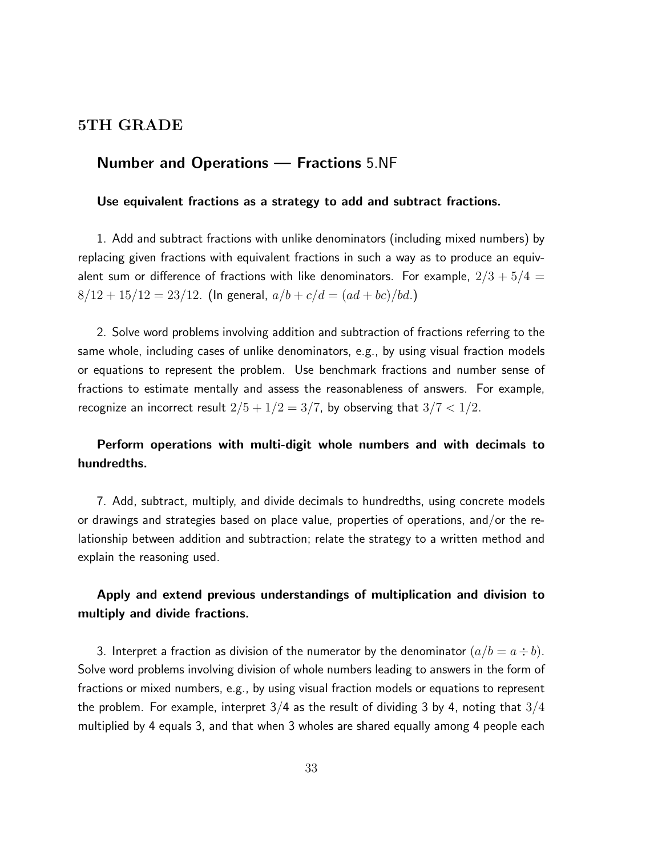## 5TH GRADE

## Number and Operations — Fractions 5.NF

#### Use equivalent fractions as a strategy to add and subtract fractions.

1. Add and subtract fractions with unlike denominators (including mixed numbers) by replacing given fractions with equivalent fractions in such a way as to produce an equivalent sum or difference of fractions with like denominators. For example,  $2/3 + 5/4 =$  $8/12 + 15/12 = 23/12$ . (In general,  $a/b + c/d = (ad + bc)/bd$ .)

2. Solve word problems involving addition and subtraction of fractions referring to the same whole, including cases of unlike denominators, e.g., by using visual fraction models or equations to represent the problem. Use benchmark fractions and number sense of fractions to estimate mentally and assess the reasonableness of answers. For example, recognize an incorrect result  $2/5 + 1/2 = 3/7$ , by observing that  $3/7 < 1/2$ .

## Perform operations with multi-digit whole numbers and with decimals to hundredths.

7. Add, subtract, multiply, and divide decimals to hundredths, using concrete models or drawings and strategies based on place value, properties of operations, and/or the relationship between addition and subtraction; relate the strategy to a written method and explain the reasoning used.

## Apply and extend previous understandings of multiplication and division to multiply and divide fractions.

3. Interpret a fraction as division of the numerator by the denominator  $(a/b = a \div b)$ . Solve word problems involving division of whole numbers leading to answers in the form of fractions or mixed numbers, e.g., by using visual fraction models or equations to represent the problem. For example, interpret  $3/4$  as the result of dividing 3 by 4, noting that  $3/4$ multiplied by 4 equals 3, and that when 3 wholes are shared equally among 4 people each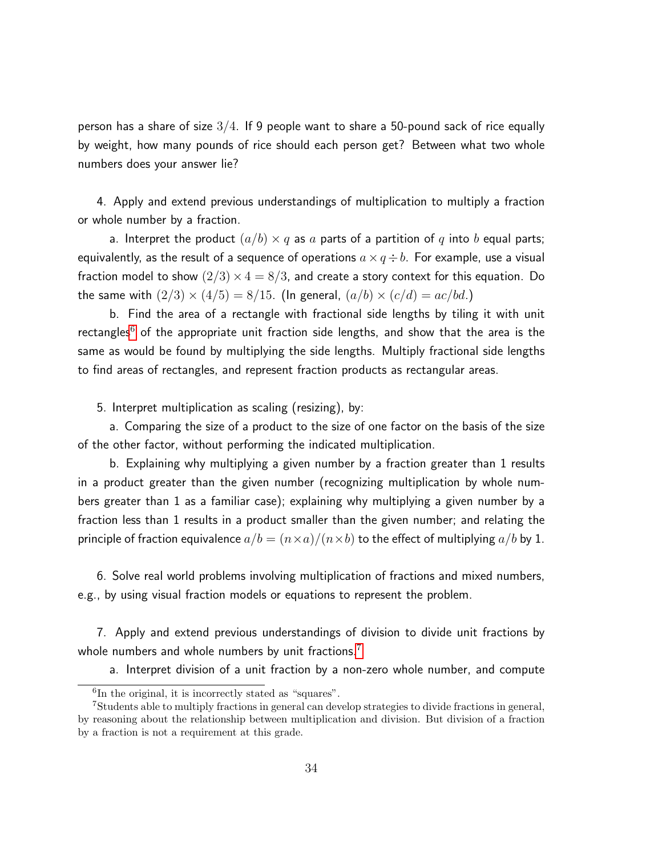person has a share of size  $3/4$ . If 9 people want to share a 50-pound sack of rice equally by weight, how many pounds of rice should each person get? Between what two whole numbers does your answer lie?

4. Apply and extend previous understandings of multiplication to multiply a fraction or whole number by a fraction.

a. Interpret the product  $(a/b) \times q$  as a parts of a partition of q into b equal parts; equivalently, as the result of a sequence of operations  $a \times q \div b$ . For example, use a visual fraction model to show  $(2/3) \times 4 = 8/3$ , and create a story context for this equation. Do the same with  $(2/3) \times (4/5) = 8/15$ . (In general,  $(a/b) \times (c/d) = ac/bd$ .)

b. Find the area of a rectangle with fractional side lengths by tiling it with unit rectangles $^6$  $^6$  of the appropriate unit fraction side lengths, and show that the area is the same as would be found by multiplying the side lengths. Multiply fractional side lengths to find areas of rectangles, and represent fraction products as rectangular areas.

5. Interpret multiplication as scaling (resizing), by:

a. Comparing the size of a product to the size of one factor on the basis of the size of the other factor, without performing the indicated multiplication.

b. Explaining why multiplying a given number by a fraction greater than 1 results in a product greater than the given number (recognizing multiplication by whole numbers greater than 1 as a familiar case); explaining why multiplying a given number by a fraction less than 1 results in a product smaller than the given number; and relating the principle of fraction equivalence  $a/b = (n \times a)/(n \times b)$  to the effect of multiplying  $a/b$  by 1.

6. Solve real world problems involving multiplication of fractions and mixed numbers, e.g., by using visual fraction models or equations to represent the problem.

7. Apply and extend previous understandings of division to divide unit fractions by whole numbers and whole numbers by unit fractions.<sup>[7](#page-33-1)</sup>

a. Interpret division of a unit fraction by a non-zero whole number, and compute

<span id="page-33-1"></span><span id="page-33-0"></span><sup>6</sup> In the original, it is incorrectly stated as "squares".

<sup>7</sup>Students able to multiply fractions in general can develop strategies to divide fractions in general, by reasoning about the relationship between multiplication and division. But division of a fraction by a fraction is not a requirement at this grade.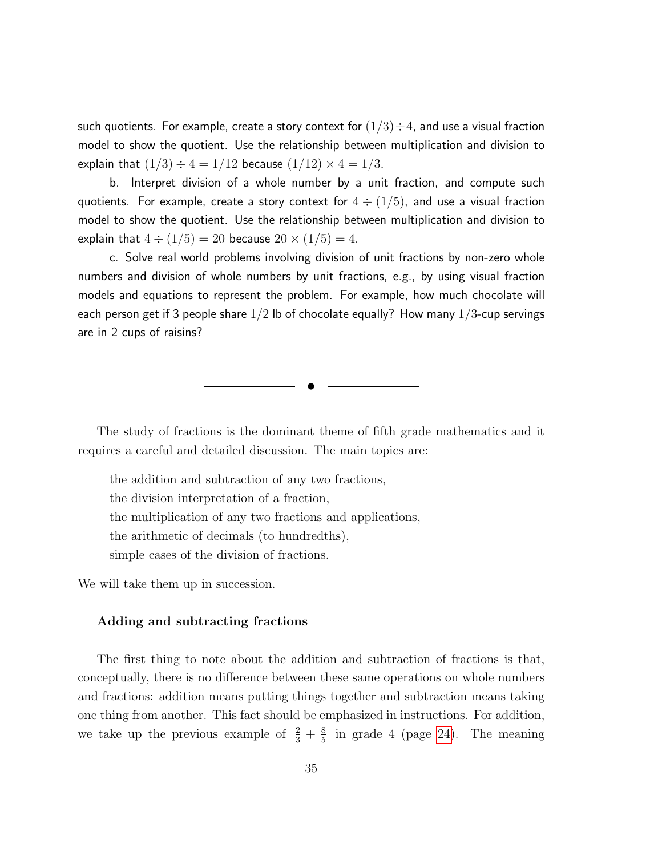such quotients. For example, create a story context for  $(1/3) \div 4$ , and use a visual fraction model to show the quotient. Use the relationship between multiplication and division to explain that  $(1/3) \div 4 = 1/12$  because  $(1/12) \times 4 = 1/3$ .

b. Interpret division of a whole number by a unit fraction, and compute such quotients. For example, create a story context for  $4 \div (1/5)$ , and use a visual fraction model to show the quotient. Use the relationship between multiplication and division to explain that  $4 \div (1/5) = 20$  because  $20 \times (1/5) = 4$ .

c. Solve real world problems involving division of unit fractions by non-zero whole numbers and division of whole numbers by unit fractions, e.g., by using visual fraction models and equations to represent the problem. For example, how much chocolate will each person get if 3 people share  $1/2$  lb of chocolate equally? How many  $1/3$ -cup servings are in 2 cups of raisins?

The study of fractions is the dominant theme of fifth grade mathematics and it requires a careful and detailed discussion. The main topics are:

✉

the addition and subtraction of any two fractions, the division interpretation of a fraction, the multiplication of any two fractions and applications, the arithmetic of decimals (to hundredths), simple cases of the division of fractions.

We will take them up in succession.

#### Adding and subtracting fractions

The first thing to note about the addition and subtraction of fractions is that, conceptually, there is no difference between these same operations on whole numbers and fractions: addition means putting things together and subtraction means taking one thing from another. This fact should be emphasized in instructions. For addition, we take up the previous example of  $\frac{2}{3} + \frac{8}{5}$  $\frac{8}{5}$  in grade 4 (page [24\)](#page-0-0). The meaning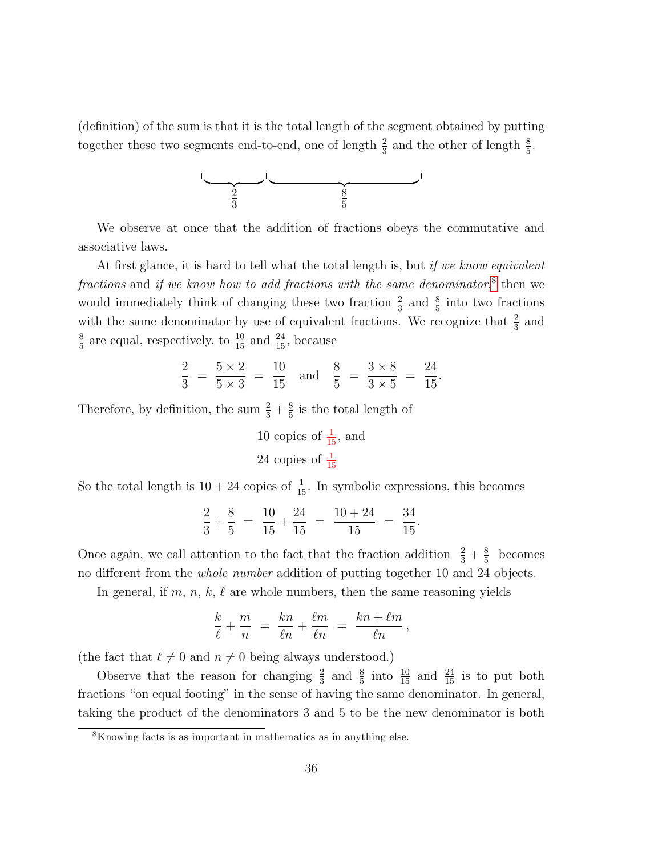(definition) of the sum is that it is the total length of the segment obtained by putting together these two segments end-to-end, one of length  $\frac{2}{3}$  and the other of length  $\frac{8}{5}$ .



We observe at once that the addition of fractions obeys the commutative and associative laws.

At first glance, it is hard to tell what the total length is, but if we know equivalent fractions and if we know how to add fractions with the same denominator,<sup>[8](#page-35-0)</sup> then we would immediately think of changing these two fraction  $\frac{2}{3}$  and  $\frac{8}{5}$  into two fractions with the same denominator by use of equivalent fractions. We recognize that  $\frac{2}{3}$  and 8  $\frac{8}{5}$  are equal, respectively, to  $\frac{10}{15}$  and  $\frac{24}{15}$ , because

$$
\frac{2}{3} = \frac{5 \times 2}{5 \times 3} = \frac{10}{15} \text{ and } \frac{8}{5} = \frac{3 \times 8}{3 \times 5} = \frac{24}{15}.
$$

Therefore, by definition, the sum  $\frac{2}{3} + \frac{8}{5}$  $\frac{8}{5}$  is the total length of

> 10 copies of  $\frac{1}{15}$ , and 24 copies of  $\frac{1}{15}$

So the total length is  $10 + 24$  copies of  $\frac{1}{15}$ . In symbolic expressions, this becomes

$$
\frac{2}{3} + \frac{8}{5} = \frac{10}{15} + \frac{24}{15} = \frac{10 + 24}{15} = \frac{34}{15}.
$$

Once again, we call attention to the fact that the fraction addition  $\frac{2}{3} + \frac{8}{5}$  $\frac{8}{5}$  becomes no different from the whole number addition of putting together 10 and 24 objects.

In general, if m, n, k,  $\ell$  are whole numbers, then the same reasoning yields

$$
\frac{k}{\ell} + \frac{m}{n} = \frac{kn}{\ell n} + \frac{\ell m}{\ell n} = \frac{kn + \ell m}{\ell n},
$$

(the fact that  $\ell \neq 0$  and  $n \neq 0$  being always understood.)

Observe that the reason for changing  $\frac{2}{3}$  and  $\frac{8}{5}$  into  $\frac{10}{15}$  and  $\frac{24}{15}$  is to put both fractions "on equal footing" in the sense of having the same denominator. In general, taking the product of the denominators 3 and 5 to be the new denominator is both

<span id="page-35-0"></span><sup>8</sup>Knowing facts is as important in mathematics as in anything else.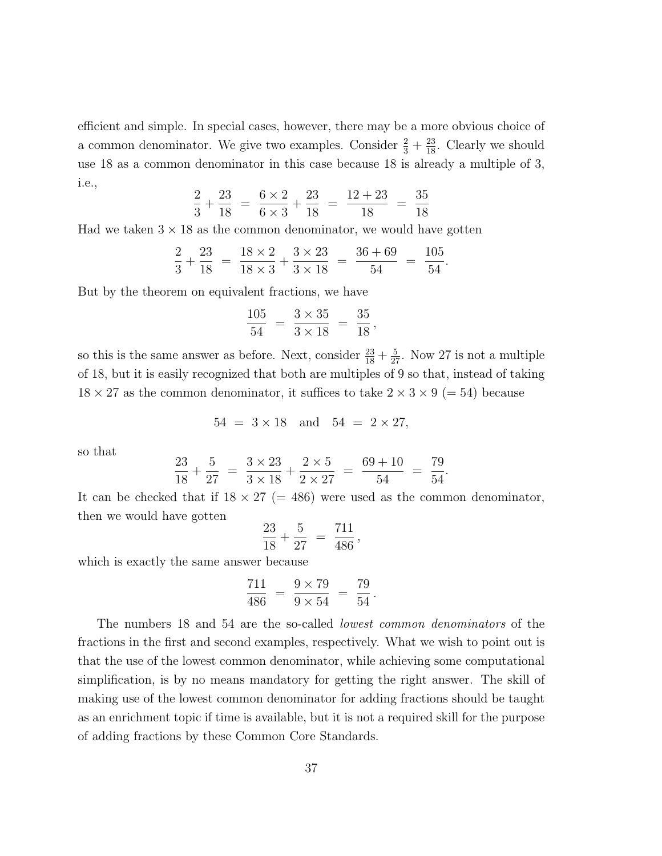efficient and simple. In special cases, however, there may be a more obvious choice of a common denominator. We give two examples. Consider  $\frac{2}{3} + \frac{23}{18}$ . Clearly we should use 18 as a common denominator in this case because 18 is already a multiple of 3, i.e.,

$$
\frac{2}{3} + \frac{23}{18} = \frac{6 \times 2}{6 \times 3} + \frac{23}{18} = \frac{12 + 23}{18} = \frac{35}{18}
$$

Had we taken  $3 \times 18$  as the common denominator, we would have gotten

$$
\frac{2}{3} + \frac{23}{18} = \frac{18 \times 2}{18 \times 3} + \frac{3 \times 23}{3 \times 18} = \frac{36 + 69}{54} = \frac{105}{54}
$$

.

But by the theorem on equivalent fractions, we have

$$
\frac{105}{54} = \frac{3 \times 35}{3 \times 18} = \frac{35}{18},
$$

so this is the same answer as before. Next, consider  $\frac{23}{18} + \frac{5}{27}$ . Now 27 is not a multiple of 18, but it is easily recognized that both are multiples of 9 so that, instead of taking  $18 \times 27$  as the common denominator, it suffices to take  $2 \times 3 \times 9$  (= 54) because

$$
54 = 3 \times 18
$$
 and  $54 = 2 \times 27$ ,

so that

$$
\frac{23}{18} + \frac{5}{27} = \frac{3 \times 23}{3 \times 18} + \frac{2 \times 5}{2 \times 27} = \frac{69 + 10}{54} = \frac{79}{54}.
$$

It can be checked that if  $18 \times 27$  (= 486) were used as the common denominator, then we would have gotten

$$
\frac{23}{18} + \frac{5}{27} = \frac{711}{486},
$$

which is exactly the same answer because

$$
\frac{711}{486} = \frac{9 \times 79}{9 \times 54} = \frac{79}{54}.
$$

The numbers 18 and 54 are the so-called lowest common denominators of the fractions in the first and second examples, respectively. What we wish to point out is that the use of the lowest common denominator, while achieving some computational simplification, is by no means mandatory for getting the right answer. The skill of making use of the lowest common denominator for adding fractions should be taught as an enrichment topic if time is available, but it is not a required skill for the purpose of adding fractions by these Common Core Standards.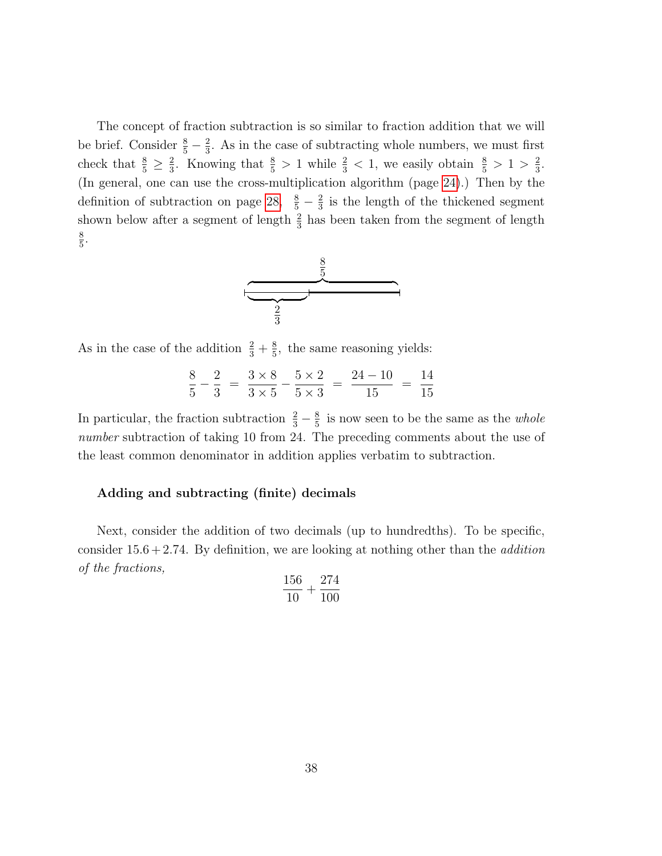The concept of fraction subtraction is so similar to fraction addition that we will be brief. Consider  $\frac{8}{5} - \frac{2}{3}$  $\frac{2}{3}$ . As in the case of subtracting whole numbers, we must first check that  $\frac{8}{5} \geq \frac{2}{3}$  $\frac{2}{3}$ . Knowing that  $\frac{8}{5} > 1$  while  $\frac{2}{3} < 1$ , we easily obtain  $\frac{8}{5} > 1 > \frac{2}{3}$  $\frac{2}{3}$ . (In general, one can use the cross-multiplication algorithm (page [24\)](#page-0-0).) Then by the definition of subtraction on page [28,](#page-0-1)  $\frac{8}{5} - \frac{2}{3}$  $\frac{2}{3}$  is the length of the thickened segment shown below after a segment of length  $\frac{2}{3}$  has been taken from the segment of length 8  $\frac{8}{5}$ .



As in the case of the addition  $\frac{2}{3} + \frac{8}{5}$  $\frac{8}{5}$ , the same reasoning yields:

$$
\frac{8}{5} - \frac{2}{3} = \frac{3 \times 8}{3 \times 5} - \frac{5 \times 2}{5 \times 3} = \frac{24 - 10}{15} = \frac{14}{15}
$$

In particular, the fraction subtraction  $\frac{2}{3} - \frac{8}{5}$  $\frac{8}{5}$  is now seen to be the same as the *whole* number subtraction of taking 10 from 24. The preceding comments about the use of the least common denominator in addition applies verbatim to subtraction.

# Adding and subtracting (finite) decimals

Next, consider the addition of two decimals (up to hundredths). To be specific, consider  $15.6 + 2.74$ . By definition, we are looking at nothing other than the *addition* of the fractions,

$$
\frac{156}{10} + \frac{274}{100}
$$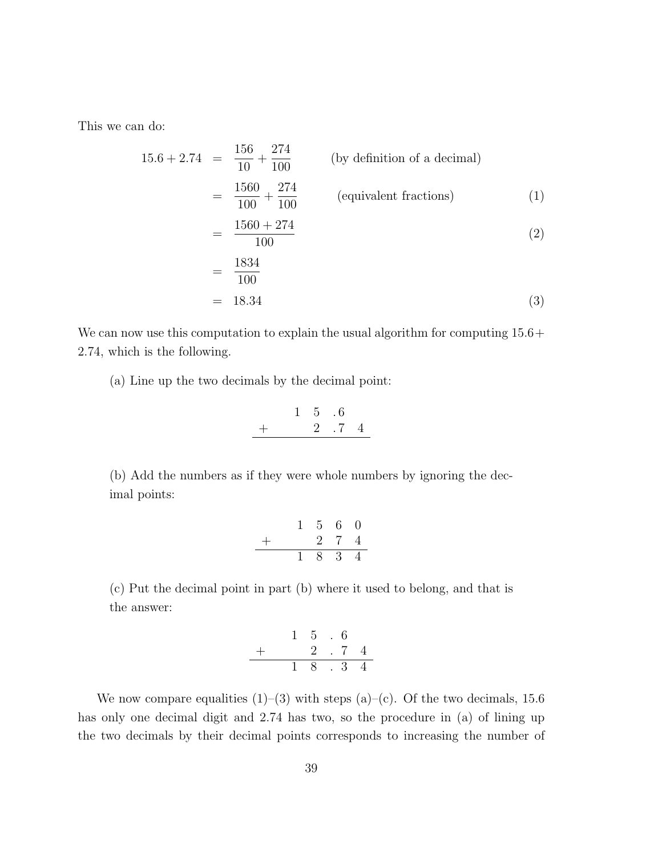This we can do:

<span id="page-38-0"></span>
$$
15.6 + 2.74 = \frac{156}{10} + \frac{274}{100}
$$
 (by definition of a decimal)  
\n
$$
= \frac{1560}{100} + \frac{274}{100}
$$
 (equivalent fractions) (1)  
\n
$$
= \frac{1560 + 274}{100}
$$
 (2)  
\n
$$
= \frac{1834}{100}
$$
 (3)

We can now use this computation to explain the usual algorithm for computing  $15.6+$ 2.74, which is the following.

(a) Line up the two decimals by the decimal point:

$$
\begin{array}{c|cccc}\n & 1 & 5 & .6 \\
+ & 2 & .7 & 4 \\
\hline\n\end{array}
$$

(b) Add the numbers as if they were whole numbers by ignoring the decimal points:

$$
\begin{array}{r|rrrr}\n & 1 & 5 & 6 & 0 \\
+ & & 2 & 7 & 4 \\
\hline\n & 1 & 8 & 3 & 4\n\end{array}
$$

(c) Put the decimal point in part (b) where it used to belong, and that is the answer:

$$
\begin{array}{r} 1 & 5 & .6 \\ + & 2 & .7 & 4 \\ \hline 1 & 8 & .3 & 4 \end{array}
$$

We now compare equalities  $(1)$ – $(3)$  with steps  $(a)$ – $(c)$ . Of the two decimals, 15.6 has only one decimal digit and 2.74 has two, so the procedure in (a) of lining up the two decimals by their decimal points corresponds to increasing the number of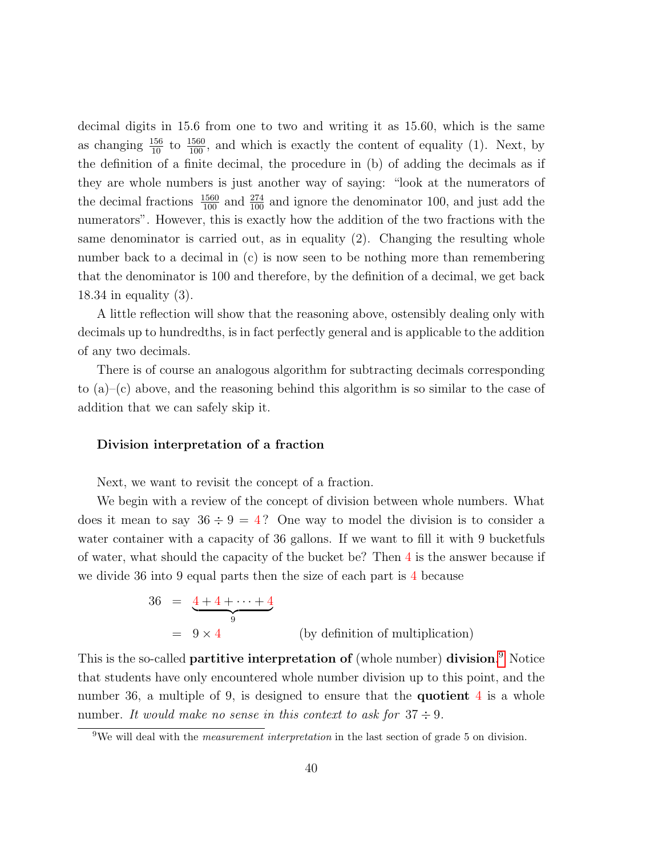decimal digits in 15.6 from one to two and writing it as 15.60, which is the same as changing  $\frac{156}{10}$  to  $\frac{1560}{100}$ , and which is exactly the content of equality (1). Next, by the definition of a finite decimal, the procedure in (b) of adding the decimals as if they are whole numbers is just another way of saying: "look at the numerators of the decimal fractions  $\frac{1560}{100}$  and  $\frac{274}{100}$  and ignore the denominator 100, and just add the numerators". However, this is exactly how the addition of the two fractions with the same denominator is carried out, as in equality (2). Changing the resulting whole number back to a decimal in (c) is now seen to be nothing more than remembering that the denominator is 100 and therefore, by the definition of a decimal, we get back 18.34 in equality (3).

A little reflection will show that the reasoning above, ostensibly dealing only with decimals up to hundredths, is in fact perfectly general and is applicable to the addition of any two decimals.

There is of course an analogous algorithm for subtracting decimals corresponding to (a)–(c) above, and the reasoning behind this algorithm is so similar to the case of addition that we can safely skip it.

### Division interpretation of a fraction

Next, we want to revisit the concept of a fraction.

We begin with a review of the concept of division between whole numbers. What does it mean to say  $36 \div 9 = 4$ ? One way to model the division is to consider a water container with a capacity of 36 gallons. If we want to fill it with 9 bucketfuls of water, what should the capacity of the bucket be? Then 4 is the answer because if we divide 36 into 9 equal parts then the size of each part is 4 because

$$
36 = \underbrace{4+4+\dots+4}_{9}
$$
  
= 9 \times 4 \t\t\t (by definition of multiplication)

This is the so-called **partitive interpretation of** (whole number) **division**.<sup>[9](#page-39-0)</sup> Notice that students have only encountered whole number division up to this point, and the number 36, a multiple of 9, is designed to ensure that the **quotient**  $4$  is a whole number. It would make no sense in this context to ask for  $37 \div 9$ .

<span id="page-39-0"></span><sup>&</sup>lt;sup>9</sup>We will deal with the *measurement interpretation* in the last section of grade 5 on division.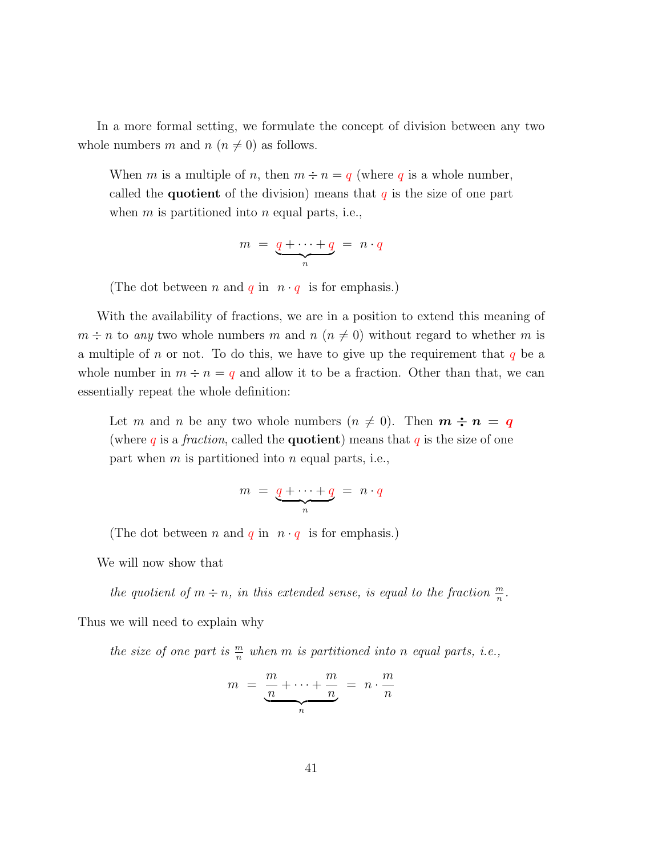In a more formal setting, we formulate the concept of division between any two whole numbers m and  $n (n \neq 0)$  as follows.

When m is a multiple of n, then  $m \div n = q$  (where q is a whole number, called the **quotient** of the division) means that  $q$  is the size of one part when  $m$  is partitioned into  $n$  equal parts, i.e.,

$$
m = \underbrace{q + \cdots + q}_{n} = n \cdot q
$$

(The dot between *n* and *q* in  $n \cdot q$  is for emphasis.)

With the availability of fractions, we are in a position to extend this meaning of  $m \div n$  to any two whole numbers m and  $n (n \neq 0)$  without regard to whether m is a multiple of n or not. To do this, we have to give up the requirement that  $q$  be a whole number in  $m \div n = q$  and allow it to be a fraction. Other than that, we can essentially repeat the whole definition:

Let m and n be any two whole numbers  $(n \neq 0)$ . Then  $m \div n = q$ (where q is a *fraction*, called the **quotient**) means that q is the size of one part when  $m$  is partitioned into  $n$  equal parts, i.e.,

$$
m = \underbrace{q + \cdots + q}_{n} = n \cdot q
$$

(The dot between n and q in  $n \cdot q$  is for emphasis.)

We will now show that

the quotient of  $m \div n$ , in this extended sense, is equal to the fraction  $\frac{m}{n}$ .

Thus we will need to explain why

the size of one part is  $\frac{m}{n}$  when m is partitioned into n equal parts, i.e.,

$$
m = \underbrace{\frac{m}{n} + \dots + \frac{m}{n}}_{n} = n \cdot \frac{m}{n}
$$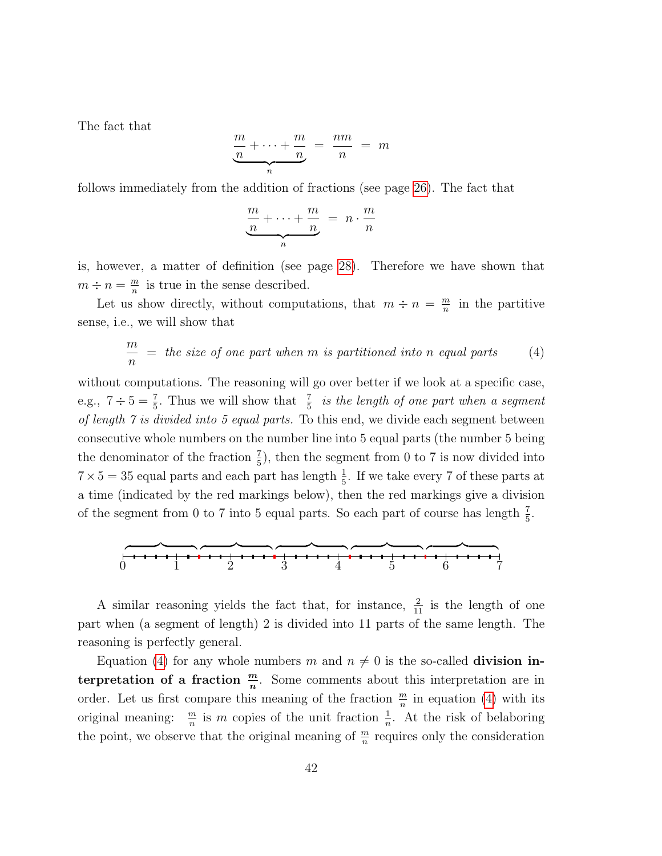The fact that

$$
\underbrace{\frac{m}{n} + \dots + \frac{m}{n}}_{n} = \frac{nm}{n} = m
$$

follows immediately from the addition of fractions (see page [26\)](#page-0-0). The fact that

<span id="page-41-0"></span>
$$
\underbrace{\frac{m}{n} + \dots + \frac{m}{n}}_{n} = n \cdot \frac{m}{n}
$$

is, however, a matter of definition (see page [28\)](#page-0-0). Therefore we have shown that  $m \div n = \frac{m}{n}$  $\frac{m}{n}$  is true in the sense described.

Let us show directly, without computations, that  $m \div n = \frac{m}{n}$  $\frac{m}{n}$  in the partitive sense, i.e., we will show that

$$
\frac{m}{n} = the size of one part when m is partitioned into n equal parts \qquad (4)
$$

without computations. The reasoning will go over better if we look at a specific case, e.g.,  $7 \div 5 = \frac{7}{5}$ . Thus we will show that  $\frac{7}{5}$  is the length of one part when a segment of length 7 is divided into 5 equal parts. To this end, we divide each segment between consecutive whole numbers on the number line into 5 equal parts (the number 5 being the denominator of the fraction  $\frac{7}{5}$ , then the segment from 0 to 7 is now divided into  $7 \times 5 = 35$  equal parts and each part has length  $\frac{1}{5}$ . If we take every 7 of these parts at a time (indicated by the red markings below), then the red markings give a division of the segment from 0 to 7 into 5 equal parts. So each part of course has length  $\frac{7}{5}$ .



A similar reasoning yields the fact that, for instance,  $\frac{2}{11}$  is the length of one part when (a segment of length) 2 is divided into 11 parts of the same length. The reasoning is perfectly general.

Equation [\(4\)](#page-41-0) for any whole numbers m and  $n \neq 0$  is the so-called **division in**terpretation of a fraction  $\frac{m}{n}$ . Some comments about this interpretation are in order. Let us first compare this meaning of the fraction  $\frac{m}{n}$  in equation [\(4\)](#page-41-0) with its original meaning:  $\frac{m}{n}$  is m copies of the unit fraction  $\frac{1}{n}$ . At the risk of belaboring the point, we observe that the original meaning of  $\frac{m}{n}$  requires only the consideration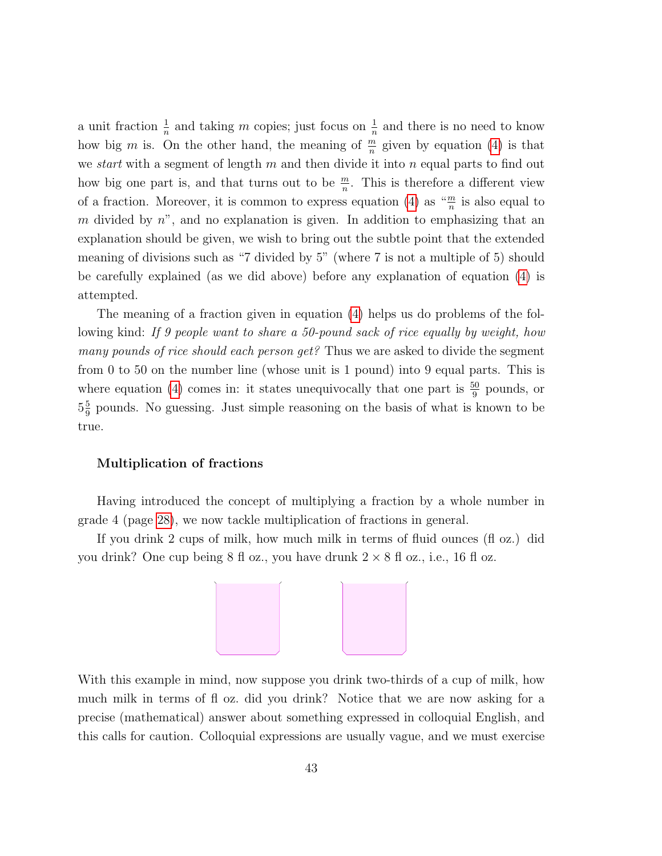a unit fraction  $\frac{1}{n}$  and taking m copies; just focus on  $\frac{1}{n}$  and there is no need to know how big m is. On the other hand, the meaning of  $\frac{m}{n}$  given by equation [\(4\)](#page-41-0) is that we *start* with a segment of length m and then divide it into n equal parts to find out how big one part is, and that turns out to be  $\frac{m}{n}$ . This is therefore a different view of a fraction. Moreover, it is common to express equation [\(4\)](#page-41-0) as  $\frac{m}{n}$  is also equal to m divided by  $n^{\prime\prime}$ , and no explanation is given. In addition to emphasizing that an explanation should be given, we wish to bring out the subtle point that the extended meaning of divisions such as "7 divided by 5" (where 7 is not a multiple of 5) should be carefully explained (as we did above) before any explanation of equation [\(4\)](#page-41-0) is attempted.

The meaning of a fraction given in equation [\(4\)](#page-41-0) helps us do problems of the following kind: If 9 people want to share a 50-pound sack of rice equally by weight, how many pounds of rice should each person get? Thus we are asked to divide the segment from 0 to 50 on the number line (whose unit is 1 pound) into 9 equal parts. This is where equation [\(4\)](#page-41-0) comes in: it states unequivocally that one part is  $\frac{50}{9}$  pounds, or  $5\frac{5}{9}$  $\frac{5}{9}$  pounds. No guessing. Just simple reasoning on the basis of what is known to be true.

### Multiplication of fractions

Having introduced the concept of multiplying a fraction by a whole number in grade 4 (page [28\)](#page-0-0), we now tackle multiplication of fractions in general.

If you drink 2 cups of milk, how much milk in terms of fluid ounces (fl oz.) did you drink? One cup being  $8 \text{ fl}$  oz., you have drunk  $2 \times 8 \text{ fl}$  oz., i.e., 16 fl oz.



With this example in mind, now suppose you drink two-thirds of a cup of milk, how much milk in terms of fl oz. did you drink? Notice that we are now asking for a precise (mathematical) answer about something expressed in colloquial English, and this calls for caution. Colloquial expressions are usually vague, and we must exercise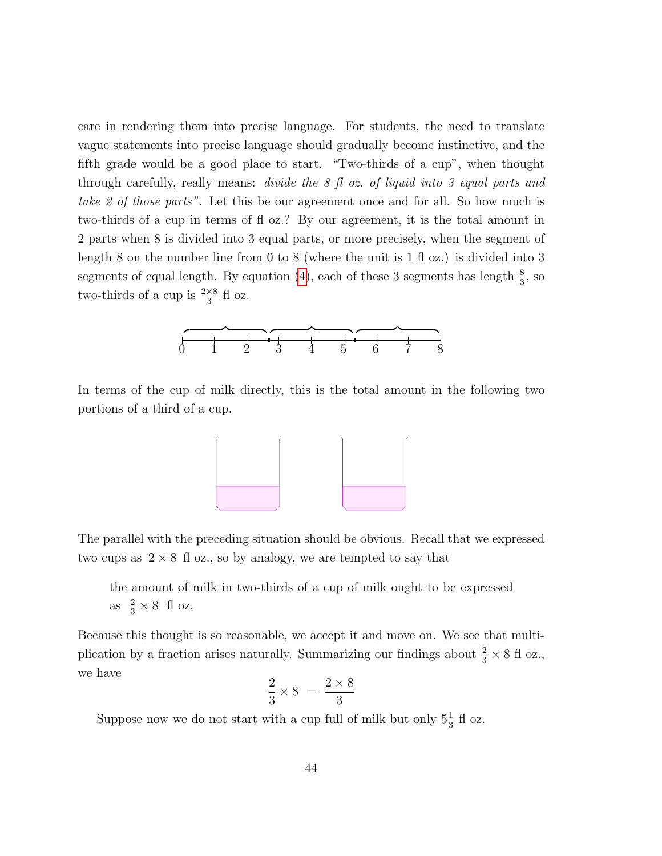care in rendering them into precise language. For students, the need to translate vague statements into precise language should gradually become instinctive, and the fifth grade would be a good place to start. "Two-thirds of a cup", when thought through carefully, really means: divide the 8 fl oz. of liquid into 3 equal parts and take 2 of those parts". Let this be our agreement once and for all. So how much is two-thirds of a cup in terms of fl oz.? By our agreement, it is the total amount in 2 parts when 8 is divided into 3 equal parts, or more precisely, when the segment of length 8 on the number line from 0 to 8 (where the unit is  $1 \text{ fl } \text{o}z$ .) is divided into 3 segments of equal length. By equation [\(4\)](#page-41-0), each of these 3 segments has length  $\frac{8}{3}$ , so two-thirds of a cup is  $\frac{2\times8}{3}$  fl oz.



In terms of the cup of milk directly, this is the total amount in the following two portions of a third of a cup.



The parallel with the preceding situation should be obvious. Recall that we expressed two cups as  $2 \times 8$  fl oz., so by analogy, we are tempted to say that

the amount of milk in two-thirds of a cup of milk ought to be expressed as  $\frac{2}{3} \times 8$  fl oz.

Because this thought is so reasonable, we accept it and move on. We see that multiplication by a fraction arises naturally. Summarizing our findings about  $\frac{2}{3} \times 8$  fl oz., we have

$$
\frac{2}{3} \times 8 = \frac{2 \times 8}{3}
$$

Suppose now we do not start with a cup full of milk but only  $5\frac{1}{3}$  fl oz.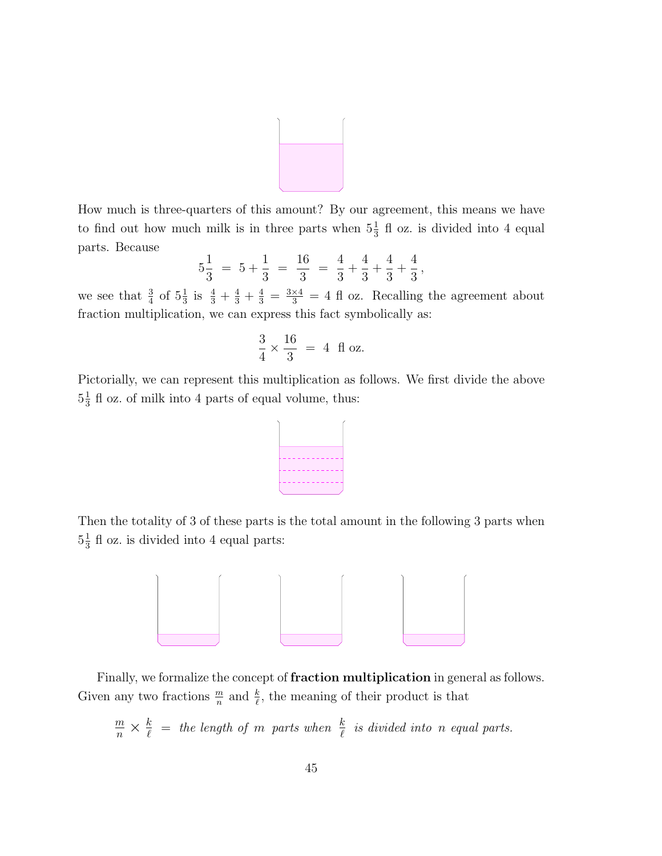

How much is three-quarters of this amount? By our agreement, this means we have to find out how much milk is in three parts when  $5\frac{1}{3}$  fl oz. is divided into 4 equal parts. Because

$$
5\frac{1}{3} = 5 + \frac{1}{3} = \frac{16}{3} = \frac{4}{3} + \frac{4}{3} + \frac{4}{3} + \frac{4}{3},
$$

we see that  $\frac{3}{4}$  of  $5\frac{1}{3}$  is  $\frac{4}{3} + \frac{4}{3} + \frac{4}{3} = \frac{3\times4}{3} = 4$  fl oz. Recalling the agreement about fraction multiplication, we can express this fact symbolically as:

$$
\frac{3}{4} \times \frac{16}{3} = 4
$$
 fl oz.

Pictorially, we can represent this multiplication as follows. We first divide the above  $5\frac{1}{3}$  $\frac{1}{3}$  fl oz. of milk into 4 parts of equal volume, thus:

Then the totality of 3 of these parts is the total amount in the following 3 parts when  $5\frac{1}{3}$  $\frac{1}{3}$  fl oz. is divided into 4 equal parts:



Finally, we formalize the concept of **fraction multiplication** in general as follows. Given any two fractions  $\frac{m}{n}$  and  $\frac{k}{\ell}$ , the meaning of their product is that

$$
\frac{m}{n} \times \frac{k}{\ell} =
$$
 the length of m parts when  $\frac{k}{\ell}$  is divided into n equal parts.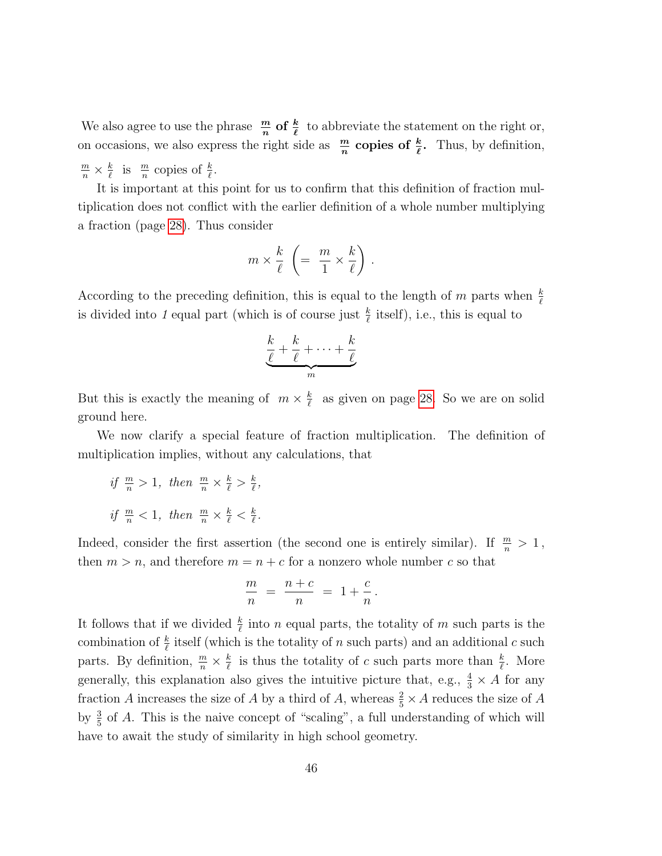We also agree to use the phrase  $\frac{m}{n}$  of  $\frac{k}{\ell}$  to abbreviate the statement on the right or, on occasions, we also express the right side as  $\frac{m}{n}$  copies of  $\frac{k}{\ell}$ . Thus, by definition,  $\frac{m}{n} \times \frac{k}{\ell}$  $\frac{k}{\ell}$  is  $\frac{m}{n}$  copies of  $\frac{k}{\ell}$ .

It is important at this point for us to confirm that this definition of fraction multiplication does not conflict with the earlier definition of a whole number multiplying a fraction (page [28\)](#page-0-0). Thus consider

$$
m \times \frac{k}{\ell} \ \left( = \ \frac{m}{1} \times \frac{k}{\ell} \right) \, .
$$

According to the preceding definition, this is equal to the length of m parts when  $\frac{k}{\ell}$ is divided into 1 equal part (which is of course just  $\frac{k}{\ell}$  itself), i.e., this is equal to

$$
\underbrace{\frac{k}{\ell} + \frac{k}{\ell} + \cdots + \frac{k}{\ell}}_{m}
$$

But this is exactly the meaning of  $m \times \frac{k}{\ell}$  $\frac{k}{\ell}$  as given on page [28.](#page-0-0) So we are on solid ground here.

We now clarify a special feature of fraction multiplication. The definition of multiplication implies, without any calculations, that

if  $\frac{m}{n} > 1$ , then  $\frac{m}{n} \times \frac{k}{\ell} > \frac{k}{\ell}$  $\frac{k}{\ell}$ , if  $\frac{m}{n} < 1$ , then  $\frac{m}{n} \times \frac{k}{\ell} < \frac{k}{\ell}$  $\frac{k}{\ell}$  .

Indeed, consider the first assertion (the second one is entirely similar). If  $\frac{m}{n} > 1$ , then  $m > n$ , and therefore  $m = n + c$  for a nonzero whole number c so that

$$
\frac{m}{n} = \frac{n+c}{n} = 1 + \frac{c}{n}.
$$

It follows that if we divided  $\frac{k}{\ell}$  into n equal parts, the totality of m such parts is the combination of  $\frac{k}{\ell}$  itself (which is the totality of n such parts) and an additional c such parts. By definition,  $\frac{m}{n} \times \frac{k}{\ell}$  $\frac{k}{\ell}$  is thus the totality of c such parts more than  $\frac{k}{\ell}$ . More generally, this explanation also gives the intuitive picture that, e.g.,  $\frac{4}{3} \times A$  for any fraction A increases the size of A by a third of A, whereas  $\frac{2}{5} \times A$  reduces the size of A by  $\frac{3}{5}$  of A. This is the naive concept of "scaling", a full understanding of which will have to await the study of similarity in high school geometry.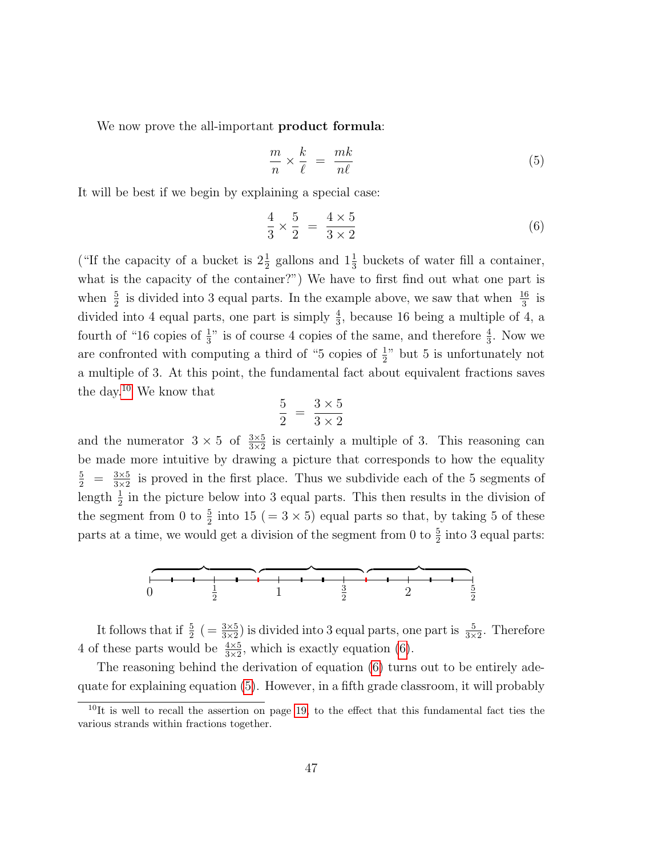We now prove the all-important **product formula**:

<span id="page-46-2"></span><span id="page-46-1"></span>
$$
\frac{m}{n} \times \frac{k}{\ell} = \frac{mk}{n\ell} \tag{5}
$$

It will be best if we begin by explaining a special case:

$$
\frac{4}{3} \times \frac{5}{2} = \frac{4 \times 5}{3 \times 2} \tag{6}
$$

("If the capacity of a bucket is  $2\frac{1}{2}$  gallons and  $1\frac{1}{3}$  buckets of water fill a container, what is the capacity of the container?") We have to first find out what one part is when  $\frac{5}{2}$  is divided into 3 equal parts. In the example above, we saw that when  $\frac{16}{3}$  is divided into 4 equal parts, one part is simply  $\frac{4}{3}$ , because 16 being a multiple of 4, a fourth of "16 copies of  $\frac{1}{3}$ " is of course 4 copies of the same, and therefore  $\frac{4}{3}$ . Now we are confronted with computing a third of "5 copies of  $\frac{1}{2}$ " but 5 is unfortunately not a multiple of 3. At this point, the fundamental fact about equivalent fractions saves the day.[10](#page-46-0) We know that

$$
\frac{5}{2} = \frac{3 \times 5}{3 \times 2}
$$

and the numerator  $3 \times 5$  of  $\frac{3 \times 5}{3 \times 2}$  is certainly a multiple of 3. This reasoning can be made more intuitive by drawing a picture that corresponds to how the equality  $\frac{5}{2} = \frac{3 \times 5}{3 \times 2}$  $\frac{3\times5}{3\times2}$  is proved in the first place. Thus we subdivide each of the 5 segments of length  $\frac{1}{2}$  in the picture below into 3 equal parts. This then results in the division of the segment from 0 to  $\frac{5}{2}$  into 15 (= 3 × 5) equal parts so that, by taking 5 of these parts at a time, we would get a division of the segment from 0 to  $\frac{5}{2}$  into 3 equal parts:



It follows that if  $\frac{5}{2}$  ( $=\frac{3\times5}{3\times2}$ ) is divided into 3 equal parts, one part is  $\frac{5}{3\times2}$ . Therefore 4 of these parts would be  $\frac{4 \times 5}{3 \times 2}$ , which is exactly equation [\(6\)](#page-46-1).

The reasoning behind the derivation of equation [\(6\)](#page-46-1) turns out to be entirely adequate for explaining equation [\(5\)](#page-46-2). However, in a fifth grade classroom, it will probably

<span id="page-46-0"></span> $10$ It is well to recall the assertion on page [19,](#page-0-0) to the effect that this fundamental fact ties the various strands within fractions together.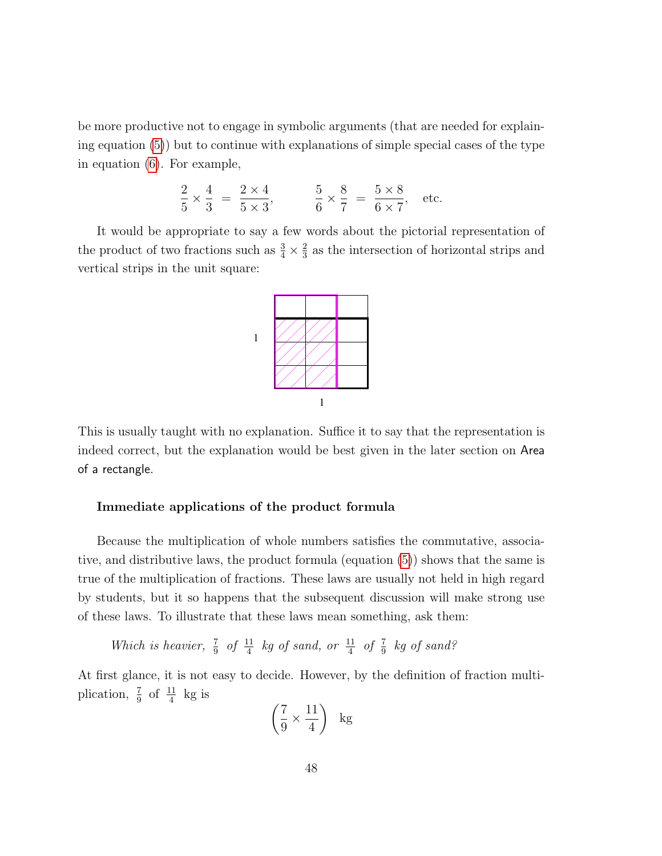be more productive not to engage in symbolic arguments (that are needed for explaining equation [\(5\)](#page-46-2)) but to continue with explanations of simple special cases of the type in equation [\(6\)](#page-46-1). For example,

$$
\frac{2}{5} \times \frac{4}{3} = \frac{2 \times 4}{5 \times 3}, \qquad \frac{5}{6} \times \frac{8}{7} = \frac{5 \times 8}{6 \times 7}, \text{ etc.}
$$

It would be appropriate to say a few words about the pictorial representation of the product of two fractions such as  $\frac{3}{4} \times \frac{2}{3}$  $\frac{2}{3}$  as the intersection of horizontal strips and vertical strips in the unit square:



This is usually taught with no explanation. Suffice it to say that the representation is indeed correct, but the explanation would be best given in the later section on Area of a rectangle.

# Immediate applications of the product formula

Because the multiplication of whole numbers satisfies the commutative, associative, and distributive laws, the product formula (equation [\(5\)](#page-46-2)) shows that the same is true of the multiplication of fractions. These laws are usually not held in high regard by students, but it so happens that the subsequent discussion will make strong use of these laws. To illustrate that these laws mean something, ask them:

Which is heavier,  $\frac{7}{9}$  of  $\frac{11}{4}$  kg of sand, or  $\frac{11}{4}$  of  $\frac{7}{9}$  kg of sand?

At first glance, it is not easy to decide. However, by the definition of fraction multiplication,  $\frac{7}{9}$  of  $\frac{11}{4}$  kg is

$$
\left(\frac{7}{9} \times \frac{11}{4}\right) \text{ kg}
$$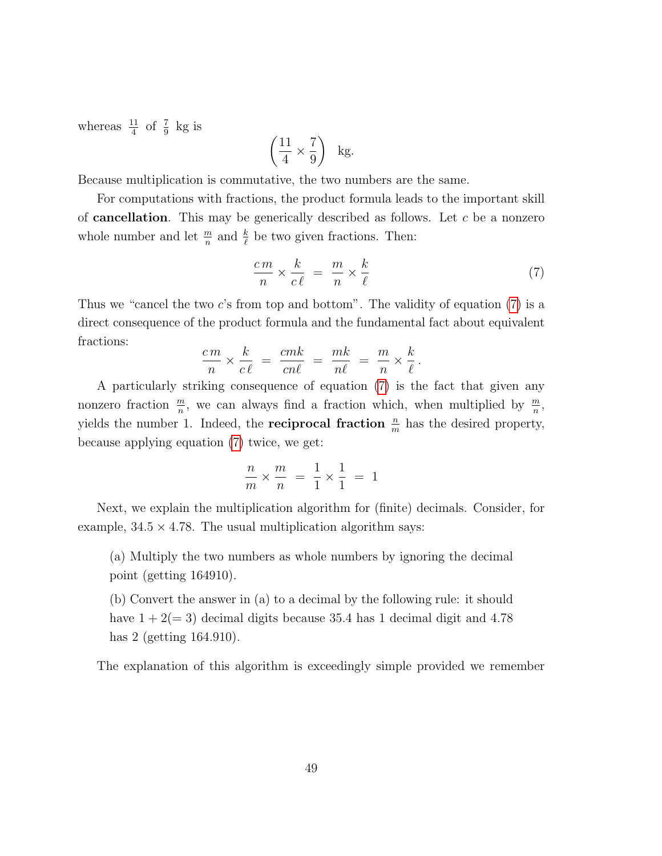whereas  $\frac{11}{4}$  of  $\frac{7}{9}$  kg is

$$
\left(\frac{11}{4} \times \frac{7}{9}\right) \text{ kg.}
$$

Because multiplication is commutative, the two numbers are the same.

For computations with fractions, the product formula leads to the important skill of **cancellation**. This may be generically described as follows. Let c be a nonzero whole number and let  $\frac{m}{n}$  and  $\frac{k}{\ell}$  be two given fractions. Then:

<span id="page-48-0"></span>
$$
\frac{cm}{n} \times \frac{k}{c\ell} = \frac{m}{n} \times \frac{k}{\ell} \tag{7}
$$

Thus we "cancel the two c's from top and bottom". The validity of equation [\(7\)](#page-48-0) is a direct consequence of the product formula and the fundamental fact about equivalent fractions:

$$
\frac{cm}{n} \times \frac{k}{c\ell} = \frac{cmk}{cn\ell} = \frac{mk}{n\ell} = \frac{m}{n} \times \frac{k}{\ell}.
$$

A particularly striking consequence of equation [\(7\)](#page-48-0) is the fact that given any nonzero fraction  $\frac{m}{n}$ , we can always find a fraction which, when multiplied by  $\frac{m}{n}$ , yields the number 1. Indeed, the **reciprocal fraction**  $\frac{n}{m}$  has the desired property, because applying equation [\(7\)](#page-48-0) twice, we get:

$$
\frac{n}{m} \times \frac{m}{n} = \frac{1}{1} \times \frac{1}{1} = 1
$$

Next, we explain the multiplication algorithm for (finite) decimals. Consider, for example,  $34.5 \times 4.78$ . The usual multiplication algorithm says:

(a) Multiply the two numbers as whole numbers by ignoring the decimal point (getting 164910).

(b) Convert the answer in (a) to a decimal by the following rule: it should have  $1 + 2(= 3)$  decimal digits because 35.4 has 1 decimal digit and 4.78 has 2 (getting 164.910).

The explanation of this algorithm is exceedingly simple provided we remember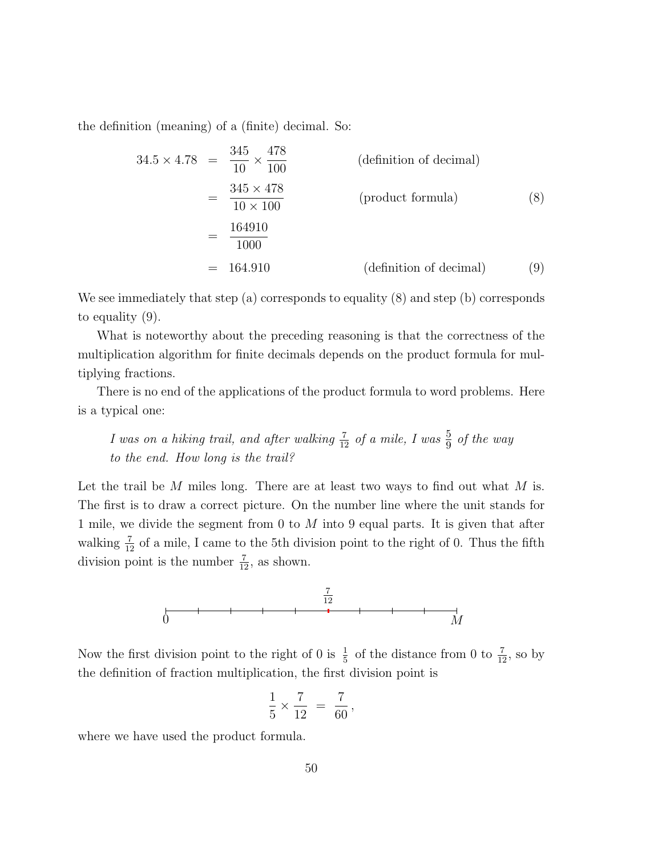the definition (meaning) of a (finite) decimal. So:

$$
34.5 \times 4.78 = \frac{345}{10} \times \frac{478}{100}
$$
 (definition of decimal)  
\n
$$
= \frac{345 \times 478}{10 \times 100}
$$
 (product formula) (8)  
\n
$$
= \frac{164910}{1000}
$$
 (definition of decimal) (9)

We see immediately that step (a) corresponds to equality (8) and step (b) corresponds to equality (9).

What is noteworthy about the preceding reasoning is that the correctness of the multiplication algorithm for finite decimals depends on the product formula for multiplying fractions.

There is no end of the applications of the product formula to word problems. Here is a typical one:

*I* was on a hiking trail, and after walking  $\frac{7}{12}$  of a mile, *I* was  $\frac{5}{9}$  of the way to the end. How long is the trail?

Let the trail be  $M$  miles long. There are at least two ways to find out what  $M$  is. The first is to draw a correct picture. On the number line where the unit stands for 1 mile, we divide the segment from  $0$  to  $M$  into  $9$  equal parts. It is given that after walking  $\frac{7}{12}$  of a mile, I came to the 5th division point to the right of 0. Thus the fifth division point is the number  $\frac{7}{12}$ , as shown.



Now the first division point to the right of 0 is  $\frac{1}{5}$  of the distance from 0 to  $\frac{7}{12}$ , so by the definition of fraction multiplication, the first division point is

$$
\frac{1}{5} \times \frac{7}{12} = \frac{7}{60},
$$

where we have used the product formula.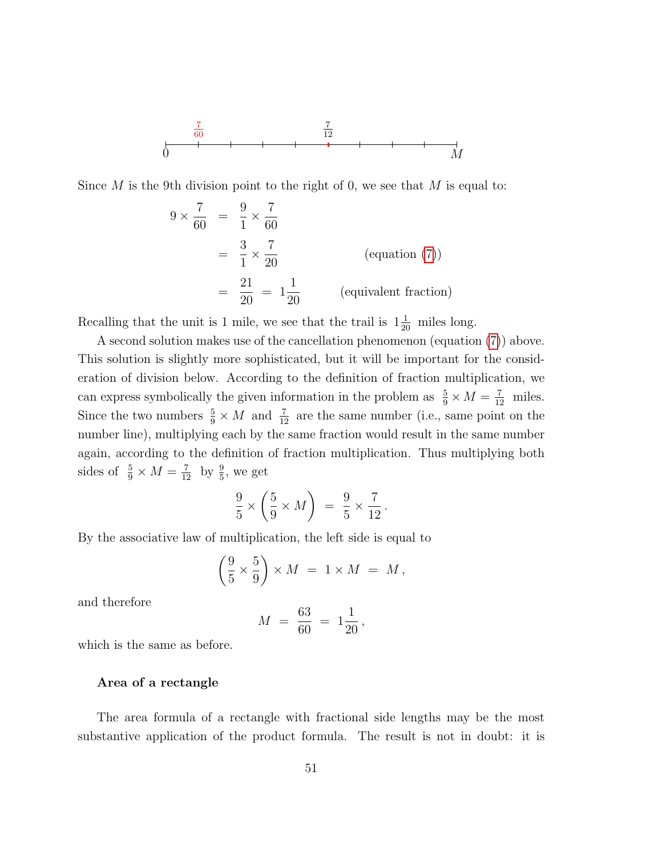$$
\begin{array}{c}\n\frac{7}{60} \\
\downarrow \\
0\n\end{array}
$$

Since M is the 9th division point to the right of 0, we see that M is equal to:

$$
9 \times \frac{7}{60} = \frac{9}{1} \times \frac{7}{60}
$$
  
=  $\frac{3}{1} \times \frac{7}{20}$  (equation (7))  
=  $\frac{21}{20} = 1\frac{1}{20}$  (equivalent fraction)

Recalling that the unit is 1 mile, we see that the trail is  $1\frac{1}{20}$  miles long.

A second solution makes use of the cancellation phenomenon (equation [\(7\)](#page-48-0)) above. This solution is slightly more sophisticated, but it will be important for the consideration of division below. According to the definition of fraction multiplication, we can express symbolically the given information in the problem as  $\frac{5}{9} \times M = \frac{7}{12}$  miles. Since the two numbers  $\frac{5}{9} \times M$  and  $\frac{7}{12}$  are the same number (i.e., same point on the number line), multiplying each by the same fraction would result in the same number again, according to the definition of fraction multiplication. Thus multiplying both sides of  $\frac{5}{9} \times M = \frac{7}{12}$  by  $\frac{9}{5}$ , we get

$$
\frac{9}{5} \times \left(\frac{5}{9} \times M\right) = \frac{9}{5} \times \frac{7}{12}.
$$

By the associative law of multiplication, the left side is equal to

$$
\left(\frac{9}{5} \times \frac{5}{9}\right) \times M = 1 \times M = M,
$$

and therefore

$$
M = \frac{63}{60} = 1\frac{1}{20},
$$

which is the same as before.

### Area of a rectangle

The area formula of a rectangle with fractional side lengths may be the most substantive application of the product formula. The result is not in doubt: it is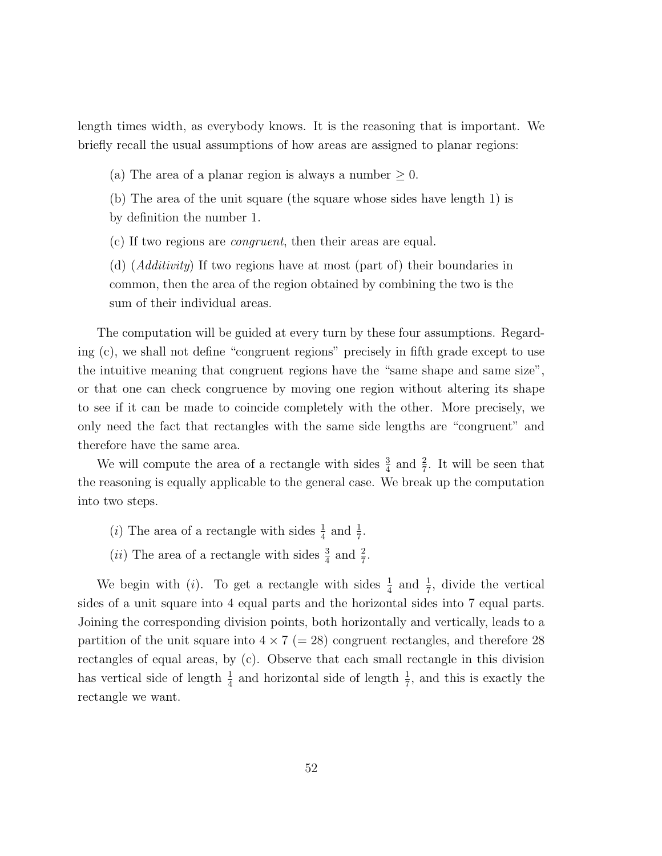length times width, as everybody knows. It is the reasoning that is important. We briefly recall the usual assumptions of how areas are assigned to planar regions:

(a) The area of a planar region is always a number  $\geq 0$ .

(b) The area of the unit square (the square whose sides have length 1) is by definition the number 1.

(c) If two regions are congruent, then their areas are equal.

(d) (Additivity) If two regions have at most (part of) their boundaries in common, then the area of the region obtained by combining the two is the sum of their individual areas.

The computation will be guided at every turn by these four assumptions. Regarding (c), we shall not define "congruent regions" precisely in fifth grade except to use the intuitive meaning that congruent regions have the "same shape and same size", or that one can check congruence by moving one region without altering its shape to see if it can be made to coincide completely with the other. More precisely, we only need the fact that rectangles with the same side lengths are "congruent" and therefore have the same area.

We will compute the area of a rectangle with sides  $\frac{3}{4}$  and  $\frac{2}{7}$ . It will be seen that the reasoning is equally applicable to the general case. We break up the computation into two steps.

- (*i*) The area of a rectangle with sides  $\frac{1}{4}$  and  $\frac{1}{7}$ .
- (*ii*) The area of a rectangle with sides  $\frac{3}{4}$  and  $\frac{2}{7}$ .

We begin with (*i*). To get a rectangle with sides  $\frac{1}{4}$  and  $\frac{1}{7}$ , divide the vertical sides of a unit square into 4 equal parts and the horizontal sides into 7 equal parts. Joining the corresponding division points, both horizontally and vertically, leads to a partition of the unit square into  $4 \times 7 (=28)$  congruent rectangles, and therefore 28 rectangles of equal areas, by (c). Observe that each small rectangle in this division has vertical side of length  $\frac{1}{4}$  and horizontal side of length  $\frac{1}{7}$ , and this is exactly the rectangle we want.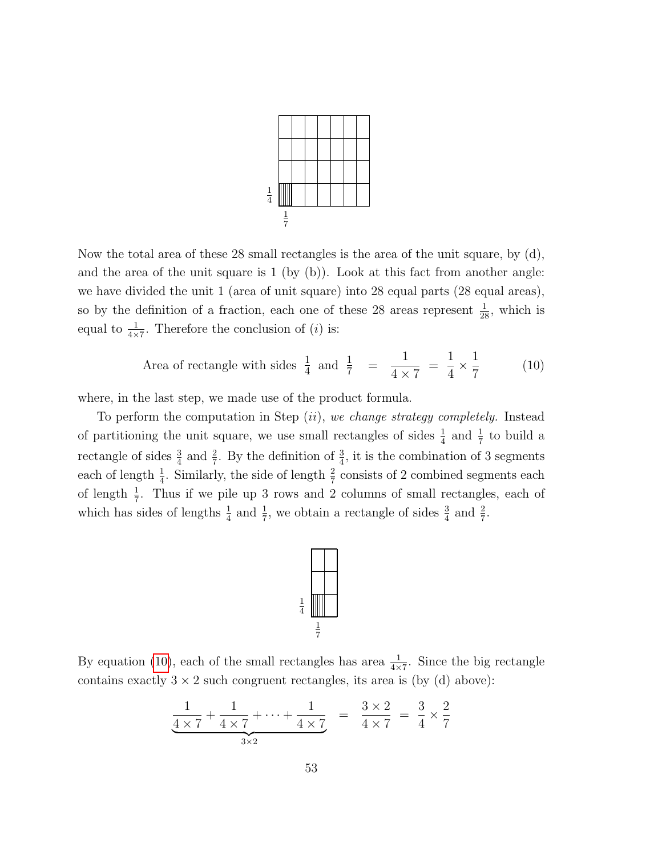

Now the total area of these 28 small rectangles is the area of the unit square, by (d), and the area of the unit square is  $1$  (by (b)). Look at this fact from another angle: we have divided the unit 1 (area of unit square) into 28 equal parts (28 equal areas), so by the definition of a fraction, each one of these 28 areas represent  $\frac{1}{28}$ , which is equal to  $\frac{1}{4\times7}$ . Therefore the conclusion of (*i*) is:

<span id="page-52-0"></span>Area of rectangle with sides 
$$
\frac{1}{4}
$$
 and  $\frac{1}{7}$  =  $\frac{1}{4 \times 7} = \frac{1}{4} \times \frac{1}{7}$  (10)

where, in the last step, we made use of the product formula.

To perform the computation in Step  $(ii)$ , we change strategy completely. Instead of partitioning the unit square, we use small rectangles of sides  $\frac{1}{4}$  and  $\frac{1}{7}$  to build a rectangle of sides  $\frac{3}{4}$  and  $\frac{2}{7}$ . By the definition of  $\frac{3}{4}$ , it is the combination of 3 segments each of length  $\frac{1}{4}$ . Similarly, the side of length  $\frac{2}{7}$  consists of 2 combined segments each of length  $\frac{1}{7}$ . Thus if we pile up 3 rows and 2 columns of small rectangles, each of which has sides of lengths  $\frac{1}{4}$  and  $\frac{1}{7}$ , we obtain a rectangle of sides  $\frac{3}{4}$  and  $\frac{2}{7}$ .



By equation [\(10\)](#page-52-0), each of the small rectangles has area  $\frac{1}{4\times7}$ . Since the big rectangle contains exactly  $3 \times 2$  such congruent rectangles, its area is (by (d) above):

$$
\frac{1}{4 \times 7} + \frac{1}{4 \times 7} + \dots + \frac{1}{4 \times 7} = \frac{3 \times 2}{4 \times 7} = \frac{3}{4} \times \frac{2}{7}
$$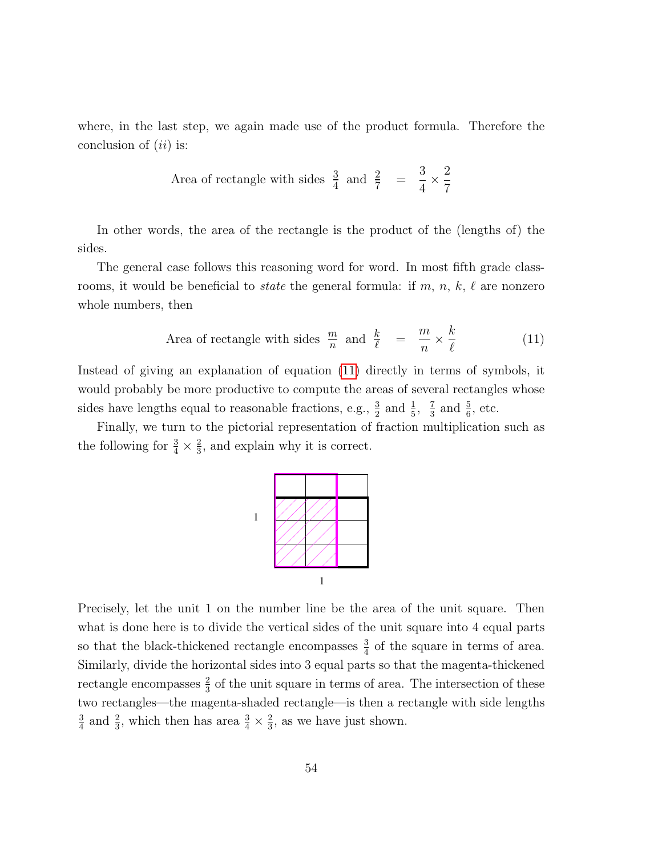where, in the last step, we again made use of the product formula. Therefore the conclusion of  $(ii)$  is:

Area of rectangle with sides 
$$
\frac{3}{4}
$$
 and  $\frac{2}{7}$  =  $\frac{3}{4} \times \frac{2}{7}$ 

In other words, the area of the rectangle is the product of the (lengths of) the sides.

The general case follows this reasoning word for word. In most fifth grade classrooms, it would be beneficial to *state* the general formula: if m, n, k,  $\ell$  are nonzero whole numbers, then

<span id="page-53-0"></span>Area of rectangle with sides 
$$
\frac{m}{n}
$$
 and  $\frac{k}{\ell} = \frac{m}{n} \times \frac{k}{\ell}$  (11)

Instead of giving an explanation of equation [\(11\)](#page-53-0) directly in terms of symbols, it would probably be more productive to compute the areas of several rectangles whose sides have lengths equal to reasonable fractions, e.g.,  $\frac{3}{2}$  and  $\frac{1}{5}$ ,  $\frac{7}{3}$  $\frac{7}{3}$  and  $\frac{5}{6}$ , etc.

Finally, we turn to the pictorial representation of fraction multiplication such as the following for  $\frac{3}{4} \times \frac{2}{3}$  $\frac{2}{3}$ , and explain why it is correct.



Precisely, let the unit 1 on the number line be the area of the unit square. Then what is done here is to divide the vertical sides of the unit square into 4 equal parts so that the black-thickened rectangle encompasses  $\frac{3}{4}$  of the square in terms of area. Similarly, divide the horizontal sides into 3 equal parts so that the magenta-thickened rectangle encompasses  $\frac{2}{3}$  of the unit square in terms of area. The intersection of these two rectangles—the magenta-shaded rectangle—is then a rectangle with side lengths 3  $\frac{3}{4}$  and  $\frac{2}{3}$ , which then has area  $\frac{3}{4} \times \frac{2}{3}$  $\frac{2}{3}$ , as we have just shown.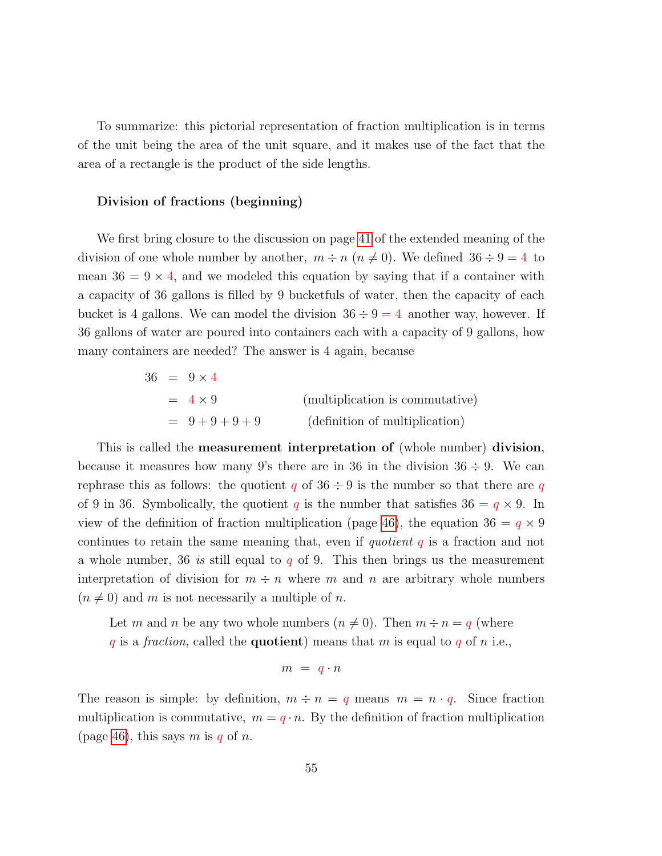To summarize: this pictorial representation of fraction multiplication is in terms of the unit being the area of the unit square, and it makes use of the fact that the area of a rectangle is the product of the side lengths.

## Division of fractions (beginning)

We first bring closure to the discussion on page [41](#page-38-0) of the extended meaning of the division of one whole number by another,  $m \div n$  ( $n \neq 0$ ). We defined  $36 \div 9 = 4$  to mean  $36 = 9 \times 4$ , and we modeled this equation by saying that if a container with a capacity of 36 gallons is filled by 9 bucketfuls of water, then the capacity of each bucket is 4 gallons. We can model the division  $36 \div 9 = 4$  another way, however. If 36 gallons of water are poured into containers each with a capacity of 9 gallons, how many containers are needed? The answer is 4 again, because

|  | $36 = 9 \times 4$ |                                 |
|--|-------------------|---------------------------------|
|  | $= 4 \times 9$    | (multiplication is commutative) |
|  | $= 9 + 9 + 9 + 9$ | (definition of multiplication)  |

This is called the measurement interpretation of (whole number) division, because it measures how many 9's there are in 36 in the division  $36 \div 9$ . We can rephrase this as follows: the quotient q of  $36 \div 9$  is the number so that there are q of 9 in 36. Symbolically, the quotient q is the number that satisfies  $36 = q \times 9$ . In view of the definition of fraction multiplication (page [46\)](#page-41-0), the equation  $36 = q \times 9$ continues to retain the same meaning that, even if quotient  $q$  is a fraction and not a whole number, 36 is still equal to q of 9. This then brings us the measurement interpretation of division for  $m \div n$  where m and n are arbitrary whole numbers  $(n \neq 0)$  and m is not necessarily a multiple of n.

Let m and n be any two whole numbers  $(n \neq 0)$ . Then  $m \div n = q$  (where q is a fraction, called the **quotient**) means that m is equal to q of n i.e.,

$$
m = q \cdot n
$$

The reason is simple: by definition,  $m \div n = q$  means  $m = n \cdot q$ . Since fraction multiplication is commutative,  $m = q \cdot n$ . By the definition of fraction multiplication (page [46\)](#page-41-0), this says m is q of n.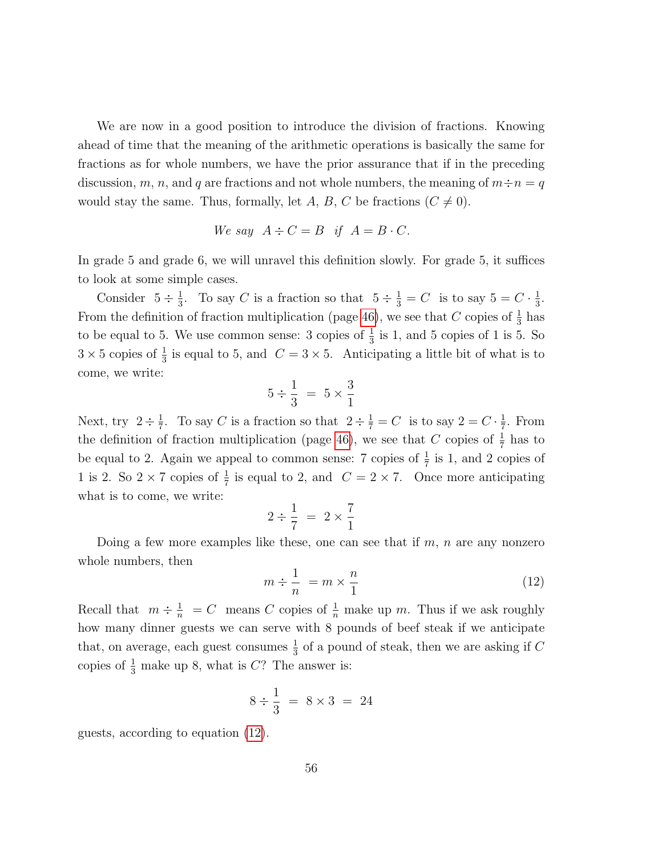We are now in a good position to introduce the division of fractions. Knowing ahead of time that the meaning of the arithmetic operations is basically the same for fractions as for whole numbers, we have the prior assurance that if in the preceding discussion, m, n, and q are fractions and not whole numbers, the meaning of  $m \div n = q$ would stay the same. Thus, formally, let A, B, C be fractions  $(C \neq 0)$ .

We say 
$$
A \div C = B
$$
 if  $A = B \cdot C$ .

In grade 5 and grade 6, we will unravel this definition slowly. For grade 5, it suffices to look at some simple cases.

Consider  $5 \div \frac{1}{3}$  $\frac{1}{3}$ . To say C is a fraction so that  $5 \div \frac{1}{3} = C$  is to say  $5 = C \cdot \frac{1}{3}$  $\frac{1}{3}$ . From the definition of fraction multiplication (page [46\)](#page-41-0), we see that C copies of  $\frac{1}{3}$  has to be equal to 5. We use common sense: 3 copies of  $\frac{1}{3}$  is 1, and 5 copies of 1 is 5. So  $3 \times 5$  copies of  $\frac{1}{3}$  is equal to 5, and  $C = 3 \times 5$ . Anticipating a little bit of what is to come, we write:

$$
5 \div \frac{1}{3} = 5 \times \frac{3}{1}
$$

Next, try  $2 \div \frac{1}{7}$  $\frac{1}{7}$ . To say C is a fraction so that  $2 \div \frac{1}{7} = C$  is to say  $2 = C \cdot \frac{1}{7}$  $\frac{1}{7}$ . From the definition of fraction multiplication (page [46\)](#page-41-0), we see that C copies of  $\frac{1}{7}$  has to be equal to 2. Again we appeal to common sense: 7 copies of  $\frac{1}{7}$  is 1, and 2 copies of 1 is 2. So  $2 \times 7$  copies of  $\frac{1}{7}$  is equal to 2, and  $C = 2 \times 7$ . Once more anticipating what is to come, we write:

$$
2 \div \frac{1}{7} = 2 \times \frac{7}{1}
$$

Doing a few more examples like these, one can see that if  $m$ ,  $n$  are any nonzero whole numbers, then

<span id="page-55-0"></span>
$$
m \div \frac{1}{n} = m \times \frac{n}{1} \tag{12}
$$

Recall that  $m \div \frac{1}{n} = C$  means C copies of  $\frac{1}{n}$  make up m. Thus if we ask roughly how many dinner guests we can serve with 8 pounds of beef steak if we anticipate that, on average, each guest consumes  $\frac{1}{3}$  of a pound of steak, then we are asking if C copies of  $\frac{1}{3}$  make up 8, what is C? The answer is:

$$
8 \div \frac{1}{3} = 8 \times 3 = 24
$$

guests, according to equation [\(12\)](#page-55-0).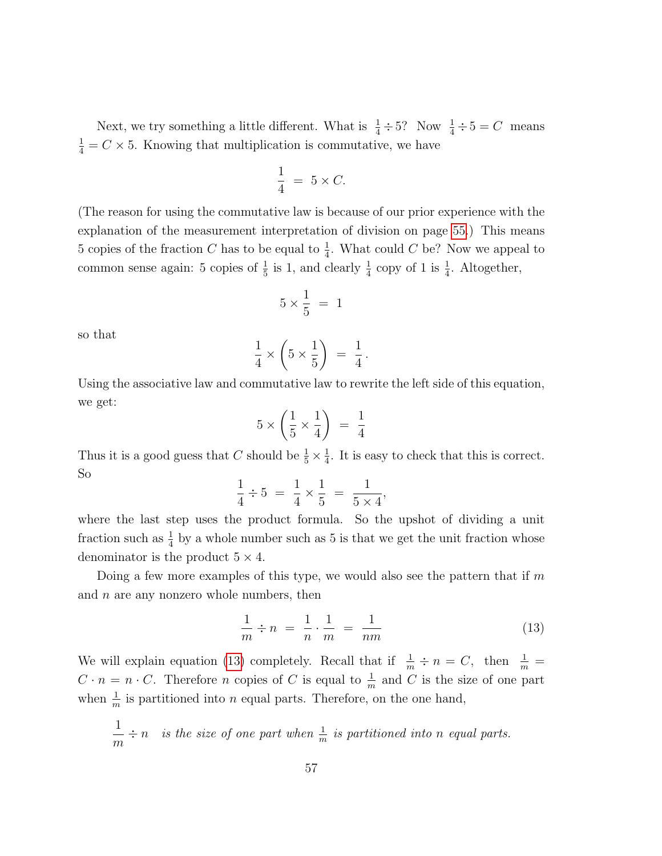Next, we try something a little different. What is  $\frac{1}{4} \div 5$ ? Now  $\frac{1}{4} \div 5 = C$  means  $\frac{1}{4} = C \times 5$ . Knowing that multiplication is commutative, we have

$$
\frac{1}{4} = 5 \times C.
$$

(The reason for using the commutative law is because of our prior experience with the explanation of the measurement interpretation of division on page [55.](#page-53-0)) This means 5 copies of the fraction C has to be equal to  $\frac{1}{4}$ . What could C be? Now we appeal to common sense again: 5 copies of  $\frac{1}{5}$  is 1, and clearly  $\frac{1}{4}$  copy of 1 is  $\frac{1}{4}$ . Altogether,

$$
5\times \frac{1}{5}~=~1
$$

so that

$$
\frac{1}{4} \times \left(5 \times \frac{1}{5}\right) = \frac{1}{4}.
$$

Using the associative law and commutative law to rewrite the left side of this equation, we get:

$$
5 \times \left(\frac{1}{5} \times \frac{1}{4}\right) = \frac{1}{4}
$$

Thus it is a good guess that C should be  $\frac{1}{5} \times \frac{1}{4}$  $\frac{1}{4}$ . It is easy to check that this is correct. So

$$
\frac{1}{4} \div 5 = \frac{1}{4} \times \frac{1}{5} = \frac{1}{5 \times 4}
$$

where the last step uses the product formula. So the upshot of dividing a unit fraction such as  $\frac{1}{4}$  by a whole number such as 5 is that we get the unit fraction whose denominator is the product  $5 \times 4$ .

Doing a few more examples of this type, we would also see the pattern that if  $m$ and  $n$  are any nonzero whole numbers, then

<span id="page-56-0"></span>
$$
\frac{1}{m} \div n = \frac{1}{n} \cdot \frac{1}{m} = \frac{1}{nm} \tag{13}
$$

,

We will explain equation [\(13\)](#page-56-0) completely. Recall that if  $\frac{1}{m} \div n = C$ , then  $\frac{1}{m} =$  $C \cdot n = n \cdot C$ . Therefore *n* copies of *C* is equal to  $\frac{1}{m}$  and *C* is the size of one part when  $\frac{1}{m}$  is partitioned into *n* equal parts. Therefore, on the one hand,

$$
\frac{1}{m} \div n
$$
 is the size of one part when  $\frac{1}{m}$  is partitioned into n equal parts.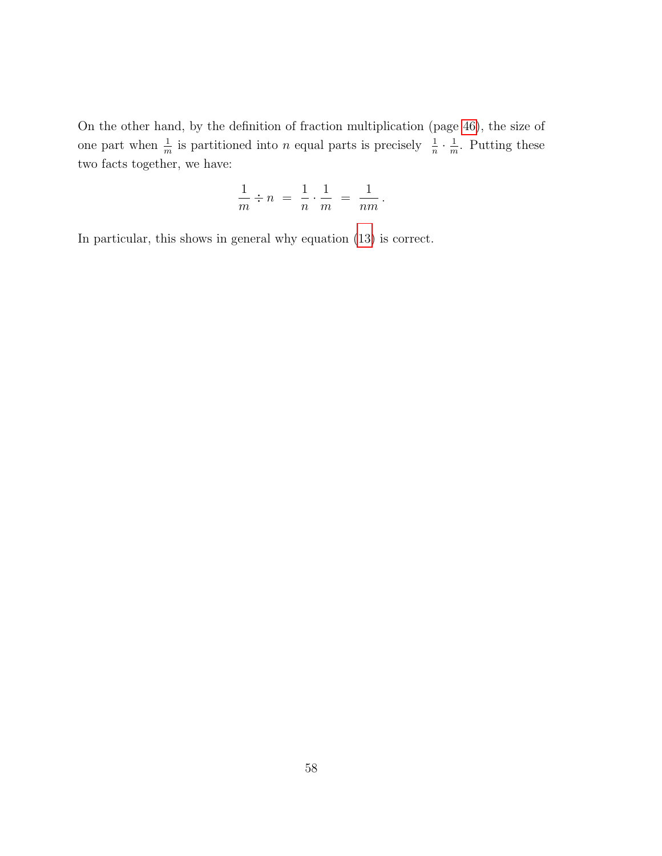On the other hand, by the definition of fraction multiplication (page [46\)](#page-41-0), the size of one part when  $\frac{1}{m}$  is partitioned into *n* equal parts is precisely  $\frac{1}{n} \cdot \frac{1}{m}$  $\frac{1}{m}$ . Putting these two facts together, we have:

$$
\frac{1}{m} \div n = \frac{1}{n} \cdot \frac{1}{m} = \frac{1}{nm}.
$$

In particular, this shows in general why equation [\(13\)](#page-56-0) is correct.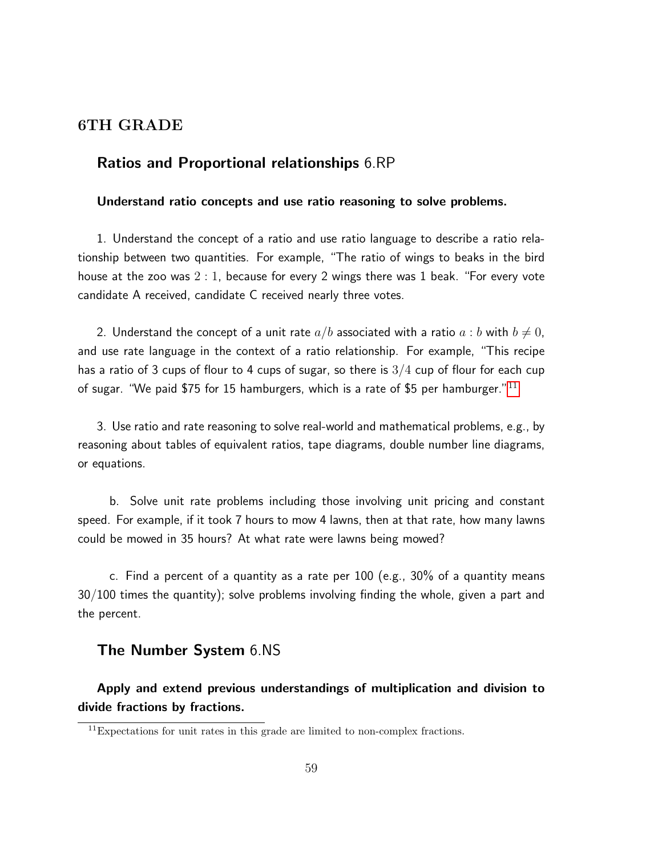# 6TH GRADE

# Ratios and Proportional relationships 6.RP

# Understand ratio concepts and use ratio reasoning to solve problems.

1. Understand the concept of a ratio and use ratio language to describe a ratio relationship between two quantities. For example, "The ratio of wings to beaks in the bird house at the zoo was 2 : 1, because for every 2 wings there was 1 beak. "For every vote candidate A received, candidate C received nearly three votes.

2. Understand the concept of a unit rate  $a/b$  associated with a ratio  $a:b$  with  $b \neq 0$ , and use rate language in the context of a ratio relationship. For example, "This recipe has a ratio of 3 cups of flour to 4 cups of sugar, so there is  $3/4$  cup of flour for each cup of sugar. "We paid \$75 for 15 hamburgers, which is a rate of \$5 per hamburger."  $11$ 

3. Use ratio and rate reasoning to solve real-world and mathematical problems, e.g., by reasoning about tables of equivalent ratios, tape diagrams, double number line diagrams, or equations.

b. Solve unit rate problems including those involving unit pricing and constant speed. For example, if it took 7 hours to mow 4 lawns, then at that rate, how many lawns could be mowed in 35 hours? At what rate were lawns being mowed?

c. Find a percent of a quantity as a rate per 100 (e.g., 30% of a quantity means 30/100 times the quantity); solve problems involving finding the whole, given a part and the percent.

# The Number System 6.NS

Apply and extend previous understandings of multiplication and division to divide fractions by fractions.

<span id="page-58-0"></span> $^{11}\rm{Expectations}$  for unit rates in this grade are limited to non-complex fractions.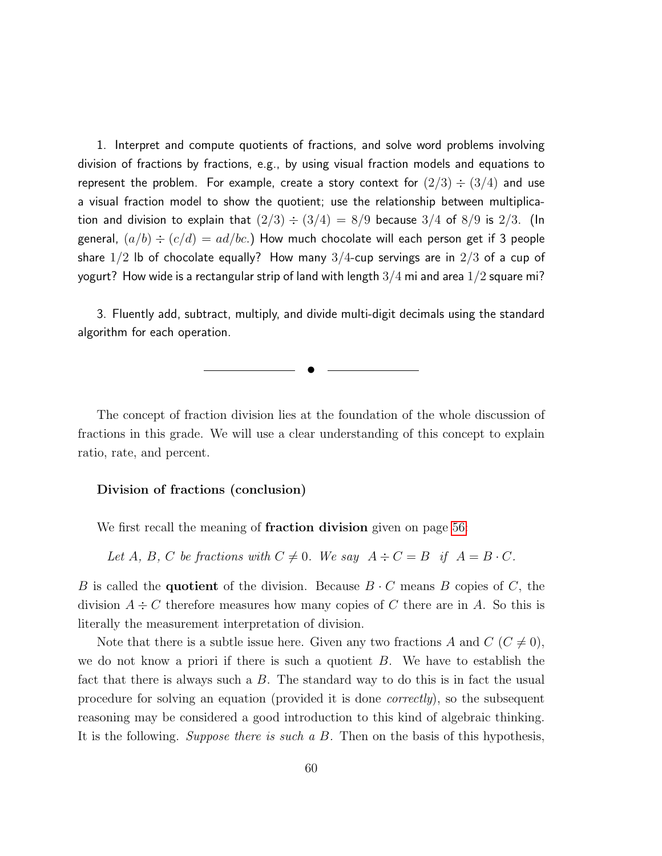1. Interpret and compute quotients of fractions, and solve word problems involving division of fractions by fractions, e.g., by using visual fraction models and equations to represent the problem. For example, create a story context for  $(2/3) \div (3/4)$  and use a visual fraction model to show the quotient; use the relationship between multiplication and division to explain that  $(2/3) \div (3/4) = 8/9$  because  $3/4$  of  $8/9$  is  $2/3$ . (In general,  $(a/b) \div (c/d) = ad/bc$ .) How much chocolate will each person get if 3 people share  $1/2$  lb of chocolate equally? How many  $3/4$ -cup servings are in  $2/3$  of a cup of yogurt? How wide is a rectangular strip of land with length  $3/4$  mi and area  $1/2$  square mi?

3. Fluently add, subtract, multiply, and divide multi-digit decimals using the standard algorithm for each operation.

✉

The concept of fraction division lies at the foundation of the whole discussion of fractions in this grade. We will use a clear understanding of this concept to explain ratio, rate, and percent.

#### Division of fractions (conclusion)

We first recall the meaning of **fraction division** given on page [56:](#page-53-0)

Let A, B, C be fractions with  $C \neq 0$ . We say  $A \div C = B$  if  $A = B \cdot C$ .

B is called the **quotient** of the division. Because  $B \cdot C$  means B copies of C, the division  $A \div C$  therefore measures how many copies of C there are in A. So this is literally the measurement interpretation of division.

Note that there is a subtle issue here. Given any two fractions A and  $C$  ( $C \neq 0$ ), we do not know a priori if there is such a quotient  $B$ . We have to establish the fact that there is always such a B. The standard way to do this is in fact the usual procedure for solving an equation (provided it is done correctly), so the subsequent reasoning may be considered a good introduction to this kind of algebraic thinking. It is the following. Suppose there is such a B. Then on the basis of this hypothesis,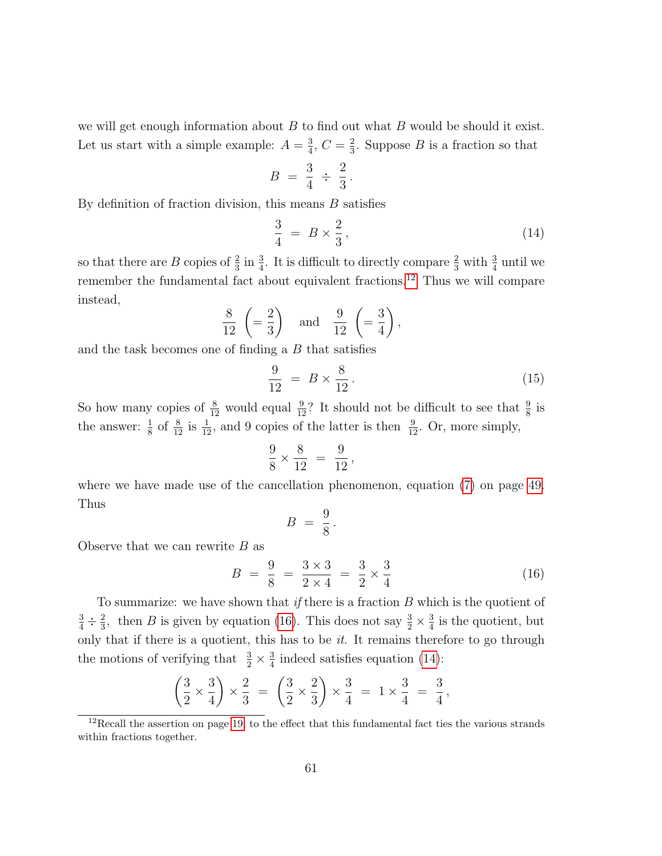we will get enough information about  $B$  to find out what  $B$  would be should it exist. Let us start with a simple example:  $A = \frac{3}{4}$  $\frac{3}{4}$ ,  $C = \frac{2}{3}$  $\frac{2}{3}$ . Suppose *B* is a fraction so that

$$
B = \frac{3}{4} \div \frac{2}{3}.
$$

By definition of fraction division, this means  $B$  satisfies

<span id="page-60-2"></span>
$$
\frac{3}{4} = B \times \frac{2}{3},\tag{14}
$$

so that there are B copies of  $\frac{2}{3}$  in  $\frac{3}{4}$ . It is difficult to directly compare  $\frac{2}{3}$  with  $\frac{3}{4}$  until we remember the fundamental fact about equivalent fractions.[12](#page-60-0) Thus we will compare instead,

$$
\frac{8}{12} \left( = \frac{2}{3} \right) \quad \text{and} \quad \frac{9}{12} \left( = \frac{3}{4} \right),
$$

and the task becomes one of finding a  $B$  that satisfies

$$
\frac{9}{12} = B \times \frac{8}{12} \,. \tag{15}
$$

So how many copies of  $\frac{8}{12}$  would equal  $\frac{9}{12}$ ? It should not be difficult to see that  $\frac{9}{8}$  is the answer:  $\frac{1}{8}$  of  $\frac{8}{12}$  is  $\frac{1}{12}$ , and 9 copies of the latter is then  $\frac{9}{12}$ . Or, more simply,

$$
\frac{9}{8} \times \frac{8}{12} = \frac{9}{12}
$$

,

where we have made use of the cancellation phenomenon, equation [\(7\)](#page-48-0) on page [49.](#page-48-0) Thus

<span id="page-60-1"></span>
$$
B = \frac{9}{8}.
$$

Observe that we can rewrite  $B$  as

$$
B = \frac{9}{8} = \frac{3 \times 3}{2 \times 4} = \frac{3}{2} \times \frac{3}{4}
$$
 (16)

To summarize: we have shown that if there is a fraction  $B$  which is the quotient of  $\frac{3}{4} \div \frac{2}{3}$  $\frac{2}{3}$ , then *B* is given by equation [\(16\)](#page-60-1). This does not say  $\frac{3}{2} \times \frac{3}{4}$  $\frac{3}{4}$  is the quotient, but only that if there is a quotient, this has to be  $it$ . It remains therefore to go through the motions of verifying that  $\frac{3}{2} \times \frac{3}{4}$  $\frac{3}{4}$  indeed satisfies equation [\(14\)](#page-60-2):

$$
\left(\frac{3}{2} \times \frac{3}{4}\right) \times \frac{2}{3} = \left(\frac{3}{2} \times \frac{2}{3}\right) \times \frac{3}{4} = 1 \times \frac{3}{4} = \frac{3}{4},
$$

<span id="page-60-0"></span><sup>&</sup>lt;sup>12</sup>Recall the assertion on page [19,](#page-0-0) to the effect that this fundamental fact ties the various strands within fractions together.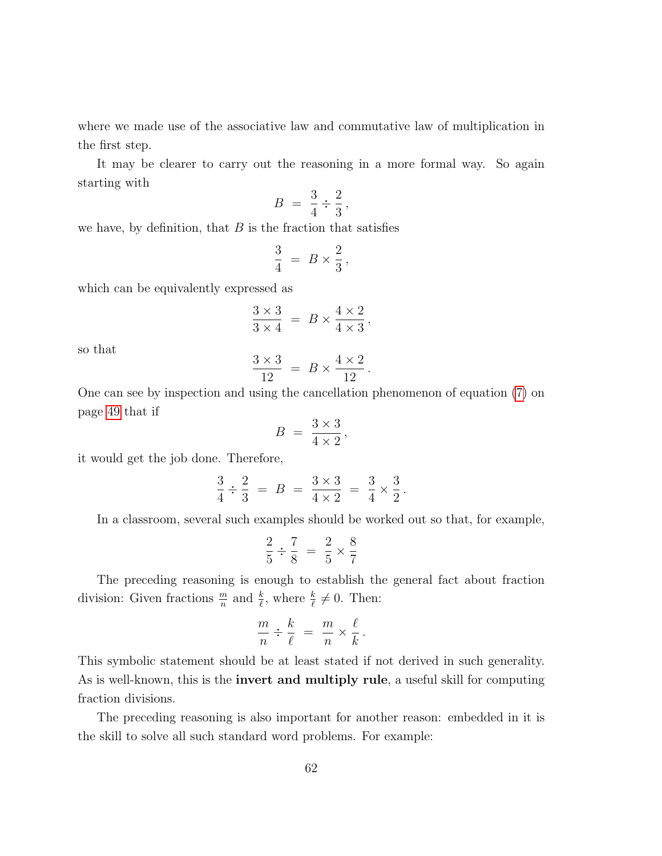where we made use of the associative law and commutative law of multiplication in the first step.

It may be clearer to carry out the reasoning in a more formal way. So again starting with

$$
B = \frac{3}{4} \div \frac{2}{3},
$$

we have, by definition, that  $B$  is the fraction that satisfies

$$
\frac{3}{4} ~=~ B\times\frac{2}{3}{\,},
$$

which can be equivalently expressed as

$$
\frac{3\times3}{3\times4} = B \times \frac{4\times2}{4\times3},
$$

so that

$$
\frac{3\times3}{12} = B \times \frac{4\times2}{12}.
$$

One can see by inspection and using the cancellation phenomenon of equation [\(7\)](#page-48-0) on page [49](#page-48-0) that if

$$
B = \frac{3 \times 3}{4 \times 2},
$$

it would get the job done. Therefore,

$$
\frac{3}{4} \div \frac{2}{3} = B = \frac{3 \times 3}{4 \times 2} = \frac{3}{4} \times \frac{3}{2}.
$$

In a classroom, several such examples should be worked out so that, for example,

$$
\frac{2}{5} \div \frac{7}{8} = \frac{2}{5} \times \frac{8}{7}
$$

The preceding reasoning is enough to establish the general fact about fraction division: Given fractions  $\frac{m}{n}$  and  $\frac{k}{\ell}$ , where  $\frac{k}{\ell} \neq 0$ . Then:

$$
\frac{m}{n} \div \frac{k}{\ell} = \frac{m}{n} \times \frac{\ell}{k}.
$$

This symbolic statement should be at least stated if not derived in such generality. As is well-known, this is the invert and multiply rule, a useful skill for computing fraction divisions.

The preceding reasoning is also important for another reason: embedded in it is the skill to solve all such standard word problems. For example: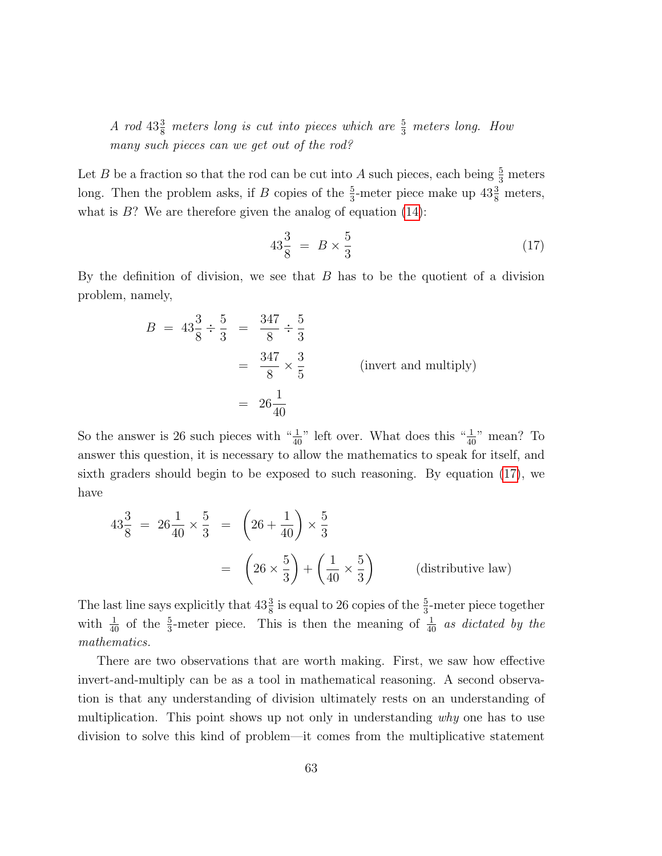A rod  $43\frac{3}{8}$  meters long is cut into pieces which are  $\frac{5}{3}$  meters long. How many such pieces can we get out of the rod?

Let B be a fraction so that the rod can be cut into A such pieces, each being  $\frac{5}{3}$  meters long. Then the problem asks, if B copies of the  $\frac{5}{3}$ -meter piece make up  $43\frac{3}{8}$  meters, what is  $B$ ? We are therefore given the analog of equation  $(14)$ :

<span id="page-62-0"></span>
$$
43\frac{3}{8} = B \times \frac{5}{3} \tag{17}
$$

By the definition of division, we see that  $B$  has to be the quotient of a division problem, namely,

$$
B = 43\frac{3}{8} \div \frac{5}{3} = \frac{347}{8} \div \frac{5}{3}
$$
  
=  $\frac{347}{8} \times \frac{3}{5}$  (invert and multiply)  
=  $26\frac{1}{40}$ 

So the answer is 26 such pieces with " $\frac{1}{40}$ " left over. What does this " $\frac{1}{40}$ " mean? To answer this question, it is necessary to allow the mathematics to speak for itself, and sixth graders should begin to be exposed to such reasoning. By equation [\(17\)](#page-62-0), we have

$$
43\frac{3}{8} = 26\frac{1}{40} \times \frac{5}{3} = \left(26 + \frac{1}{40}\right) \times \frac{5}{3}
$$
  
=  $\left(26 \times \frac{5}{3}\right) + \left(\frac{1}{40} \times \frac{5}{3}\right)$  (distributive law)

The last line says explicitly that  $43\frac{3}{8}$  is equal to 26 copies of the  $\frac{5}{3}$ -meter piece together with  $\frac{1}{40}$  of the  $\frac{5}{3}$ -meter piece. This is then the meaning of  $\frac{1}{40}$  as dictated by the mathematics.

There are two observations that are worth making. First, we saw how effective invert-and-multiply can be as a tool in mathematical reasoning. A second observation is that any understanding of division ultimately rests on an understanding of multiplication. This point shows up not only in understanding why one has to use division to solve this kind of problem—it comes from the multiplicative statement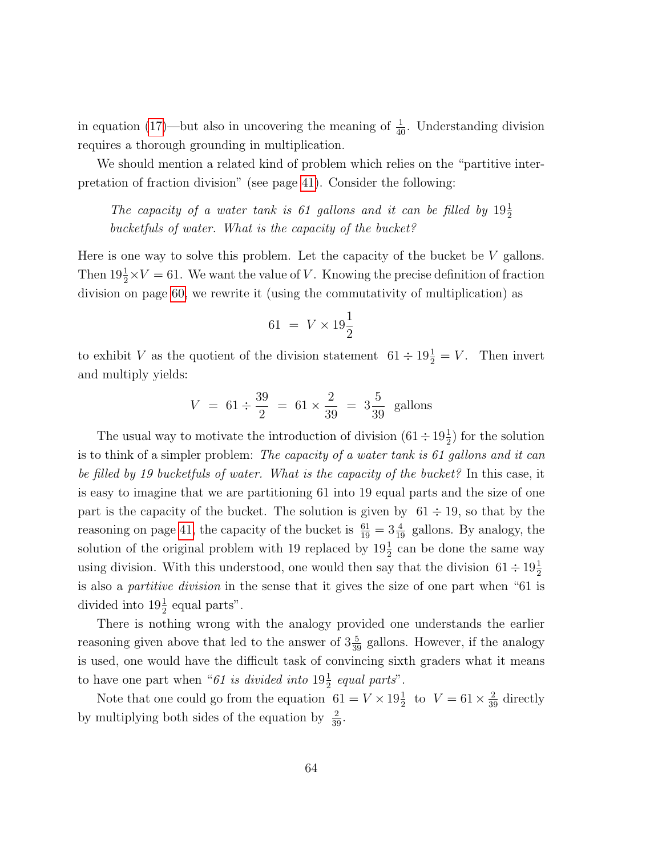in equation [\(17\)](#page-62-0)—but also in uncovering the meaning of  $\frac{1}{40}$ . Understanding division requires a thorough grounding in multiplication.

We should mention a related kind of problem which relies on the "partitive interpretation of fraction division" (see page [41\)](#page-38-0). Consider the following:

The capacity of a water tank is 61 gallons and it can be filled by  $19\frac{1}{2}$ bucketfuls of water. What is the capacity of the bucket?

Here is one way to solve this problem. Let the capacity of the bucket be  $V$  gallons. Then  $19\frac{1}{2} \times V = 61$ . We want the value of V. Knowing the precise definition of fraction division on page [60,](#page-56-0) we rewrite it (using the commutativity of multiplication) as

$$
61 = V \times 19\frac{1}{2}
$$

to exhibit V as the quotient of the division statement  $61 \div 19^{\frac{1}{2}} = V$ . Then invert and multiply yields:

$$
V = 61 \div \frac{39}{2} = 61 \times \frac{2}{39} = 3\frac{5}{39}
$$
 gallons

The usual way to motivate the introduction of division  $(61 \div 19\frac{1}{2})$  for the solution is to think of a simpler problem: The capacity of a water tank is 61 gallons and it can be filled by 19 bucketfuls of water. What is the capacity of the bucket? In this case, it is easy to imagine that we are partitioning 61 into 19 equal parts and the size of one part is the capacity of the bucket. The solution is given by  $61 \div 19$ , so that by the reasoning on page [41,](#page-38-0) the capacity of the bucket is  $\frac{61}{19} = 3\frac{4}{19}$  gallons. By analogy, the solution of the original problem with 19 replaced by  $19\frac{1}{2}$  can be done the same way using division. With this understood, one would then say that the division  $61 \div 19\frac{1}{2}$ is also a partitive division in the sense that it gives the size of one part when "61 is divided into  $19\frac{1}{2}$  equal parts".

There is nothing wrong with the analogy provided one understands the earlier reasoning given above that led to the answer of  $3\frac{5}{39}$  gallons. However, if the analogy is used, one would have the difficult task of convincing sixth graders what it means to have one part when "61 is divided into  $19\frac{1}{2}$  equal parts".

Note that one could go from the equation  $61 = V \times 19\frac{1}{2}$  to  $V = 61 \times \frac{2}{39}$  directly by multiplying both sides of the equation by  $\frac{2}{39}$ .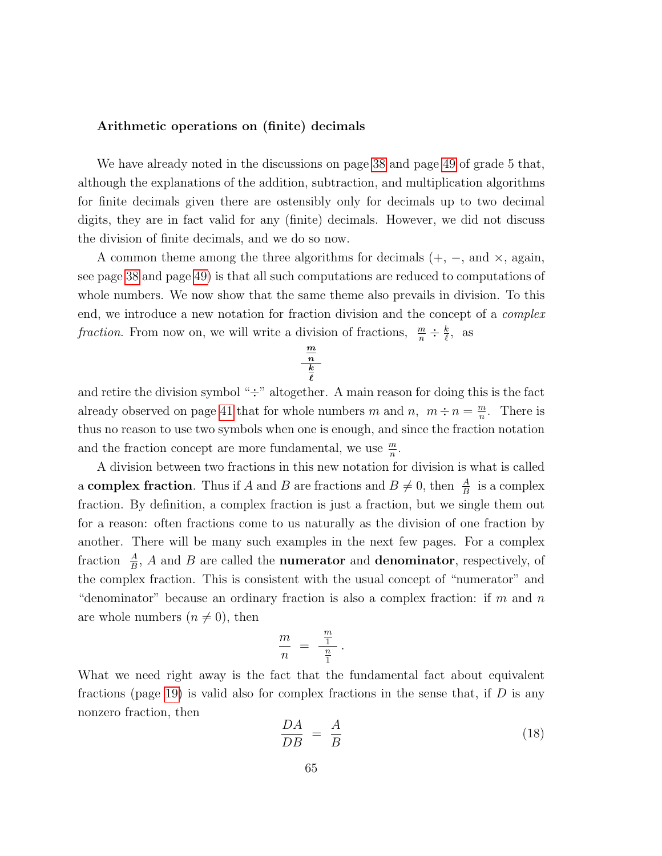## Arithmetic operations on (finite) decimals

We have already noted in the discussions on page [38](#page-0-0) and page [49](#page-48-0) of grade 5 that, although the explanations of the addition, subtraction, and multiplication algorithms for finite decimals given there are ostensibly only for decimals up to two decimal digits, they are in fact valid for any (finite) decimals. However, we did not discuss the division of finite decimals, and we do so now.

A common theme among the three algorithms for decimals  $(+, -, \text{ and } \times, \text{ again},$ see page [38](#page-0-0) and page [49\)](#page-48-0) is that all such computations are reduced to computations of whole numbers. We now show that the same theme also prevails in division. To this end, we introduce a new notation for fraction division and the concept of a complex fraction. From now on, we will write a division of fractions,  $\frac{m}{n} \div \frac{k}{\ell}$  $\frac{k}{\ell}$ , as

$$
\frac{\frac{m}{n}}{\frac{k}{\ell}}
$$

and retire the division symbol " $\div$ " altogether. A main reason for doing this is the fact already observed on page [41](#page-38-0) that for whole numbers m and n,  $m \div n = \frac{m}{n}$  $\frac{m}{n}$ . There is thus no reason to use two symbols when one is enough, and since the fraction notation and the fraction concept are more fundamental, we use  $\frac{m}{n}$ .

A division between two fractions in this new notation for division is what is called a **complex fraction**. Thus if A and B are fractions and  $B \neq 0$ , then  $\frac{A}{B}$  is a complex fraction. By definition, a complex fraction is just a fraction, but we single them out for a reason: often fractions come to us naturally as the division of one fraction by another. There will be many such examples in the next few pages. For a complex fraction  $\frac{A}{B}$ , A and B are called the **numerator** and **denominator**, respectively, of the complex fraction. This is consistent with the usual concept of "numerator" and "denominator" because an ordinary fraction is also a complex fraction: if m and n are whole numbers  $(n \neq 0)$ , then

$$
\frac{m}{n} = \frac{\frac{m}{1}}{\frac{n}{1}}
$$

.

What we need right away is the fact that the fundamental fact about equivalent fractions (page [19\)](#page-0-0) is valid also for complex fractions in the sense that, if  $D$  is any nonzero fraction, then

<span id="page-64-0"></span>
$$
\frac{DA}{DB} = \frac{A}{B} \tag{18}
$$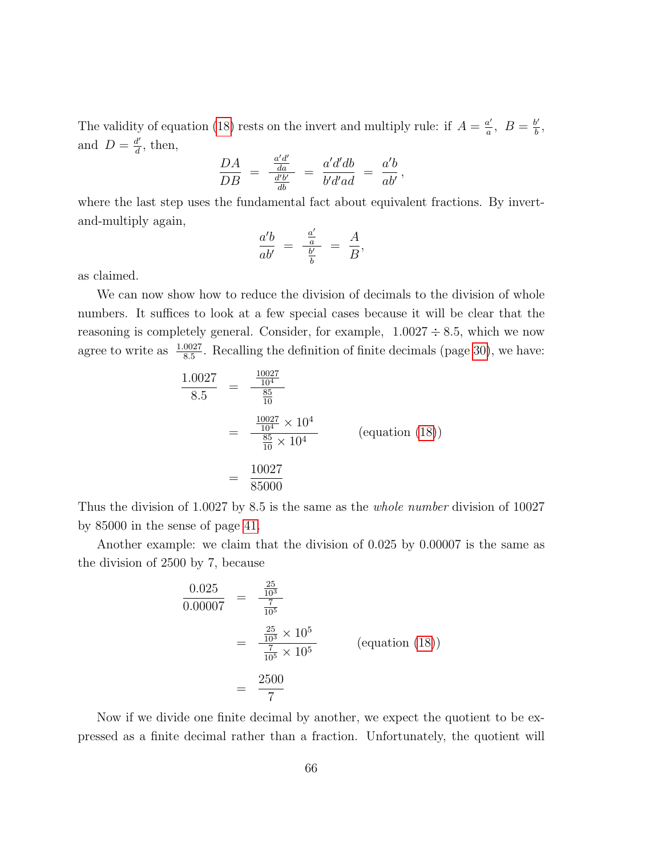The validity of equation [\(18\)](#page-64-0) rests on the invert and multiply rule: if  $A = \frac{a'}{a}$  $\frac{a'}{a}$ ,  $B = \frac{b'}{b}$  $\frac{b'}{b}$ , and  $D = \frac{d'}{d}$  $\frac{d'}{d}$ , then,

$$
\frac{DA}{DB} = \frac{\frac{a'd'}{da}}{\frac{d'b'}{db}} = \frac{a'd'db}{b'd'ad} = \frac{a'b}{ab'},
$$

where the last step uses the fundamental fact about equivalent fractions. By invertand-multiply again,

$$
\frac{a'b}{ab'} = \frac{\frac{a'}{a}}{\frac{b'}{b}} = \frac{A}{B},
$$

as claimed.

We can now show how to reduce the division of decimals to the division of whole numbers. It suffices to look at a few special cases because it will be clear that the reasoning is completely general. Consider, for example,  $1.0027 \div 8.5$ , which we now agree to write as  $\frac{1.0027}{8.5}$ . Recalling the definition of finite decimals (page [30\)](#page-0-0), we have:

$$
\frac{1.0027}{8.5} = \frac{\frac{10027}{10^4}}{\frac{85}{10}}
$$
  
= 
$$
\frac{\frac{10027}{10^4} \times 10^4}{\frac{85}{10} \times 10^4}
$$
 (equation (18))  
= 
$$
\frac{10027}{85000}
$$

Thus the division of 1.0027 by 8.5 is the same as the whole number division of 10027 by 85000 in the sense of page [41.](#page-38-0)

Another example: we claim that the division of 0.025 by 0.00007 is the same as the division of 2500 by 7, because

$$
\frac{0.025}{0.00007} = \frac{\frac{25}{10^3}}{\frac{7}{10^5}}
$$
  
= 
$$
\frac{\frac{25}{10^3} \times 10^5}{\frac{7}{10^5} \times 10^5}
$$
 (equation (18))  
= 
$$
\frac{2500}{7}
$$

Now if we divide one finite decimal by another, we expect the quotient to be expressed as a finite decimal rather than a fraction. Unfortunately, the quotient will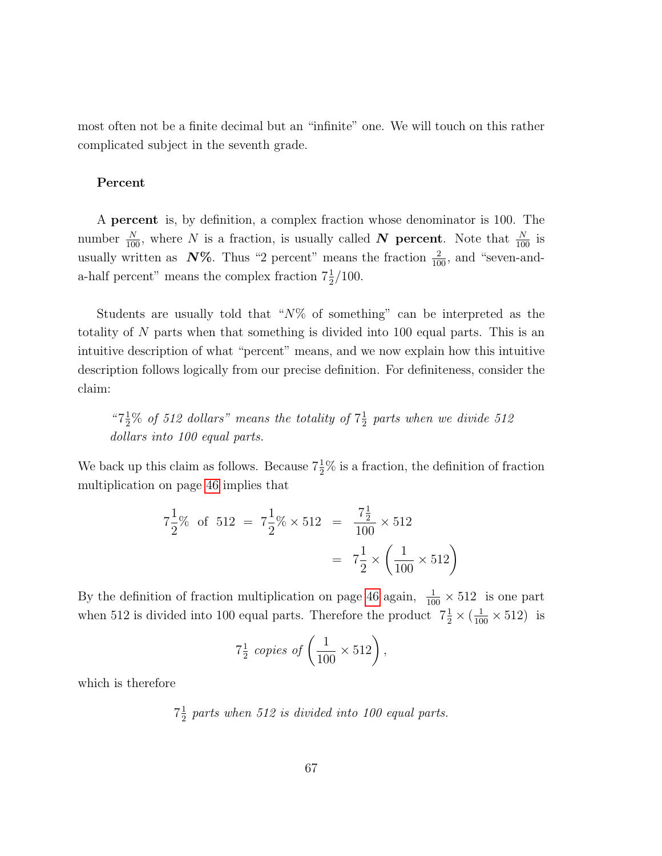most often not be a finite decimal but an "infinite" one. We will touch on this rather complicated subject in the seventh grade.

### Percent

A percent is, by definition, a complex fraction whose denominator is 100. The number  $\frac{N}{100}$ , where N is a fraction, is usually called N percent. Note that  $\frac{N}{100}$  is usually written as  $N\%$ . Thus "2 percent" means the fraction  $\frac{2}{100}$ , and "seven-anda-half percent" means the complex fraction  $7\frac{1}{2}/100$ .

Students are usually told that " $N\%$  of something" can be interpreted as the totality of N parts when that something is divided into 100 equal parts. This is an intuitive description of what "percent" means, and we now explain how this intuitive description follows logically from our precise definition. For definiteness, consider the claim:

" $7\frac{1}{2}\%$  of 512 dollars" means the totality of  $7\frac{1}{2}$  $\frac{1}{2}$  parts when we divide 512 dollars into 100 equal parts.

We back up this claim as follows. Because  $7\frac{1}{2}\%$  is a fraction, the definition of fraction multiplication on page [46](#page-41-0) implies that

$$
7\frac{1}{2}\%
$$
 of  $512 = 7\frac{1}{2}\%$   $\times$   $512 = \frac{7\frac{1}{2}}{100} \times 512$   

$$
= 7\frac{1}{2} \times \left(\frac{1}{100} \times 512\right)
$$

By the definition of fraction multiplication on page [46](#page-41-0) again,  $\frac{1}{100} \times 512$  is one part when 512 is divided into 100 equal parts. Therefore the product  $7\frac{1}{2} \times (\frac{1}{100} \times 512)$  is

$$
7\frac{1}{2} \text{ copies of } \left(\frac{1}{100} \times 512\right),
$$

which is therefore

$$
7\frac{1}{2}
$$
 parts when 512 is divided into 100 equal parts.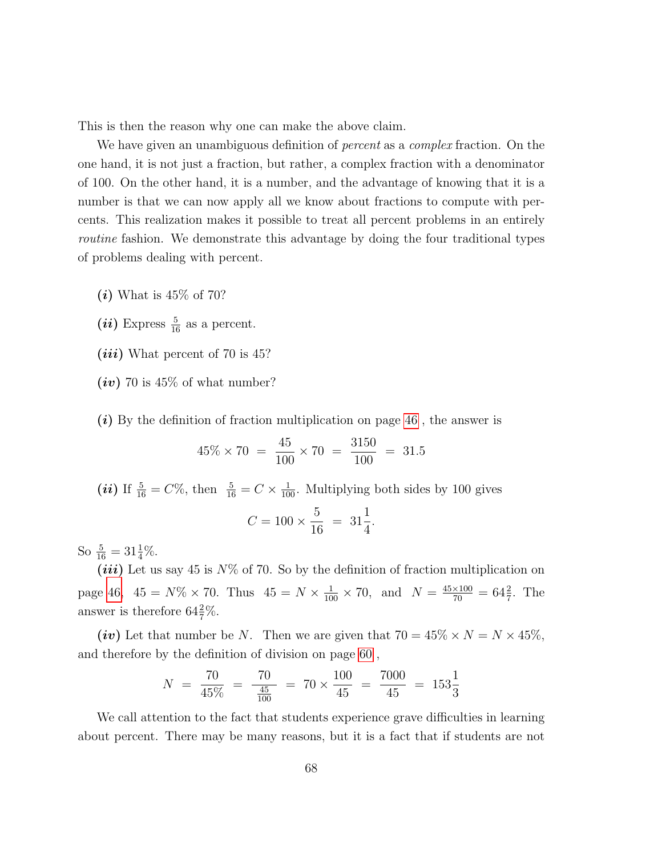This is then the reason why one can make the above claim.

We have given an unambiguous definition of *percent* as a *complex* fraction. On the one hand, it is not just a fraction, but rather, a complex fraction with a denominator of 100. On the other hand, it is a number, and the advantage of knowing that it is a number is that we can now apply all we know about fractions to compute with percents. This realization makes it possible to treat all percent problems in an entirely routine fashion. We demonstrate this advantage by doing the four traditional types of problems dealing with percent.

- $(i)$  What is 45\% of 70?
- $(ii)$  Express  $\frac{5}{16}$  as a percent.
- $(iii)$  What percent of 70 is 45?
- $(iv)$  70 is 45% of what number?
- $(i)$  By the definition of fraction multiplication on page [46](#page-41-0), the answer is

$$
45\% \times 70 = \frac{45}{100} \times 70 = \frac{3150}{100} = 31.5
$$

(*ii*) If  $\frac{5}{16} = C\%$ , then  $\frac{5}{16} = C \times \frac{1}{100}$ . Multiplying both sides by 100 gives

$$
C = 100 \times \frac{5}{16} = 31\frac{1}{4}.
$$

So  $\frac{5}{16} = 31\frac{1}{4}\%$ .

(*iii*) Let us say 45 is  $N\%$  of 70. So by the definition of fraction multiplication on page [46,](#page-41-0)  $45 = N\% \times 70$ . Thus  $45 = N \times \frac{1}{100} \times 70$ , and  $N = \frac{45 \times 100}{70} = 64\frac{2}{7}$ . The answer is therefore  $64\frac{2}{7}\%$ .

(iv) Let that number be N. Then we are given that  $70 = 45\% \times N = N \times 45\%$ , and therefore by the definition of division on page [60](#page-56-0) ,

$$
N = \frac{70}{45\%} = \frac{70}{\frac{45}{100}} = 70 \times \frac{100}{45} = \frac{7000}{45} = 153\frac{1}{3}
$$

We call attention to the fact that students experience grave difficulties in learning about percent. There may be many reasons, but it is a fact that if students are not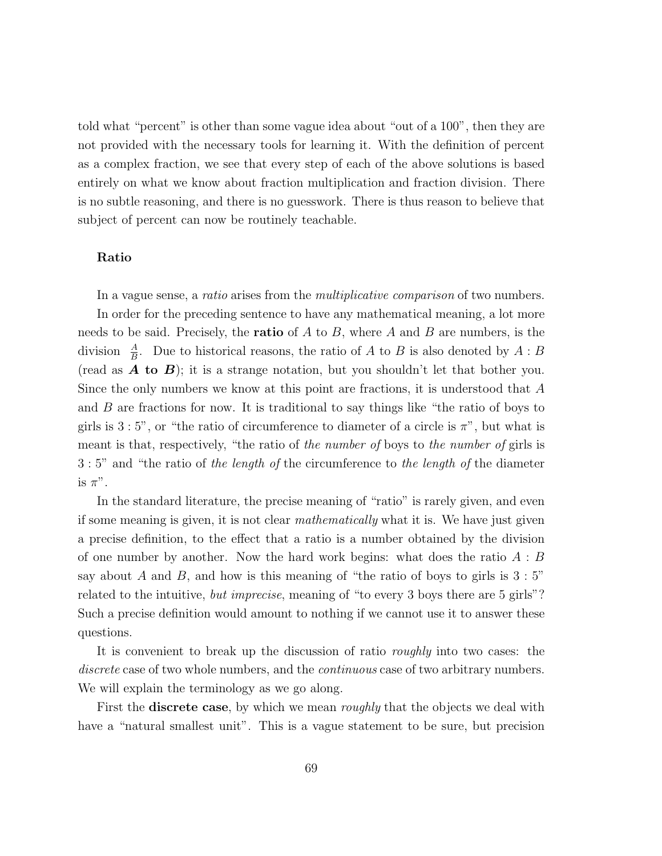told what "percent" is other than some vague idea about "out of a 100", then they are not provided with the necessary tools for learning it. With the definition of percent as a complex fraction, we see that every step of each of the above solutions is based entirely on what we know about fraction multiplication and fraction division. There is no subtle reasoning, and there is no guesswork. There is thus reason to believe that subject of percent can now be routinely teachable.

### Ratio

In a vague sense, a *ratio* arises from the *multiplicative comparison* of two numbers. In order for the preceding sentence to have any mathematical meaning, a lot more needs to be said. Precisely, the **ratio** of  $A$  to  $B$ , where  $A$  and  $B$  are numbers, is the division  $\frac{A}{B}$ . Due to historical reasons, the ratio of A to B is also denoted by A : B (read as  $\bm{A}$  to  $\bm{B}$ ); it is a strange notation, but you shouldn't let that bother you. Since the only numbers we know at this point are fractions, it is understood that A and B are fractions for now. It is traditional to say things like "the ratio of boys to girls is  $3:5$ ", or "the ratio of circumference to diameter of a circle is  $\pi$ ", but what is meant is that, respectively, "the ratio of the number of boys to the number of girls is 3 : 5" and "the ratio of the length of the circumference to the length of the diameter is  $\pi$ ".

In the standard literature, the precise meaning of "ratio" is rarely given, and even if some meaning is given, it is not clear mathematically what it is. We have just given a precise definition, to the effect that a ratio is a number obtained by the division of one number by another. Now the hard work begins: what does the ratio  $A : B$ say about A and B, and how is this meaning of "the ratio of boys to girls is  $3:5"$ " related to the intuitive, *but imprecise*, meaning of "to every 3 boys there are 5 girls"? Such a precise definition would amount to nothing if we cannot use it to answer these questions.

It is convenient to break up the discussion of ratio roughly into two cases: the discrete case of two whole numbers, and the *continuous* case of two arbitrary numbers. We will explain the terminology as we go along.

First the **discrete case**, by which we mean *roughly* that the objects we deal with have a "natural smallest unit". This is a vague statement to be sure, but precision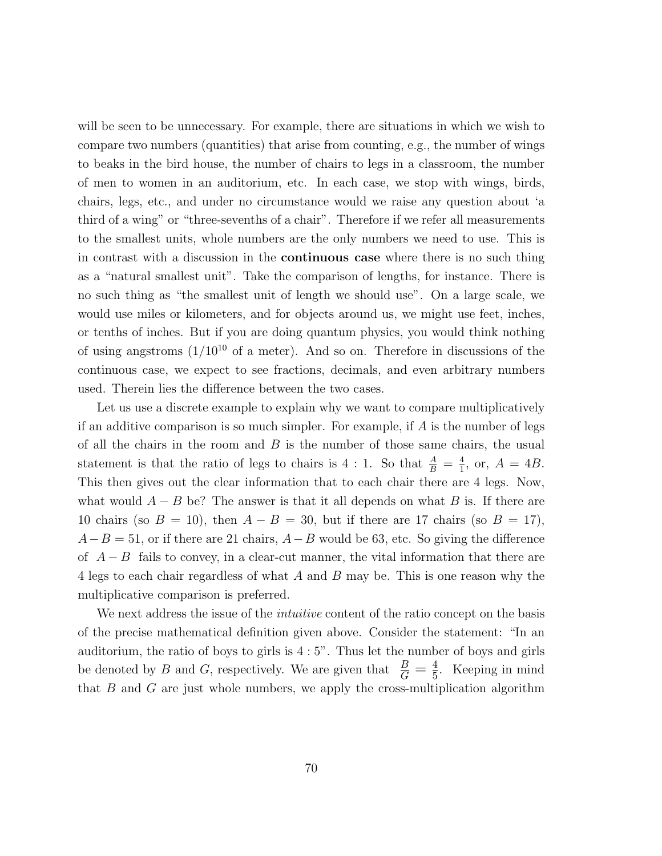will be seen to be unnecessary. For example, there are situations in which we wish to compare two numbers (quantities) that arise from counting, e.g., the number of wings to beaks in the bird house, the number of chairs to legs in a classroom, the number of men to women in an auditorium, etc. In each case, we stop with wings, birds, chairs, legs, etc., and under no circumstance would we raise any question about 'a third of a wing" or "three-sevenths of a chair". Therefore if we refer all measurements to the smallest units, whole numbers are the only numbers we need to use. This is in contrast with a discussion in the continuous case where there is no such thing as a "natural smallest unit". Take the comparison of lengths, for instance. There is no such thing as "the smallest unit of length we should use". On a large scale, we would use miles or kilometers, and for objects around us, we might use feet, inches, or tenths of inches. But if you are doing quantum physics, you would think nothing of using angstroms  $(1/10^{10}$  of a meter). And so on. Therefore in discussions of the continuous case, we expect to see fractions, decimals, and even arbitrary numbers used. Therein lies the difference between the two cases.

Let us use a discrete example to explain why we want to compare multiplicatively if an additive comparison is so much simpler. For example, if  $A$  is the number of legs of all the chairs in the room and  $B$  is the number of those same chairs, the usual statement is that the ratio of legs to chairs is 4 : 1. So that  $\frac{A}{B} = \frac{4}{1}$  $\frac{4}{1}$ , or,  $A = 4B$ . This then gives out the clear information that to each chair there are 4 legs. Now, what would  $A - B$  be? The answer is that it all depends on what B is. If there are 10 chairs (so  $B = 10$ ), then  $A - B = 30$ , but if there are 17 chairs (so  $B = 17$ ),  $A-B=51$ , or if there are 21 chairs,  $A-B$  would be 63, etc. So giving the difference of  $A - B$  fails to convey, in a clear-cut manner, the vital information that there are 4 legs to each chair regardless of what A and B may be. This is one reason why the multiplicative comparison is preferred.

We next address the issue of the *intuitive* content of the ratio concept on the basis of the precise mathematical definition given above. Consider the statement: "In an auditorium, the ratio of boys to girls is  $4:5$ ". Thus let the number of boys and girls be denoted by B and G, respectively. We are given that  $\frac{B}{G} = \frac{4}{5}$  $\frac{4}{5}$ . Keeping in mind that  $B$  and  $G$  are just whole numbers, we apply the cross-multiplication algorithm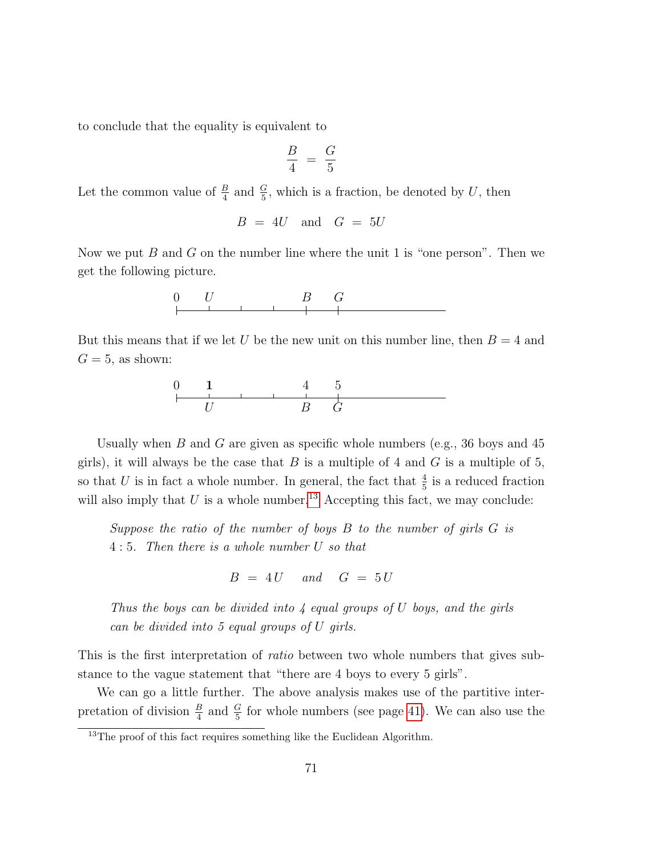to conclude that the equality is equivalent to

$$
\frac{B}{4} = \frac{G}{5}
$$

Let the common value of  $\frac{B}{4}$  and  $\frac{G}{5}$ , which is a fraction, be denoted by U, then

$$
B = 4U \quad \text{and} \quad G = 5U
$$

Now we put B and G on the number line where the unit 1 is "one person". Then we get the following picture.



But this means that if we let U be the new unit on this number line, then  $B = 4$  and  $G=5$ , as shown:



Usually when B and G are given as specific whole numbers (e.g., 36 boys and 45 girls), it will always be the case that  $B$  is a multiple of 4 and  $G$  is a multiple of 5, so that U is in fact a whole number. In general, the fact that  $\frac{4}{5}$  is a reduced fraction will also imply that  $U$  is a whole number.<sup>[13](#page-70-0)</sup> Accepting this fact, we may conclude:

Suppose the ratio of the number of boys  $B$  to the number of girls  $G$  is 4 : 5. Then there is a whole number U so that

$$
B = 4U \quad and \quad G = 5U
$$

Thus the boys can be divided into  $\lambda$  equal groups of U boys, and the girls can be divided into 5 equal groups of U girls.

This is the first interpretation of ratio between two whole numbers that gives substance to the vague statement that "there are 4 boys to every 5 girls".

We can go a little further. The above analysis makes use of the partitive interpretation of division  $\frac{B}{4}$  and  $\frac{G}{5}$  for whole numbers (see page [41\)](#page-38-0). We can also use the

<span id="page-70-0"></span><sup>&</sup>lt;sup>13</sup>The proof of this fact requires something like the Euclidean Algorithm.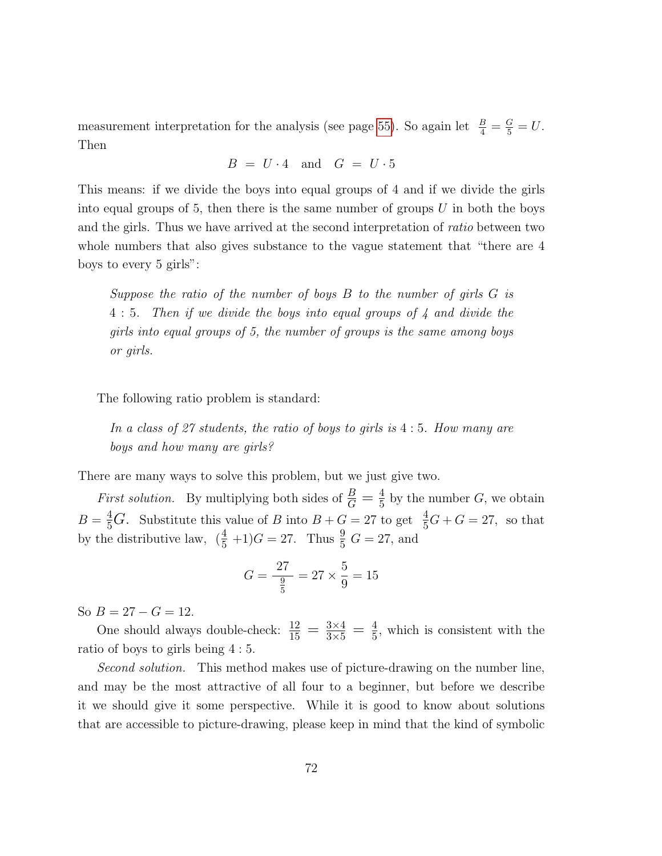measurement interpretation for the analysis (see page [55\)](#page-53-0). So again let  $\frac{B}{4} = \frac{G}{5} = U$ . Then

$$
B = U \cdot 4 \quad \text{and} \quad G = U \cdot 5
$$

This means: if we divide the boys into equal groups of 4 and if we divide the girls into equal groups of 5, then there is the same number of groups  $U$  in both the boys and the girls. Thus we have arrived at the second interpretation of ratio between two whole numbers that also gives substance to the vague statement that "there are 4 boys to every 5 girls":

Suppose the ratio of the number of boys  $B$  to the number of girls  $G$  is 4 : 5. Then if we divide the boys into equal groups of 4 and divide the girls into equal groups of 5, the number of groups is the same among boys or girls.

The following ratio problem is standard:

In a class of 27 students, the ratio of boys to girls is 4 : 5. How many are boys and how many are girls?

There are many ways to solve this problem, but we just give two.

*First solution.* By multiplying both sides of  $\frac{B}{G} = \frac{4}{5}$  $\frac{4}{5}$  by the number G, we obtain  $B = \frac{4}{5}G$ . Substitute this value of B into  $B + G = 27$  to get  $\frac{4}{5}G + G = 27$ , so that by the distributive law,  $(\frac{4}{5} + 1)G = 27$ . Thus  $\frac{9}{5}G = 27$ , and

$$
G = \frac{27}{\frac{9}{5}} = 27 \times \frac{5}{9} = 15
$$

So  $B = 27 - G = 12$ .

One should always double-check:  $\frac{12}{15} = \frac{3 \times 4}{3 \times 5} = \frac{4}{5}$  $\frac{4}{5}$ , which is consistent with the ratio of boys to girls being 4 : 5.

Second solution. This method makes use of picture-drawing on the number line, and may be the most attractive of all four to a beginner, but before we describe it we should give it some perspective. While it is good to know about solutions that are accessible to picture-drawing, please keep in mind that the kind of symbolic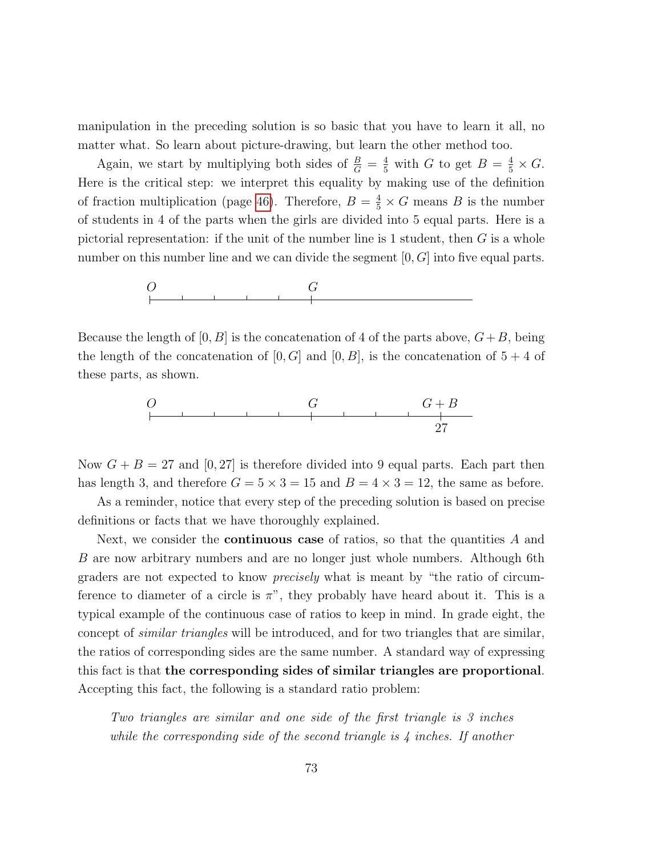manipulation in the preceding solution is so basic that you have to learn it all, no matter what. So learn about picture-drawing, but learn the other method too.

Again, we start by multiplying both sides of  $\frac{B}{G} = \frac{4}{5}$  with G to get  $B = \frac{4}{5} \times G$ . Here is the critical step: we interpret this equality by making use of the definition of fraction multiplication (page [46\)](#page-41-0). Therefore,  $B = \frac{4}{5} \times G$  means B is the number of students in 4 of the parts when the girls are divided into 5 equal parts. Here is a pictorial representation: if the unit of the number line is 1 student, then  $G$  is a whole number on this number line and we can divide the segment  $[0, G]$  into five equal parts.



Because the length of  $[0, B]$  is the concatenation of 4 of the parts above,  $G+B$ , being the length of the concatenation of  $[0, G]$  and  $[0, B]$ , is the concatenation of  $5 + 4$  of these parts, as shown.



Now  $G + B = 27$  and  $[0, 27]$  is therefore divided into 9 equal parts. Each part then has length 3, and therefore  $G = 5 \times 3 = 15$  and  $B = 4 \times 3 = 12$ , the same as before.

As a reminder, notice that every step of the preceding solution is based on precise definitions or facts that we have thoroughly explained.

Next, we consider the **continuous case** of ratios, so that the quantities  $A$  and B are now arbitrary numbers and are no longer just whole numbers. Although 6th graders are not expected to know precisely what is meant by "the ratio of circumference to diameter of a circle is  $\pi$ ", they probably have heard about it. This is a typical example of the continuous case of ratios to keep in mind. In grade eight, the concept of similar triangles will be introduced, and for two triangles that are similar, the ratios of corresponding sides are the same number. A standard way of expressing this fact is that the corresponding sides of similar triangles are proportional. Accepting this fact, the following is a standard ratio problem:

Two triangles are similar and one side of the first triangle is 3 inches while the corresponding side of the second triangle is 4 inches. If another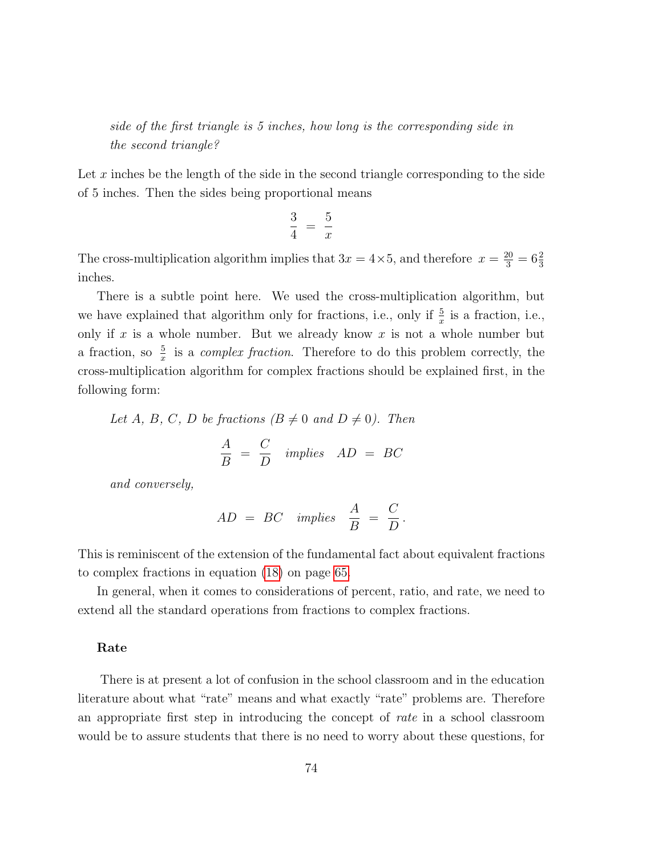side of the first triangle is 5 inches, how long is the corresponding side in the second triangle?

Let  $x$  inches be the length of the side in the second triangle corresponding to the side of 5 inches. Then the sides being proportional means

$$
\frac{3}{4} = \frac{5}{x}
$$

The cross-multiplication algorithm implies that  $3x = 4 \times 5$ , and therefore  $x = \frac{20}{3} = 6\frac{2}{3}$ inches.

There is a subtle point here. We used the cross-multiplication algorithm, but we have explained that algorithm only for fractions, i.e., only if  $\frac{5}{x}$  is a fraction, i.e., only if  $x$  is a whole number. But we already know  $x$  is not a whole number but a fraction, so  $\frac{5}{x}$  is a *complex fraction*. Therefore to do this problem correctly, the cross-multiplication algorithm for complex fractions should be explained first, in the following form:

Let A, B, C, D be fractions  $(B \neq 0 \text{ and } D \neq 0)$ . Then

$$
\frac{A}{B} = \frac{C}{D} \quad implies \quad AD = BC
$$

and conversely,

$$
AD = BC \implies \frac{A}{B} = \frac{C}{D}.
$$

This is reminiscent of the extension of the fundamental fact about equivalent fractions to complex fractions in equation [\(18\)](#page-64-0) on page [65.](#page-64-0)

In general, when it comes to considerations of percent, ratio, and rate, we need to extend all the standard operations from fractions to complex fractions.

#### Rate

There is at present a lot of confusion in the school classroom and in the education literature about what "rate" means and what exactly "rate" problems are. Therefore an appropriate first step in introducing the concept of rate in a school classroom would be to assure students that there is no need to worry about these questions, for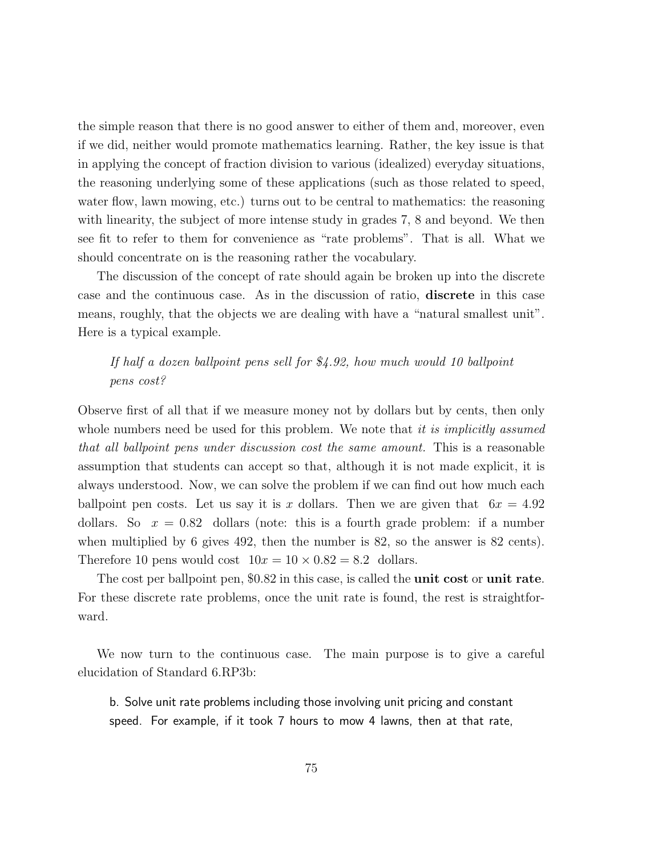the simple reason that there is no good answer to either of them and, moreover, even if we did, neither would promote mathematics learning. Rather, the key issue is that in applying the concept of fraction division to various (idealized) everyday situations, the reasoning underlying some of these applications (such as those related to speed, water flow, lawn mowing, etc.) turns out to be central to mathematics: the reasoning with linearity, the subject of more intense study in grades 7, 8 and beyond. We then see fit to refer to them for convenience as "rate problems". That is all. What we should concentrate on is the reasoning rather the vocabulary.

The discussion of the concept of rate should again be broken up into the discrete case and the continuous case. As in the discussion of ratio, discrete in this case means, roughly, that the objects we are dealing with have a "natural smallest unit". Here is a typical example.

## If half a dozen ballpoint pens sell for \$4.92, how much would 10 ballpoint pens cost?

Observe first of all that if we measure money not by dollars but by cents, then only whole numbers need be used for this problem. We note that it is implicitly assumed that all ballpoint pens under discussion cost the same amount. This is a reasonable assumption that students can accept so that, although it is not made explicit, it is always understood. Now, we can solve the problem if we can find out how much each ballpoint pen costs. Let us say it is x dollars. Then we are given that  $6x = 4.92$ dollars. So  $x = 0.82$  dollars (note: this is a fourth grade problem: if a number when multiplied by 6 gives 492, then the number is 82, so the answer is 82 cents). Therefore 10 pens would cost  $10x = 10 \times 0.82 = 8.2$  dollars.

The cost per ballpoint pen, \$0.82 in this case, is called the **unit cost** or **unit rate**. For these discrete rate problems, once the unit rate is found, the rest is straightforward.

We now turn to the continuous case. The main purpose is to give a careful elucidation of Standard 6.RP3b:

b. Solve unit rate problems including those involving unit pricing and constant speed. For example, if it took 7 hours to mow 4 lawns, then at that rate,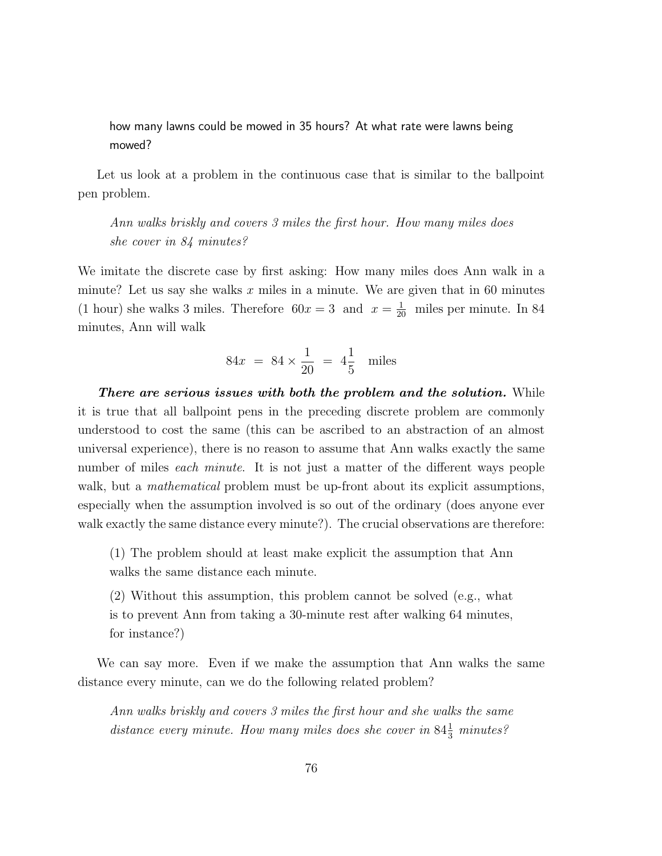how many lawns could be mowed in 35 hours? At what rate were lawns being mowed?

Let us look at a problem in the continuous case that is similar to the ballpoint pen problem.

Ann walks briskly and covers 3 miles the first hour. How many miles does she cover in 84 minutes?

We imitate the discrete case by first asking: How many miles does Ann walk in a minute? Let us say she walks  $x$  miles in a minute. We are given that in 60 minutes (1 hour) she walks 3 miles. Therefore  $60x = 3$  and  $x = \frac{1}{20}$  miles per minute. In 84 minutes, Ann will walk

$$
84x = 84 \times \frac{1}{20} = 4\frac{1}{5}
$$
 miles

There are serious issues with both the problem and the solution. While it is true that all ballpoint pens in the preceding discrete problem are commonly understood to cost the same (this can be ascribed to an abstraction of an almost universal experience), there is no reason to assume that Ann walks exactly the same number of miles *each minute*. It is not just a matter of the different ways people walk, but a *mathematical* problem must be up-front about its explicit assumptions, especially when the assumption involved is so out of the ordinary (does anyone ever walk exactly the same distance every minute?). The crucial observations are therefore:

(1) The problem should at least make explicit the assumption that Ann walks the same distance each minute.

(2) Without this assumption, this problem cannot be solved (e.g., what is to prevent Ann from taking a 30-minute rest after walking 64 minutes, for instance?)

We can say more. Even if we make the assumption that Ann walks the same distance every minute, can we do the following related problem?

Ann walks briskly and covers 3 miles the first hour and she walks the same distance every minute. How many miles does she cover in  $84\frac{1}{3}$  minutes?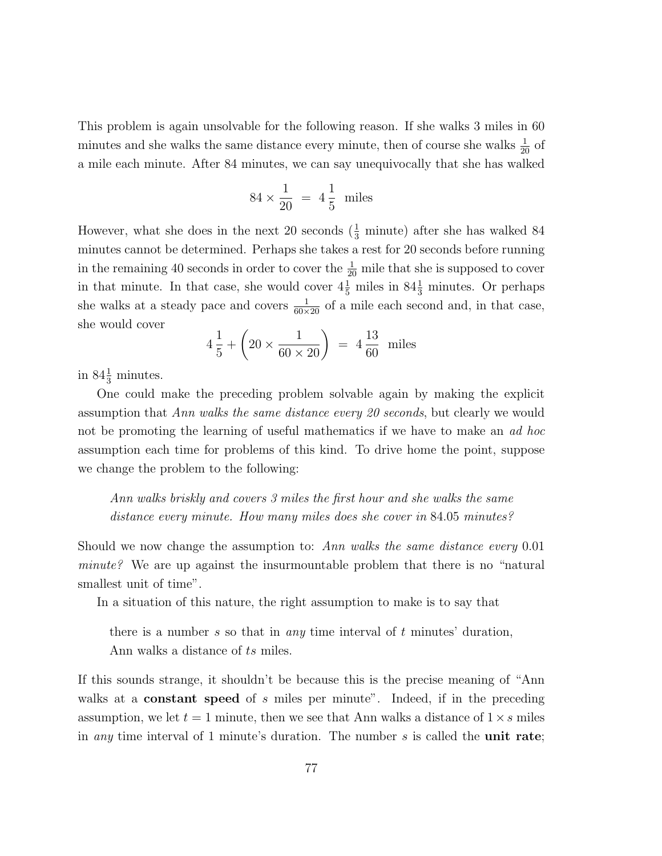This problem is again unsolvable for the following reason. If she walks 3 miles in 60 minutes and she walks the same distance every minute, then of course she walks  $\frac{1}{20}$  of a mile each minute. After 84 minutes, we can say unequivocally that she has walked

$$
84 \times \frac{1}{20} = 4\frac{1}{5}
$$
 miles

However, what she does in the next 20 seconds  $(\frac{1}{3}$  minute) after she has walked 84 minutes cannot be determined. Perhaps she takes a rest for 20 seconds before running in the remaining 40 seconds in order to cover the  $\frac{1}{20}$  mile that she is supposed to cover in that minute. In that case, she would cover  $4\frac{1}{5}$  miles in  $84\frac{1}{3}$  minutes. Or perhaps she walks at a steady pace and covers  $\frac{1}{60\times20}$  of a mile each second and, in that case, she would cover

$$
4\frac{1}{5} + \left(20 \times \frac{1}{60 \times 20}\right) = 4\frac{13}{60}
$$
 miles

in  $84\frac{1}{3}$  minutes.

One could make the preceding problem solvable again by making the explicit assumption that Ann walks the same distance every 20 seconds, but clearly we would not be promoting the learning of useful mathematics if we have to make an ad hoc assumption each time for problems of this kind. To drive home the point, suppose we change the problem to the following:

Ann walks briskly and covers 3 miles the first hour and she walks the same distance every minute. How many miles does she cover in 84.05 minutes?

Should we now change the assumption to: Ann walks the same distance every 0.01 minute? We are up against the insurmountable problem that there is no "natural smallest unit of time".

In a situation of this nature, the right assumption to make is to say that

there is a number s so that in *any* time interval of  $t$  minutes' duration,

Ann walks a distance of ts miles.

If this sounds strange, it shouldn't be because this is the precise meaning of "Ann walks at a **constant speed** of s miles per minute". Indeed, if in the preceding assumption, we let  $t = 1$  minute, then we see that Ann walks a distance of  $1 \times s$  miles in *any* time interval of 1 minute's duration. The number  $s$  is called the **unit rate**;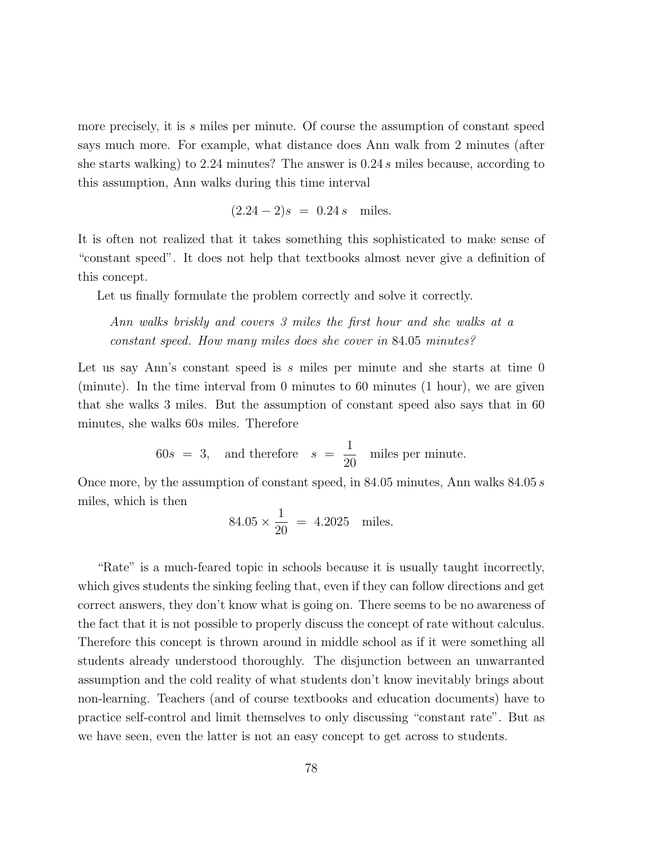more precisely, it is s miles per minute. Of course the assumption of constant speed says much more. For example, what distance does Ann walk from 2 minutes (after she starts walking) to 2.24 minutes? The answer is 0.24 s miles because, according to this assumption, Ann walks during this time interval

$$
(2.24 - 2)s = 0.24 s
$$
 miles.

It is often not realized that it takes something this sophisticated to make sense of "constant speed". It does not help that textbooks almost never give a definition of this concept.

Let us finally formulate the problem correctly and solve it correctly.

Ann walks briskly and covers 3 miles the first hour and she walks at a constant speed. How many miles does she cover in 84.05 minutes?

Let us say Ann's constant speed is  $s$  miles per minute and she starts at time 0 (minute). In the time interval from 0 minutes to 60 minutes (1 hour), we are given that she walks 3 miles. But the assumption of constant speed also says that in 60 minutes, she walks 60s miles. Therefore

> $60s = 3$ , and therefore  $s =$ 1 20 miles per minute.

Once more, by the assumption of constant speed, in 84.05 minutes, Ann walks 84.05 s miles, which is then

$$
84.05 \times \frac{1}{20} = 4.2025
$$
 miles.

"Rate" is a much-feared topic in schools because it is usually taught incorrectly, which gives students the sinking feeling that, even if they can follow directions and get correct answers, they don't know what is going on. There seems to be no awareness of the fact that it is not possible to properly discuss the concept of rate without calculus. Therefore this concept is thrown around in middle school as if it were something all students already understood thoroughly. The disjunction between an unwarranted assumption and the cold reality of what students don't know inevitably brings about non-learning. Teachers (and of course textbooks and education documents) have to practice self-control and limit themselves to only discussing "constant rate". But as we have seen, even the latter is not an easy concept to get across to students.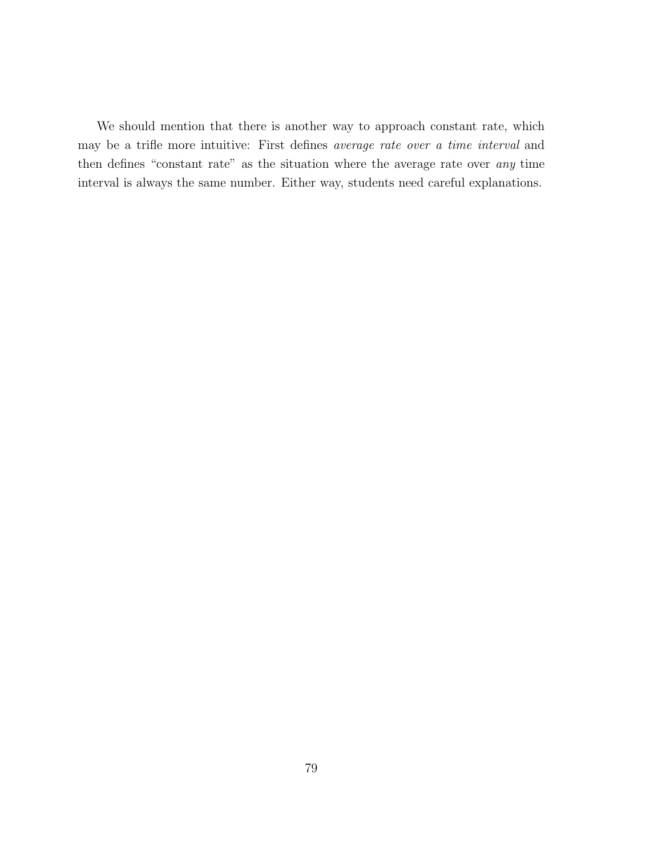We should mention that there is another way to approach constant rate, which may be a trifle more intuitive: First defines average rate over a time interval and then defines "constant rate" as the situation where the average rate over any time interval is always the same number. Either way, students need careful explanations.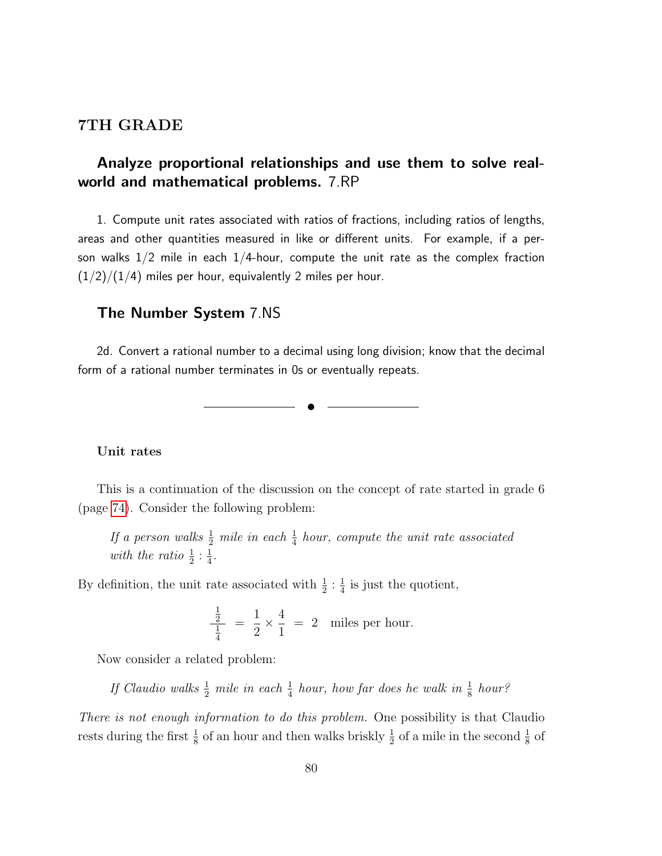### 7TH GRADE

# Analyze proportional relationships and use them to solve realworld and mathematical problems. 7.RP

1. Compute unit rates associated with ratios of fractions, including ratios of lengths, areas and other quantities measured in like or different units. For example, if a person walks  $1/2$  mile in each  $1/4$ -hour, compute the unit rate as the complex fraction  $(1/2)/(1/4)$  miles per hour, equivalently 2 miles per hour.

## The Number System 7.NS

2d. Convert a rational number to a decimal using long division; know that the decimal form of a rational number terminates in 0s or eventually repeats.

✉

Unit rates

This is a continuation of the discussion on the concept of rate started in grade 6 (page [74\)](#page-64-0). Consider the following problem:

If a person walks  $\frac{1}{2}$  mile in each  $\frac{1}{4}$  hour, compute the unit rate associated with the ratio  $\frac{1}{2}$  :  $\frac{1}{4}$  $\frac{1}{4}$ .

By definition, the unit rate associated with  $\frac{1}{2}$ :  $\frac{1}{4}$  $\frac{1}{4}$  is just the quotient,

$$
\frac{\frac{1}{2}}{\frac{1}{4}} = \frac{1}{2} \times \frac{4}{1} = 2
$$
 miles per hour.

Now consider a related problem:

If Claudio walks  $\frac{1}{2}$  mile in each  $\frac{1}{4}$  hour, how far does he walk in  $\frac{1}{8}$  hour?

There is not enough information to do this problem. One possibility is that Claudio rests during the first  $\frac{1}{8}$  of an hour and then walks briskly  $\frac{1}{2}$  of a mile in the second  $\frac{1}{8}$  of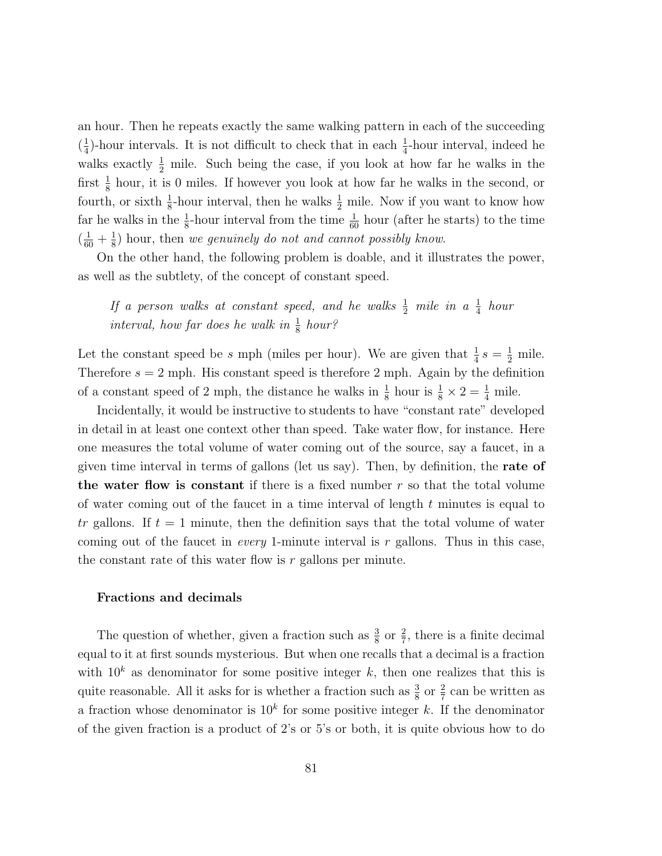an hour. Then he repeats exactly the same walking pattern in each of the succeeding  $\left(\frac{1}{4}\right)$  $\frac{1}{4}$ -hour intervals. It is not difficult to check that in each  $\frac{1}{4}$ -hour interval, indeed he walks exactly  $\frac{1}{2}$  mile. Such being the case, if you look at how far he walks in the first  $\frac{1}{8}$  hour, it is 0 miles. If however you look at how far he walks in the second, or fourth, or sixth  $\frac{1}{8}$ -hour interval, then he walks  $\frac{1}{2}$  mile. Now if you want to know how far he walks in the  $\frac{1}{8}$ -hour interval from the time  $\frac{1}{60}$  hour (after he starts) to the time  $(\frac{1}{60} + \frac{1}{8})$  $\frac{1}{8}$ ) hour, then we genuinely do not and cannot possibly know.

On the other hand, the following problem is doable, and it illustrates the power, as well as the subtlety, of the concept of constant speed.

If a person walks at constant speed, and he walks  $\frac{1}{2}$  mile in a  $\frac{1}{4}$  hour interval, how far does he walk in  $\frac{1}{8}$  hour?

Let the constant speed be s mph (miles per hour). We are given that  $\frac{1}{4} s = \frac{1}{2}$  mile. Therefore  $s = 2$  mph. His constant speed is therefore 2 mph. Again by the definition of a constant speed of 2 mph, the distance he walks in  $\frac{1}{8}$  hour is  $\frac{1}{8} \times 2 = \frac{1}{4}$  mile.

Incidentally, it would be instructive to students to have "constant rate" developed in detail in at least one context other than speed. Take water flow, for instance. Here one measures the total volume of water coming out of the source, say a faucet, in a given time interval in terms of gallons (let us say). Then, by definition, the rate of the water flow is constant if there is a fixed number  $r$  so that the total volume of water coming out of the faucet in a time interval of length  $t$  minutes is equal to tr gallons. If  $t = 1$  minute, then the definition says that the total volume of water coming out of the faucet in *every* 1-minute interval is r gallons. Thus in this case, the constant rate of this water flow is  $r$  gallons per minute.

#### Fractions and decimals

The question of whether, given a fraction such as  $\frac{3}{8}$  or  $\frac{2}{7}$ , there is a finite decimal equal to it at first sounds mysterious. But when one recalls that a decimal is a fraction with  $10<sup>k</sup>$  as denominator for some positive integer k, then one realizes that this is quite reasonable. All it asks for is whether a fraction such as  $\frac{3}{8}$  or  $\frac{2}{7}$  can be written as a fraction whose denominator is  $10<sup>k</sup>$  for some positive integer k. If the denominator of the given fraction is a product of 2's or 5's or both, it is quite obvious how to do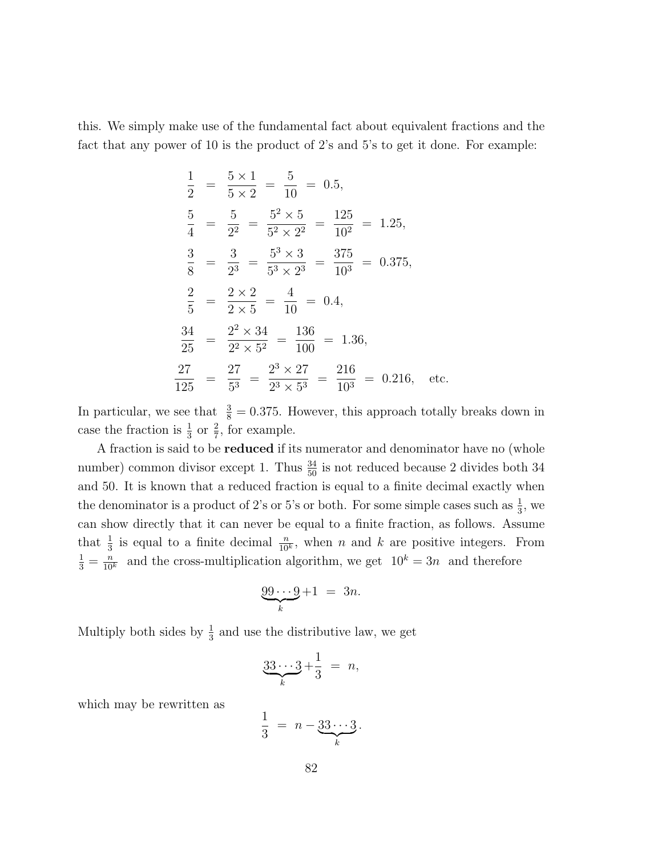this. We simply make use of the fundamental fact about equivalent fractions and the fact that any power of 10 is the product of 2's and 5's to get it done. For example:

$$
\frac{1}{2} = \frac{5 \times 1}{5 \times 2} = \frac{5}{10} = 0.5,
$$
  
\n
$$
\frac{5}{4} = \frac{5}{2^2} = \frac{5^2 \times 5}{5^2 \times 2^2} = \frac{125}{10^2} = 1.25,
$$
  
\n
$$
\frac{3}{8} = \frac{3}{2^3} = \frac{5^3 \times 3}{5^3 \times 2^3} = \frac{375}{10^3} = 0.375,
$$
  
\n
$$
\frac{2}{5} = \frac{2 \times 2}{2 \times 5} = \frac{4}{10} = 0.4,
$$
  
\n
$$
\frac{34}{25} = \frac{2^2 \times 34}{2^2 \times 5^2} = \frac{136}{100} = 1.36,
$$
  
\n
$$
\frac{27}{125} = \frac{27}{5^3} = \frac{2^3 \times 27}{2^3 \times 5^3} = \frac{216}{10^3} = 0.216, \text{ etc.}
$$

In particular, we see that  $\frac{3}{8} = 0.375$ . However, this approach totally breaks down in case the fraction is  $\frac{1}{3}$  or  $\frac{2}{7}$ , for example.

A fraction is said to be **reduced** if its numerator and denominator have no (whole number) common divisor except 1. Thus  $\frac{34}{50}$  is not reduced because 2 divides both 34 and 50. It is known that a reduced fraction is equal to a finite decimal exactly when the denominator is a product of 2's or 5's or both. For some simple cases such as  $\frac{1}{3}$ , we can show directly that it can never be equal to a finite fraction, as follows. Assume that  $\frac{1}{3}$  is equal to a finite decimal  $\frac{n}{10^k}$ , when n and k are positive integers. From  $\frac{1}{3} = \frac{n}{10^k}$  and the cross-multiplication algorithm, we get  $10^k = 3n$  and therefore

$$
\underbrace{99\cdots 9}_{k} + 1 = 3n.
$$

Multiply both sides by  $\frac{1}{3}$  and use the distributive law, we get

$$
\underbrace{33\cdots 3}_{k} + \frac{1}{3} = n,
$$

which may be rewritten as

$$
\frac{1}{3} = n - \underbrace{33\cdots 3}_{k}.
$$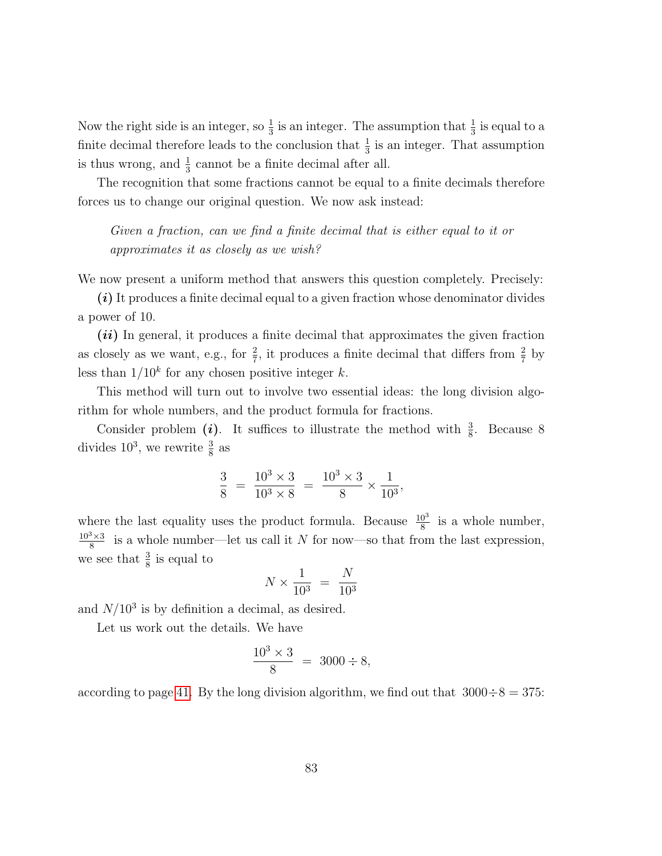Now the right side is an integer, so  $\frac{1}{3}$  is an integer. The assumption that  $\frac{1}{3}$  is equal to a finite decimal therefore leads to the conclusion that  $\frac{1}{3}$  is an integer. That assumption is thus wrong, and  $\frac{1}{3}$  cannot be a finite decimal after all.

The recognition that some fractions cannot be equal to a finite decimals therefore forces us to change our original question. We now ask instead:

Given a fraction, can we find a finite decimal that is either equal to it or approximates it as closely as we wish?

We now present a uniform method that answers this question completely. Precisely:

 $(i)$  It produces a finite decimal equal to a given fraction whose denominator divides a power of 10.

 $(ii)$  In general, it produces a finite decimal that approximates the given fraction as closely as we want, e.g., for  $\frac{2}{7}$ , it produces a finite decimal that differs from  $\frac{2}{7}$  by less than  $1/10<sup>k</sup>$  for any chosen positive integer k.

This method will turn out to involve two essential ideas: the long division algorithm for whole numbers, and the product formula for fractions.

Consider problem (*i*). It suffices to illustrate the method with  $\frac{3}{8}$ . Because 8 divides  $10^3$ , we rewrite  $\frac{3}{8}$  as

$$
\frac{3}{8} = \frac{10^3 \times 3}{10^3 \times 8} = \frac{10^3 \times 3}{8} \times \frac{1}{10^3},
$$

where the last equality uses the product formula. Because  $\frac{10^3}{8}$  is a whole number,  $10^3 \times 3$  $\frac{8 \times 3}{8}$  is a whole number—let us call it N for now—so that from the last expression, we see that  $\frac{3}{8}$  is equal to

$$
N \times \frac{1}{10^3} = \frac{N}{10^3}
$$

and  $N/10^3$  is by definition a decimal, as desired.

Let us work out the details. We have

$$
\frac{10^3 \times 3}{8} = 3000 \div 8,
$$

according to page [41.](#page-38-0) By the long division algorithm, we find out that  $3000 \div 8 = 375$ :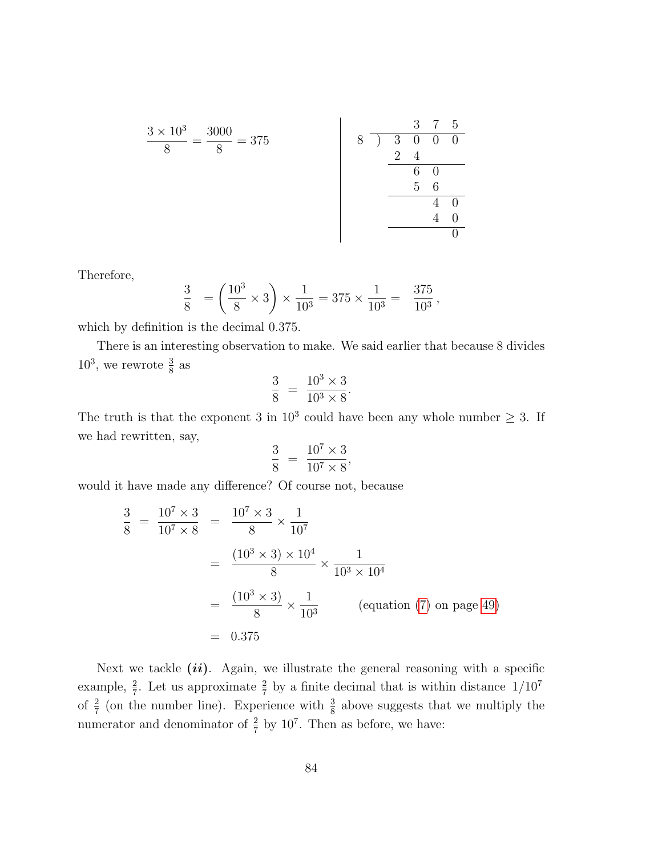3 7 5 3 × 10<sup>3</sup> 3000 8 ) 3 0 0 0 = = 375 8 8 2 4 6 0 5 6 4 0 4 0 0 

Therefore,

$$
\frac{3}{8} = \left(\frac{10^3}{8} \times 3\right) \times \frac{1}{10^3} = 375 \times \frac{1}{10^3} = \frac{375}{10^3},
$$

which by definition is the decimal 0.375.

There is an interesting observation to make. We said earlier that because 8 divides  $10^3$ , we rewrote  $\frac{3}{8}$  as

$$
\frac{3}{8} = \frac{10^3 \times 3}{10^3 \times 8}.
$$

The truth is that the exponent 3 in  $10^3$  could have been any whole number  $\geq 3$ . If we had rewritten, say,

$$
\frac{3}{8} = \frac{10^7 \times 3}{10^7 \times 8},
$$

would it have made any difference? Of course not, because

$$
\frac{3}{8} = \frac{10^7 \times 3}{10^7 \times 8} = \frac{10^7 \times 3}{8} \times \frac{1}{10^7}
$$
  
= 
$$
\frac{(10^3 \times 3) \times 10^4}{8} \times \frac{1}{10^3 \times 10^4}
$$
  
= 
$$
\frac{(10^3 \times 3)}{8} \times \frac{1}{10^3}
$$
 (equation (7) on page 49)  
= 0.375

Next we tackle  $(ii)$ . Again, we illustrate the general reasoning with a specific example,  $\frac{2}{7}$ . Let us approximate  $\frac{2}{7}$  by a finite decimal that is within distance  $1/10^7$ of  $\frac{2}{7}$  (on the number line). Experience with  $\frac{3}{8}$  above suggests that we multiply the numerator and denominator of  $\frac{2}{7}$  by 10<sup>7</sup>. Then as before, we have: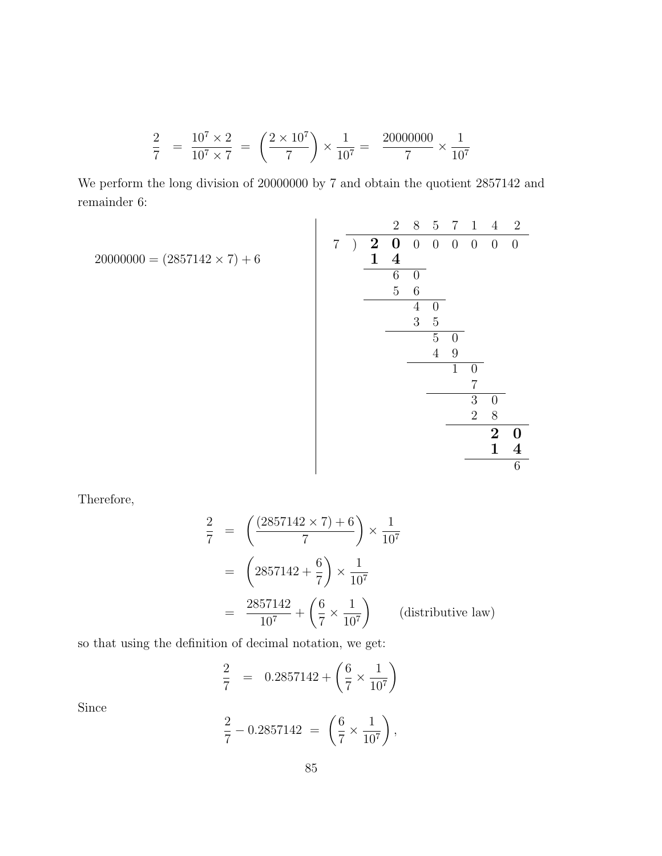$$
\frac{2}{7} = \frac{10^7 \times 2}{10^7 \times 7} = \left(\frac{2 \times 10^7}{7}\right) \times \frac{1}{10^7} = \frac{20000000}{7} \times \frac{1}{10^7}
$$

We perform the long division of 20000000 by 7 and obtain the quotient 2857142 and remainder 6:

$$
20000000 = (2857142 \times 7) + 6
$$
\n
$$
\begin{array}{c|cccc}\n & & & & 2 & 8 & 5 & 7 & 1 & 4 & 2 \\
\hline\n & 2 & 0 & 0 & 0 & 0 & 0 & 0 & 0 \\
 & & 2 & 0 & 0 & 0 & 0 & 0 & 0 \\
\hline\n & 6 & 0 & & & & & \\
\hline\n & 5 & 6 & & & & & \\
\hline\n & 4 & 0 & & & & & \\
\hline\n & 5 & 0 & & & & & \\
\hline\n & 4 & 9 & & & & & \\
\hline\n & 7 & & & & & & \\
\hline\n & 7 & & & & & & \\
\hline\n & 3 & 0 & & & & & \\
\hline\n & 2 & 8 & & & & & \\
\hline\n & 2 & 0 & & & & & \\
\hline\n & 1 & 4 & & & & & \\
\hline\n\end{array}
$$

Therefore,

$$
\frac{2}{7} = \left(\frac{(2857142 \times 7) + 6}{7}\right) \times \frac{1}{10^7}
$$

$$
= \left(2857142 + \frac{6}{7}\right) \times \frac{1}{10^7}
$$

$$
= \frac{2857142}{10^7} + \left(\frac{6}{7} \times \frac{1}{10^7}\right) \qquad \text{(distributive law)}
$$

so that using the definition of decimal notation, we get:

$$
\frac{2}{7} = 0.2857142 + \left(\frac{6}{7} \times \frac{1}{10^7}\right)
$$

Since

$$
\frac{2}{7} - 0.2857142 = \left(\frac{6}{7} \times \frac{1}{10^7}\right),
$$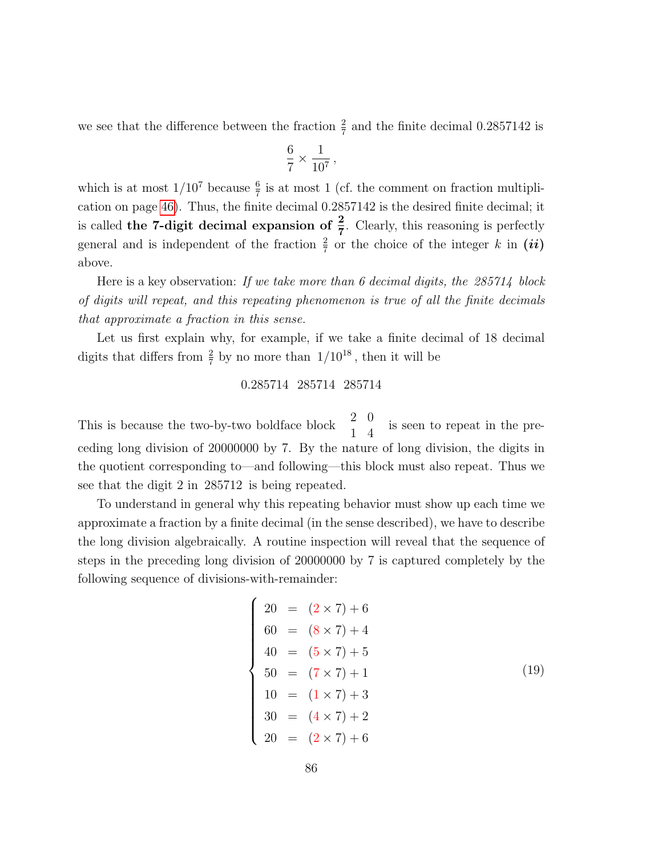we see that the difference between the fraction  $\frac{2}{7}$  and the finite decimal 0.2857142 is

$$
\frac{6}{7} \times \frac{1}{10^7},
$$

which is at most  $1/10^7$  because  $\frac{6}{7}$  is at most 1 (cf. the comment on fraction multiplication on page [46\)](#page-41-0). Thus, the finite decimal 0.2857142 is the desired finite decimal; it is called the 7-digit decimal expansion of  $\frac{2}{7}$ . Clearly, this reasoning is perfectly general and is independent of the fraction  $\frac{2}{7}$  or the choice of the integer k in  $(ii)$ above.

Here is a key observation: If we take more than 6 decimal digits, the  $285714$  block of digits will repeat, and this repeating phenomenon is true of all the finite decimals that approximate a fraction in this sense.

Let us first explain why, for example, if we take a finite decimal of 18 decimal digits that differs from  $\frac{2}{7}$  by no more than  $1/10^{18}$ , then it will be

### 0.285714 285714 285714

This is because the two-by-two boldface block  $\begin{pmatrix} 2 & 0 \\ 1 & 4 \end{pmatrix}$  is seen to repeat in the preceding long division of 20000000 by 7. By the nature of long division, the digits in the quotient corresponding to—and following—this block must also repeat. Thus we see that the digit 2 in 285712 is being repeated.

To understand in general why this repeating behavior must show up each time we approximate a fraction by a finite decimal (in the sense described), we have to describe the long division algebraically. A routine inspection will reveal that the sequence of steps in the preceding long division of 20000000 by 7 is captured completely by the following sequence of divisions-with-remainder:

<span id="page-85-0"></span>
$$
\begin{cases}\n20 = (2 \times 7) + 6 \\
60 = (8 \times 7) + 4 \\
40 = (5 \times 7) + 5 \\
50 = (7 \times 7) + 1 \\
10 = (1 \times 7) + 3 \\
30 = (4 \times 7) + 2 \\
20 = (2 \times 7) + 6\n\end{cases}
$$
\n(19)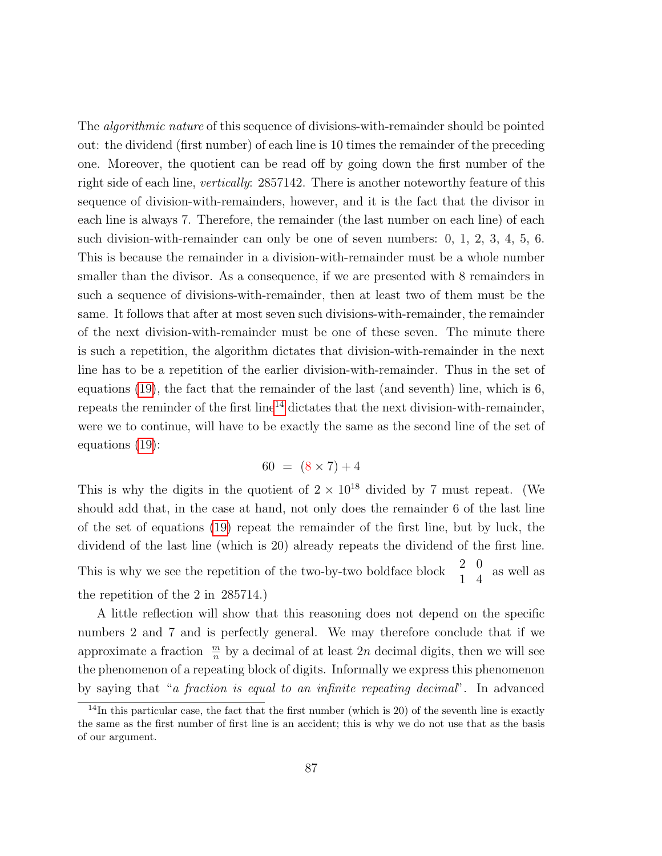The algorithmic nature of this sequence of divisions-with-remainder should be pointed out: the dividend (first number) of each line is 10 times the remainder of the preceding one. Moreover, the quotient can be read off by going down the first number of the right side of each line, vertically: 2857142. There is another noteworthy feature of this sequence of division-with-remainders, however, and it is the fact that the divisor in each line is always 7. Therefore, the remainder (the last number on each line) of each such division-with-remainder can only be one of seven numbers: 0, 1, 2, 3, 4, 5, 6. This is because the remainder in a division-with-remainder must be a whole number smaller than the divisor. As a consequence, if we are presented with 8 remainders in such a sequence of divisions-with-remainder, then at least two of them must be the same. It follows that after at most seven such divisions-with-remainder, the remainder of the next division-with-remainder must be one of these seven. The minute there is such a repetition, the algorithm dictates that division-with-remainder in the next line has to be a repetition of the earlier division-with-remainder. Thus in the set of equations [\(19\)](#page-85-0), the fact that the remainder of the last (and seventh) line, which is 6, repeats the reminder of the first line<sup>[14](#page-86-0)</sup> dictates that the next division-with-remainder, were we to continue, will have to be exactly the same as the second line of the set of equations [\(19\)](#page-85-0):

$$
60 = (8 \times 7) + 4
$$

This is why the digits in the quotient of  $2 \times 10^{18}$  divided by 7 must repeat. (We should add that, in the case at hand, not only does the remainder 6 of the last line of the set of equations [\(19\)](#page-85-0) repeat the remainder of the first line, but by luck, the dividend of the last line (which is 20) already repeats the dividend of the first line. This is why we see the repetition of the two-by-two boldface block  $\hspace{0.1mm}$  $\begin{matrix} 2 & 0 \\ 1 & 4 \end{matrix}$  as well as the repetition of the 2 in 285714.)

A little reflection will show that this reasoning does not depend on the specific numbers 2 and 7 and is perfectly general. We may therefore conclude that if we approximate a fraction  $\frac{m}{n}$  by a decimal of at least 2n decimal digits, then we will see the phenomenon of a repeating block of digits. Informally we express this phenomenon by saying that "a fraction is equal to an infinite repeating decimal". In advanced

<span id="page-86-0"></span> $14$ In this particular case, the fact that the first number (which is 20) of the seventh line is exactly the same as the first number of first line is an accident; this is why we do not use that as the basis of our argument.